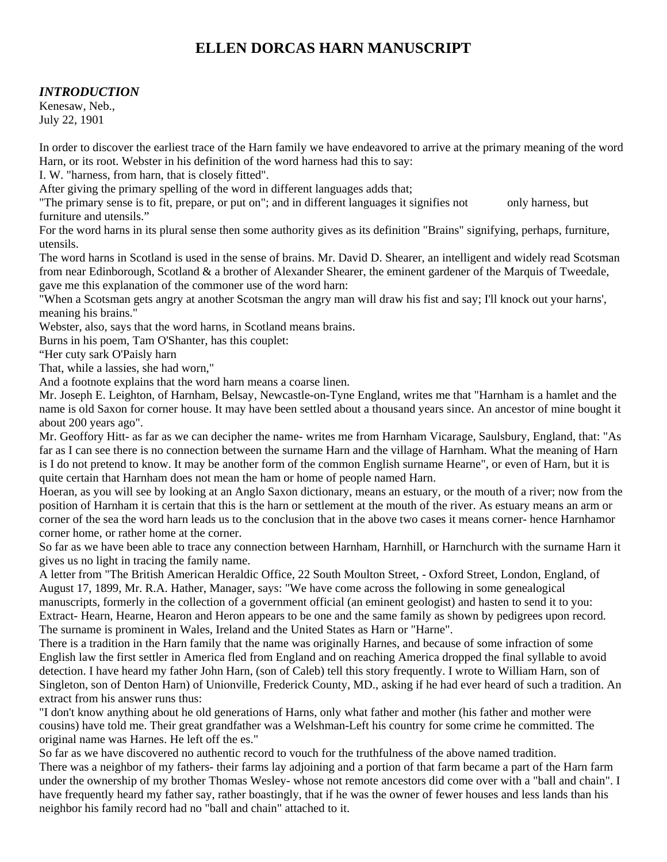# **ELLEN DORCAS HARN MANUSCRIPT**

### *INTRODUCTION*

Kenesaw, Neb., July 22, 1901

In order to discover the earliest trace of the Harn family we have endeavored to arrive at the primary meaning of the word Harn, or its root. Webster in his definition of the word harness had this to say:

I. W. "harness, from harn, that is closely fitted".

After giving the primary spelling of the word in different languages adds that;

"The primary sense is to fit, prepare, or put on"; and in different languages it signifies not only harness, but furniture and utensils."

For the word harns in its plural sense then some authority gives as its definition "Brains" signifying, perhaps, furniture, utensils.

The word harns in Scotland is used in the sense of brains. Mr. David D. Shearer, an intelligent and widely read Scotsman from near Edinborough, Scotland & a brother of Alexander Shearer, the eminent gardener of the Marquis of Tweedale, gave me this explanation of the commoner use of the word harn:

"When a Scotsman gets angry at another Scotsman the angry man will draw his fist and say; I'll knock out your harns', meaning his brains."

Webster, also, says that the word harns, in Scotland means brains.

Burns in his poem, Tam O'Shanter, has this couplet:

"Her cuty sark O'Paisly harn

That, while a lassies, she had worn,"

And a footnote explains that the word harn means a coarse linen.

Mr. Joseph E. Leighton, of Harnham, Belsay, Newcastle-on-Tyne England, writes me that "Harnham is a hamlet and the name is old Saxon for corner house. It may have been settled about a thousand years since. An ancestor of mine bought it about 200 years ago".

Mr. Geoffory Hitt- as far as we can decipher the name- writes me from Harnham Vicarage, Saulsbury, England, that: "As far as I can see there is no connection between the surname Harn and the village of Harnham. What the meaning of Harn is I do not pretend to know. It may be another form of the common English surname Hearne", or even of Harn, but it is quite certain that Harnham does not mean the ham or home of people named Harn.

Hoeran, as you will see by looking at an Anglo Saxon dictionary, means an estuary, or the mouth of a river; now from the position of Harnham it is certain that this is the harn or settlement at the mouth of the river. As estuary means an arm or corner of the sea the word harn leads us to the conclusion that in the above two cases it means corner- hence Harnhamor corner home, or rather home at the corner.

So far as we have been able to trace any connection between Harnham, Harnhill, or Harnchurch with the surname Harn it gives us no light in tracing the family name.

A letter from "The British American Heraldic Office, 22 South Moulton Street, - Oxford Street, London, England, of August 17, 1899, Mr. R.A. Hather, Manager, says: "We have come across the following in some genealogical manuscripts, formerly in the collection of a government official (an eminent geologist) and hasten to send it to you: Extract- Hearn, Hearne, Hearon and Heron appears to be one and the same family as shown by pedigrees upon record. The surname is prominent in Wales, Ireland and the United States as Harn or "Harne".

There is a tradition in the Harn family that the name was originally Harnes, and because of some infraction of some English law the first settler in America fled from England and on reaching America dropped the final syllable to avoid detection. I have heard my father John Harn, (son of Caleb) tell this story frequently. I wrote to William Harn, son of Singleton, son of Denton Harn) of Unionville, Frederick County, MD., asking if he had ever heard of such a tradition. An extract from his answer runs thus:

"I don't know anything about he old generations of Harns, only what father and mother (his father and mother were cousins) have told me. Their great grandfather was a Welshman-Left his country for some crime he committed. The original name was Harnes. He left off the es."

So far as we have discovered no authentic record to vouch for the truthfulness of the above named tradition. There was a neighbor of my fathers- their farms lay adjoining and a portion of that farm became a part of the Harn farm under the ownership of my brother Thomas Wesley- whose not remote ancestors did come over with a "ball and chain". I have frequently heard my father say, rather boastingly, that if he was the owner of fewer houses and less lands than his neighbor his family record had no "ball and chain" attached to it.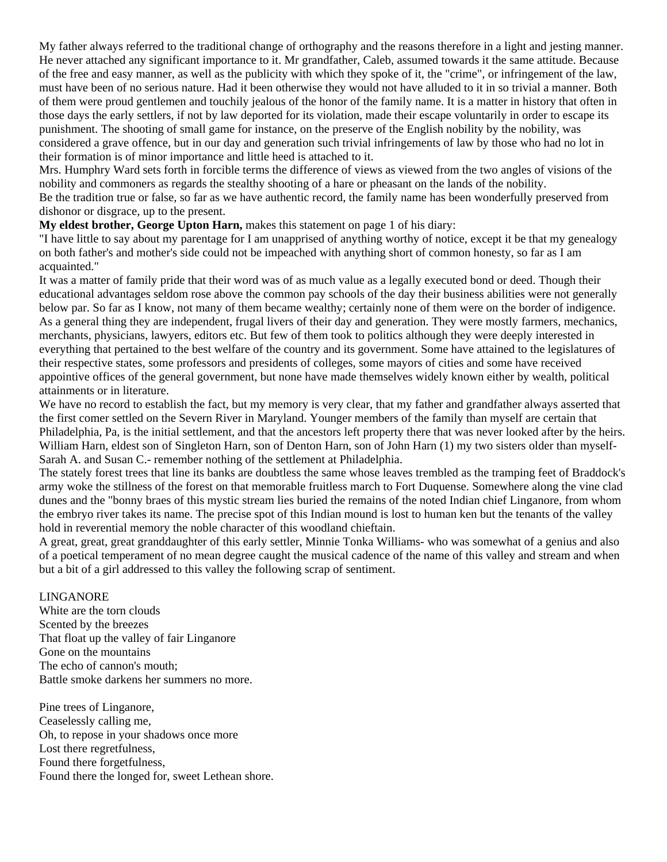My father always referred to the traditional change of orthography and the reasons therefore in a light and jesting manner. He never attached any significant importance to it. Mr grandfather, Caleb, assumed towards it the same attitude. Because of the free and easy manner, as well as the publicity with which they spoke of it, the "crime", or infringement of the law, must have been of no serious nature. Had it been otherwise they would not have alluded to it in so trivial a manner. Both of them were proud gentlemen and touchily jealous of the honor of the family name. It is a matter in history that often in those days the early settlers, if not by law deported for its violation, made their escape voluntarily in order to escape its punishment. The shooting of small game for instance, on the preserve of the English nobility by the nobility, was considered a grave offence, but in our day and generation such trivial infringements of law by those who had no lot in their formation is of minor importance and little heed is attached to it.

Mrs. Humphry Ward sets forth in forcible terms the difference of views as viewed from the two angles of visions of the nobility and commoners as regards the stealthy shooting of a hare or pheasant on the lands of the nobility.

Be the tradition true or false, so far as we have authentic record, the family name has been wonderfully preserved from dishonor or disgrace, up to the present.

**My eldest brother, George Upton Harn,** makes this statement on page 1 of his diary:

"I have little to say about my parentage for I am unapprised of anything worthy of notice, except it be that my genealogy on both father's and mother's side could not be impeached with anything short of common honesty, so far as I am acquainted."

It was a matter of family pride that their word was of as much value as a legally executed bond or deed. Though their educational advantages seldom rose above the common pay schools of the day their business abilities were not generally below par. So far as I know, not many of them became wealthy; certainly none of them were on the border of indigence. As a general thing they are independent, frugal livers of their day and generation. They were mostly farmers, mechanics, merchants, physicians, lawyers, editors etc. But few of them took to politics although they were deeply interested in everything that pertained to the best welfare of the country and its government. Some have attained to the legislatures of their respective states, some professors and presidents of colleges, some mayors of cities and some have received appointive offices of the general government, but none have made themselves widely known either by wealth, political attainments or in literature.

We have no record to establish the fact, but my memory is very clear, that my father and grandfather always asserted that the first comer settled on the Severn River in Maryland. Younger members of the family than myself are certain that Philadelphia, Pa, is the initial settlement, and that the ancestors left property there that was never looked after by the heirs. William Harn, eldest son of Singleton Harn, son of Denton Harn, son of John Harn (1) my two sisters older than myself-Sarah A. and Susan C.- remember nothing of the settlement at Philadelphia.

The stately forest trees that line its banks are doubtless the same whose leaves trembled as the tramping feet of Braddock's army woke the stillness of the forest on that memorable fruitless march to Fort Duquense. Somewhere along the vine clad dunes and the "bonny braes of this mystic stream lies buried the remains of the noted Indian chief Linganore, from whom the embryo river takes its name. The precise spot of this Indian mound is lost to human ken but the tenants of the valley hold in reverential memory the noble character of this woodland chieftain.

A great, great, great granddaughter of this early settler, Minnie Tonka Williams- who was somewhat of a genius and also of a poetical temperament of no mean degree caught the musical cadence of the name of this valley and stream and when but a bit of a girl addressed to this valley the following scrap of sentiment.

#### LINGANORE

White are the torn clouds Scented by the breezes That float up the valley of fair Linganore Gone on the mountains The echo of cannon's mouth; Battle smoke darkens her summers no more.

Pine trees of Linganore, Ceaselessly calling me, Oh, to repose in your shadows once more Lost there regretfulness, Found there forgetfulness, Found there the longed for, sweet Lethean shore.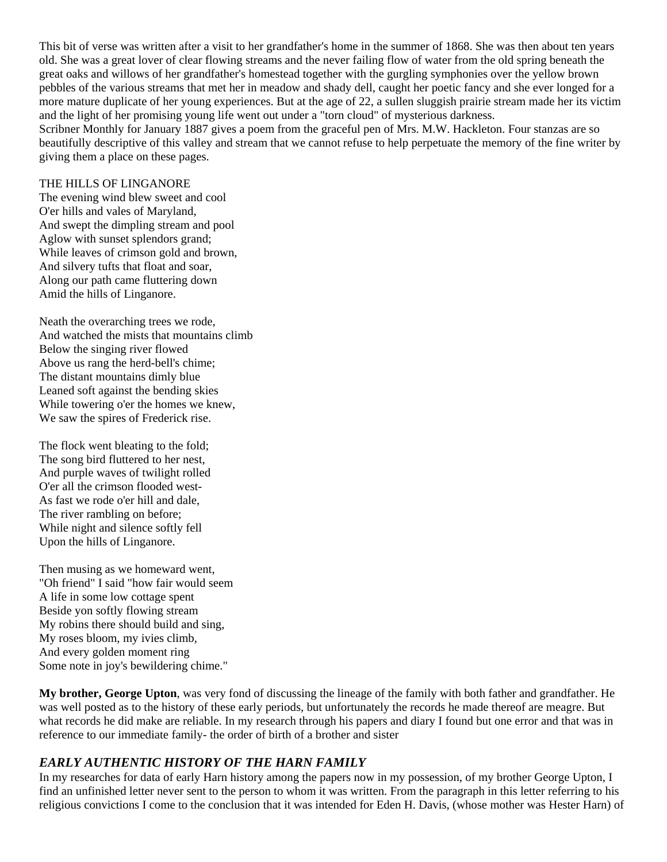This bit of verse was written after a visit to her grandfather's home in the summer of 1868. She was then about ten years old. She was a great lover of clear flowing streams and the never failing flow of water from the old spring beneath the great oaks and willows of her grandfather's homestead together with the gurgling symphonies over the yellow brown pebbles of the various streams that met her in meadow and shady dell, caught her poetic fancy and she ever longed for a more mature duplicate of her young experiences. But at the age of 22, a sullen sluggish prairie stream made her its victim and the light of her promising young life went out under a "torn cloud" of mysterious darkness.

Scribner Monthly for January 1887 gives a poem from the graceful pen of Mrs. M.W. Hackleton. Four stanzas are so beautifully descriptive of this valley and stream that we cannot refuse to help perpetuate the memory of the fine writer by giving them a place on these pages.

#### THE HILLS OF LINGANORE

The evening wind blew sweet and cool O'er hills and vales of Maryland, And swept the dimpling stream and pool Aglow with sunset splendors grand; While leaves of crimson gold and brown, And silvery tufts that float and soar, Along our path came fluttering down Amid the hills of Linganore.

Neath the overarching trees we rode, And watched the mists that mountains climb Below the singing river flowed Above us rang the herd-bell's chime; The distant mountains dimly blue Leaned soft against the bending skies While towering o'er the homes we knew, We saw the spires of Frederick rise.

The flock went bleating to the fold; The song bird fluttered to her nest, And purple waves of twilight rolled O'er all the crimson flooded west-As fast we rode o'er hill and dale, The river rambling on before; While night and silence softly fell Upon the hills of Linganore.

Then musing as we homeward went, "Oh friend" I said "how fair would seem A life in some low cottage spent Beside yon softly flowing stream My robins there should build and sing, My roses bloom, my ivies climb, And every golden moment ring Some note in joy's bewildering chime."

**My brother, George Upton**, was very fond of discussing the lineage of the family with both father and grandfather. He was well posted as to the history of these early periods, but unfortunately the records he made thereof are meagre. But what records he did make are reliable. In my research through his papers and diary I found but one error and that was in reference to our immediate family- the order of birth of a brother and sister

### *EARLY AUTHENTIC HISTORY OF THE HARN FAMILY*

In my researches for data of early Harn history among the papers now in my possession, of my brother George Upton, I find an unfinished letter never sent to the person to whom it was written. From the paragraph in this letter referring to his religious convictions I come to the conclusion that it was intended for Eden H. Davis, (whose mother was Hester Harn) of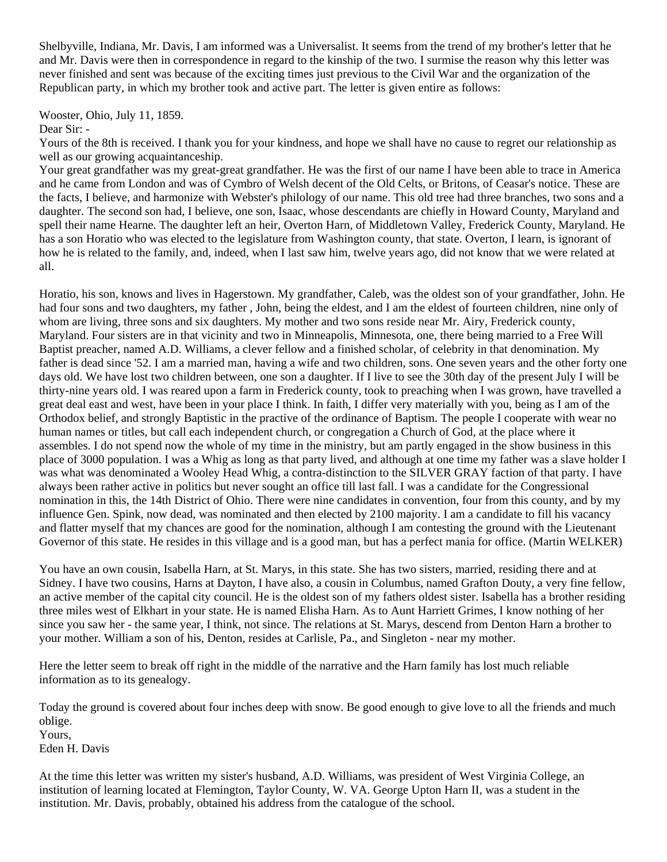Shelbyville, Indiana, Mr. Davis, I am informed was a Universalist. It seems from the trend of my brother's letter that he and Mr. Davis were then in correspondence in regard to the kinship of the two. I surmise the reason why this letter was never finished and sent was because of the exciting times just previous to the Civil War and the organization of the Republican party, in which my brother took and active part. The letter is given entire as follows:

Wooster, Ohio, July 11, 1859.

Dear Sir: -

Yours of the 8th is received. I thank you for your kindness, and hope we shall have no cause to regret our relationship as well as our growing acquaintanceship.

Your great grandfather was my great-great grandfather. He was the first of our name I have been able to trace in America and he came from London and was of Cymbro of Welsh decent of the Old Celts, or Britons, of Ceasar's notice. These are the facts, I believe, and harmonize with Webster's philology of our name. This old tree had three branches, two sons and a daughter. The second son had, I believe, one son, Isaac, whose descendants are chiefly in Howard County, Maryland and spell their name Hearne. The daughter left an heir, Overton Harn, of Middletown Valley, Frederick County, Maryland. He has a son Horatio who was elected to the legislature from Washington county, that state. Overton, I learn, is ignorant of how he is related to the family, and, indeed, when I last saw him, twelve years ago, did not know that we were related at all.

Horatio, his son, knows and lives in Hagerstown. My grandfather, Caleb, was the oldest son of your grandfather, John. He had four sons and two daughters, my father , John, being the eldest, and I am the eldest of fourteen children, nine only of whom are living, three sons and six daughters. My mother and two sons reside near Mr. Airy, Frederick county, Maryland. Four sisters are in that vicinity and two in Minneapolis, Minnesota, one, there being married to a Free Will Baptist preacher, named A.D. Williams, a clever fellow and a finished scholar, of celebrity in that denomination. My father is dead since '52. I am a married man, having a wife and two children, sons. One seven years and the other forty one days old. We have lost two children between, one son a daughter. If I live to see the 30th day of the present July I will be thirty-nine years old. I was reared upon a farm in Frederick county, took to preaching when I was grown, have travelled a great deal east and west, have been in your place I think. In faith, I differ very materially with you, being as I am of the Orthodox belief, and strongly Baptistic in the practive of the ordinance of Baptism. The people I cooperate with wear no human names or titles, but call each independent church, or congregation a Church of God, at the place where it assembles. I do not spend now the whole of my time in the ministry, but am partly engaged in the show business in this place of 3000 population. I was a Whig as long as that party lived, and although at one time my father was a slave holder I was what was denominated a Wooley Head Whig, a contra-distinction to the SILVER GRAY faction of that party. I have always been rather active in politics but never sought an office till last fall. I was a candidate for the Congressional nomination in this, the 14th District of Ohio. There were nine candidates in convention, four from this county, and by my influence Gen. Spink, now dead, was nominated and then elected by 2100 majority. I am a candidate to fill his vacancy and flatter myself that my chances are good for the nomination, although I am contesting the ground with the Lieutenant Governor of this state. He resides in this village and is a good man, but has a perfect mania for office. (Martin WELKER)

You have an own cousin, Isabella Harn, at St. Marys, in this state. She has two sisters, married, residing there and at Sidney. I have two cousins, Harns at Dayton, I have also, a cousin in Columbus, named Grafton Douty, a very fine fellow, an active member of the capital city council. He is the oldest son of my fathers oldest sister. Isabella has a brother residing three miles west of Elkhart in your state. He is named Elisha Harn. As to Aunt Harriett Grimes, I know nothing of her since you saw her - the same year, I think, not since. The relations at St. Marys, descend from Denton Harn a brother to your mother. William a son of his, Denton, resides at Carlisle, Pa., and Singleton - near my mother.

Here the letter seem to break off right in the middle of the narrative and the Harn family has lost much reliable information as to its genealogy.

Today the ground is covered about four inches deep with snow. Be good enough to give love to all the friends and much oblige. Yours,

Eden H. Davis

At the time this letter was written my sister's husband, A.D. Williams, was president of West Virginia College, an institution of learning located at Flemington, Taylor County, W. VA. George Upton Harn II, was a student in the institution. Mr. Davis, probably, obtained his address from the catalogue of the school.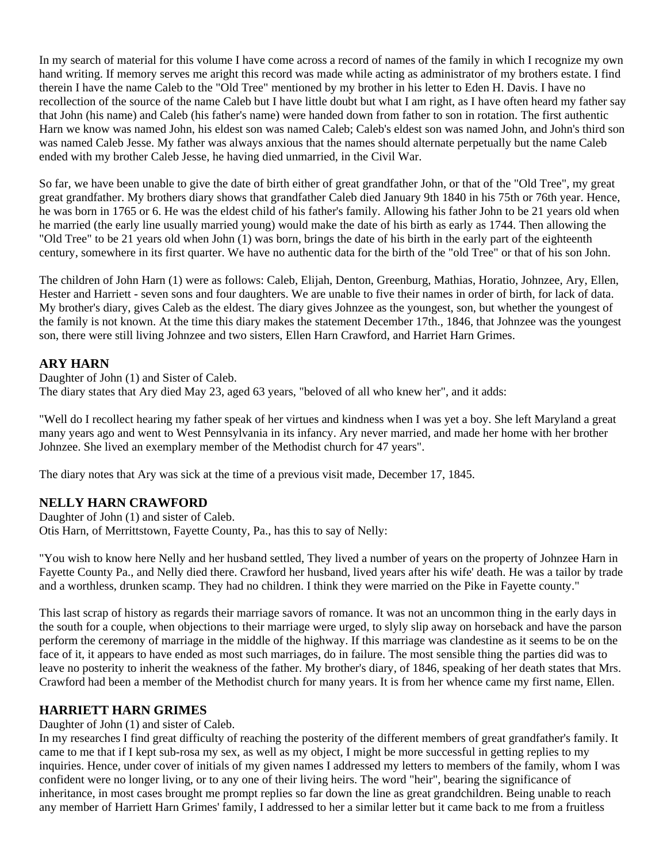In my search of material for this volume I have come across a record of names of the family in which I recognize my own hand writing. If memory serves me aright this record was made while acting as administrator of my brothers estate. I find therein I have the name Caleb to the "Old Tree" mentioned by my brother in his letter to Eden H. Davis. I have no recollection of the source of the name Caleb but I have little doubt but what I am right, as I have often heard my father say that John (his name) and Caleb (his father's name) were handed down from father to son in rotation. The first authentic Harn we know was named John, his eldest son was named Caleb; Caleb's eldest son was named John, and John's third son was named Caleb Jesse. My father was always anxious that the names should alternate perpetually but the name Caleb ended with my brother Caleb Jesse, he having died unmarried, in the Civil War.

So far, we have been unable to give the date of birth either of great grandfather John, or that of the "Old Tree", my great great grandfather. My brothers diary shows that grandfather Caleb died January 9th 1840 in his 75th or 76th year. Hence, he was born in 1765 or 6. He was the eldest child of his father's family. Allowing his father John to be 21 years old when he married (the early line usually married young) would make the date of his birth as early as 1744. Then allowing the "Old Tree" to be 21 years old when John (1) was born, brings the date of his birth in the early part of the eighteenth century, somewhere in its first quarter. We have no authentic data for the birth of the "old Tree" or that of his son John.

The children of John Harn (1) were as follows: Caleb, Elijah, Denton, Greenburg, Mathias, Horatio, Johnzee, Ary, Ellen, Hester and Harriett - seven sons and four daughters. We are unable to five their names in order of birth, for lack of data. My brother's diary, gives Caleb as the eldest. The diary gives Johnzee as the youngest, son, but whether the youngest of the family is not known. At the time this diary makes the statement December 17th., 1846, that Johnzee was the youngest son, there were still living Johnzee and two sisters, Ellen Harn Crawford, and Harriet Harn Grimes.

#### **ARY HARN**

Daughter of John (1) and Sister of Caleb. The diary states that Ary died May 23, aged 63 years, "beloved of all who knew her", and it adds:

"Well do I recollect hearing my father speak of her virtues and kindness when I was yet a boy. She left Maryland a great many years ago and went to West Pennsylvania in its infancy. Ary never married, and made her home with her brother Johnzee. She lived an exemplary member of the Methodist church for 47 years".

The diary notes that Ary was sick at the time of a previous visit made, December 17, 1845.

### **NELLY HARN CRAWFORD**

Daughter of John (1) and sister of Caleb. Otis Harn, of Merrittstown, Fayette County, Pa., has this to say of Nelly:

"You wish to know here Nelly and her husband settled, They lived a number of years on the property of Johnzee Harn in Fayette County Pa., and Nelly died there. Crawford her husband, lived years after his wife' death. He was a tailor by trade and a worthless, drunken scamp. They had no children. I think they were married on the Pike in Fayette county."

This last scrap of history as regards their marriage savors of romance. It was not an uncommon thing in the early days in the south for a couple, when objections to their marriage were urged, to slyly slip away on horseback and have the parson perform the ceremony of marriage in the middle of the highway. If this marriage was clandestine as it seems to be on the face of it, it appears to have ended as most such marriages, do in failure. The most sensible thing the parties did was to leave no posterity to inherit the weakness of the father. My brother's diary, of 1846, speaking of her death states that Mrs. Crawford had been a member of the Methodist church for many years. It is from her whence came my first name, Ellen.

### **HARRIETT HARN GRIMES**

Daughter of John (1) and sister of Caleb.

In my researches I find great difficulty of reaching the posterity of the different members of great grandfather's family. It came to me that if I kept sub-rosa my sex, as well as my object, I might be more successful in getting replies to my inquiries. Hence, under cover of initials of my given names I addressed my letters to members of the family, whom I was confident were no longer living, or to any one of their living heirs. The word "heir", bearing the significance of inheritance, in most cases brought me prompt replies so far down the line as great grandchildren. Being unable to reach any member of Harriett Harn Grimes' family, I addressed to her a similar letter but it came back to me from a fruitless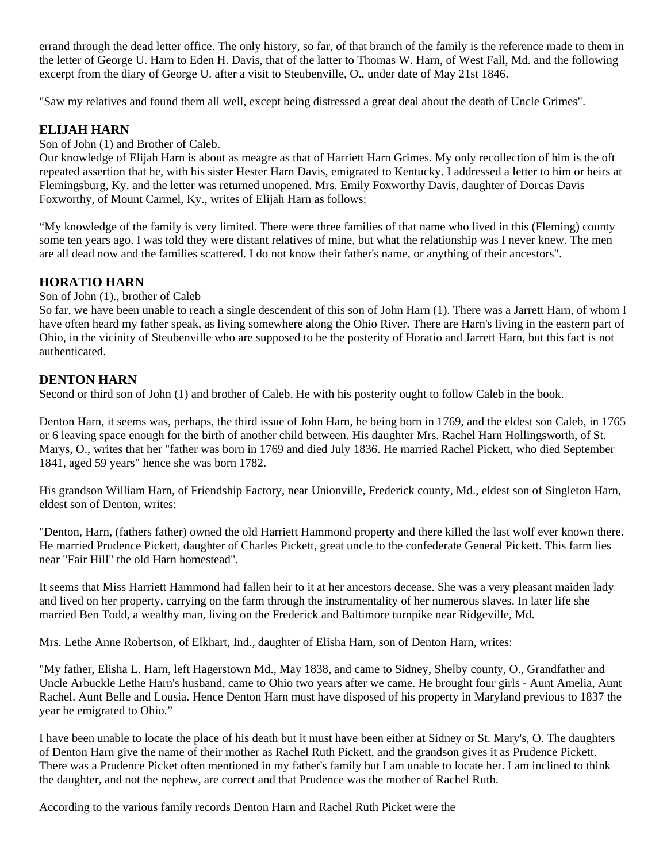errand through the dead letter office. The only history, so far, of that branch of the family is the reference made to them in the letter of George U. Harn to Eden H. Davis, that of the latter to Thomas W. Harn, of West Fall, Md. and the following excerpt from the diary of George U. after a visit to Steubenville, O., under date of May 21st 1846.

"Saw my relatives and found them all well, except being distressed a great deal about the death of Uncle Grimes".

### **ELIJAH HARN**

Son of John (1) and Brother of Caleb.

Our knowledge of Elijah Harn is about as meagre as that of Harriett Harn Grimes. My only recollection of him is the oft repeated assertion that he, with his sister Hester Harn Davis, emigrated to Kentucky. I addressed a letter to him or heirs at Flemingsburg, Ky. and the letter was returned unopened. Mrs. Emily Foxworthy Davis, daughter of Dorcas Davis Foxworthy, of Mount Carmel, Ky., writes of Elijah Harn as follows:

"My knowledge of the family is very limited. There were three families of that name who lived in this (Fleming) county some ten years ago. I was told they were distant relatives of mine, but what the relationship was I never knew. The men are all dead now and the families scattered. I do not know their father's name, or anything of their ancestors".

## **HORATIO HARN**

Son of John (1)., brother of Caleb

So far, we have been unable to reach a single descendent of this son of John Harn (1). There was a Jarrett Harn, of whom I have often heard my father speak, as living somewhere along the Ohio River. There are Harn's living in the eastern part of Ohio, in the vicinity of Steubenville who are supposed to be the posterity of Horatio and Jarrett Harn, but this fact is not authenticated.

### **DENTON HARN**

Second or third son of John (1) and brother of Caleb. He with his posterity ought to follow Caleb in the book.

Denton Harn, it seems was, perhaps, the third issue of John Harn, he being born in 1769, and the eldest son Caleb, in 1765 or 6 leaving space enough for the birth of another child between. His daughter Mrs. Rachel Harn Hollingsworth, of St. Marys, O., writes that her "father was born in 1769 and died July 1836. He married Rachel Pickett, who died September 1841, aged 59 years" hence she was born 1782.

His grandson William Harn, of Friendship Factory, near Unionville, Frederick county, Md., eldest son of Singleton Harn, eldest son of Denton, writes:

"Denton, Harn, (fathers father) owned the old Harriett Hammond property and there killed the last wolf ever known there. He married Prudence Pickett, daughter of Charles Pickett, great uncle to the confederate General Pickett. This farm lies near "Fair Hill" the old Harn homestead".

It seems that Miss Harriett Hammond had fallen heir to it at her ancestors decease. She was a very pleasant maiden lady and lived on her property, carrying on the farm through the instrumentality of her numerous slaves. In later life she married Ben Todd, a wealthy man, living on the Frederick and Baltimore turnpike near Ridgeville, Md.

Mrs. Lethe Anne Robertson, of Elkhart, Ind., daughter of Elisha Harn, son of Denton Harn, writes:

"My father, Elisha L. Harn, left Hagerstown Md., May 1838, and came to Sidney, Shelby county, O., Grandfather and Uncle Arbuckle Lethe Harn's husband, came to Ohio two years after we came. He brought four girls - Aunt Amelia, Aunt Rachel. Aunt Belle and Lousia. Hence Denton Harn must have disposed of his property in Maryland previous to 1837 the year he emigrated to Ohio."

I have been unable to locate the place of his death but it must have been either at Sidney or St. Mary's, O. The daughters of Denton Harn give the name of their mother as Rachel Ruth Pickett, and the grandson gives it as Prudence Pickett. There was a Prudence Picket often mentioned in my father's family but I am unable to locate her. I am inclined to think the daughter, and not the nephew, are correct and that Prudence was the mother of Rachel Ruth.

According to the various family records Denton Harn and Rachel Ruth Picket were the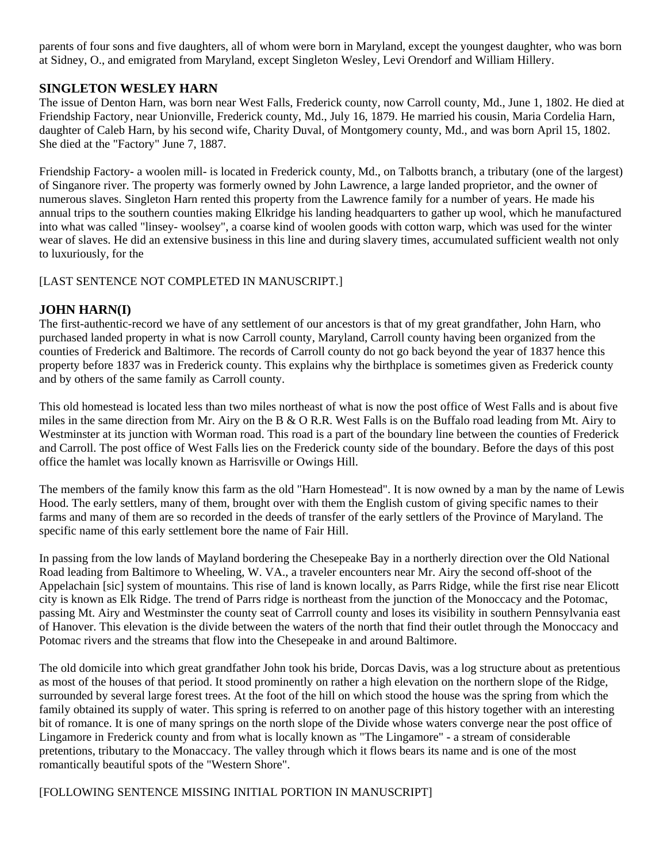parents of four sons and five daughters, all of whom were born in Maryland, except the youngest daughter, who was born at Sidney, O., and emigrated from Maryland, except Singleton Wesley, Levi Orendorf and William Hillery.

#### **SINGLETON WESLEY HARN**

The issue of Denton Harn, was born near West Falls, Frederick county, now Carroll county, Md., June 1, 1802. He died at Friendship Factory, near Unionville, Frederick county, Md., July 16, 1879. He married his cousin, Maria Cordelia Harn, daughter of Caleb Harn, by his second wife, Charity Duval, of Montgomery county, Md., and was born April 15, 1802. She died at the "Factory" June 7, 1887.

Friendship Factory- a woolen mill- is located in Frederick county, Md., on Talbotts branch, a tributary (one of the largest) of Singanore river. The property was formerly owned by John Lawrence, a large landed proprietor, and the owner of numerous slaves. Singleton Harn rented this property from the Lawrence family for a number of years. He made his annual trips to the southern counties making Elkridge his landing headquarters to gather up wool, which he manufactured into what was called "linsey- woolsey", a coarse kind of woolen goods with cotton warp, which was used for the winter wear of slaves. He did an extensive business in this line and during slavery times, accumulated sufficient wealth not only to luxuriously, for the

#### [LAST SENTENCE NOT COMPLETED IN MANUSCRIPT.]

#### **JOHN HARN(I)**

The first-authentic-record we have of any settlement of our ancestors is that of my great grandfather, John Harn, who purchased landed property in what is now Carroll county, Maryland, Carroll county having been organized from the counties of Frederick and Baltimore. The records of Carroll county do not go back beyond the year of 1837 hence this property before 1837 was in Frederick county. This explains why the birthplace is sometimes given as Frederick county and by others of the same family as Carroll county.

This old homestead is located less than two miles northeast of what is now the post office of West Falls and is about five miles in the same direction from Mr. Airy on the B  $\&$  O R.R. West Falls is on the Buffalo road leading from Mt. Airy to Westminster at its junction with Worman road. This road is a part of the boundary line between the counties of Frederick and Carroll. The post office of West Falls lies on the Frederick county side of the boundary. Before the days of this post office the hamlet was locally known as Harrisville or Owings Hill.

The members of the family know this farm as the old "Harn Homestead". It is now owned by a man by the name of Lewis Hood. The early settlers, many of them, brought over with them the English custom of giving specific names to their farms and many of them are so recorded in the deeds of transfer of the early settlers of the Province of Maryland. The specific name of this early settlement bore the name of Fair Hill.

In passing from the low lands of Mayland bordering the Chesepeake Bay in a northerly direction over the Old National Road leading from Baltimore to Wheeling, W. VA., a traveler encounters near Mr. Airy the second off-shoot of the Appelachain [sic] system of mountains. This rise of land is known locally, as Parrs Ridge, while the first rise near Elicott city is known as Elk Ridge. The trend of Parrs ridge is northeast from the junction of the Monoccacy and the Potomac, passing Mt. Airy and Westminster the county seat of Carrroll county and loses its visibility in southern Pennsylvania east of Hanover. This elevation is the divide between the waters of the north that find their outlet through the Monoccacy and Potomac rivers and the streams that flow into the Chesepeake in and around Baltimore.

The old domicile into which great grandfather John took his bride, Dorcas Davis, was a log structure about as pretentious as most of the houses of that period. It stood prominently on rather a high elevation on the northern slope of the Ridge, surrounded by several large forest trees. At the foot of the hill on which stood the house was the spring from which the family obtained its supply of water. This spring is referred to on another page of this history together with an interesting bit of romance. It is one of many springs on the north slope of the Divide whose waters converge near the post office of Lingamore in Frederick county and from what is locally known as "The Lingamore" - a stream of considerable pretentions, tributary to the Monaccacy. The valley through which it flows bears its name and is one of the most romantically beautiful spots of the "Western Shore".

[FOLLOWING SENTENCE MISSING INITIAL PORTION IN MANUSCRIPT]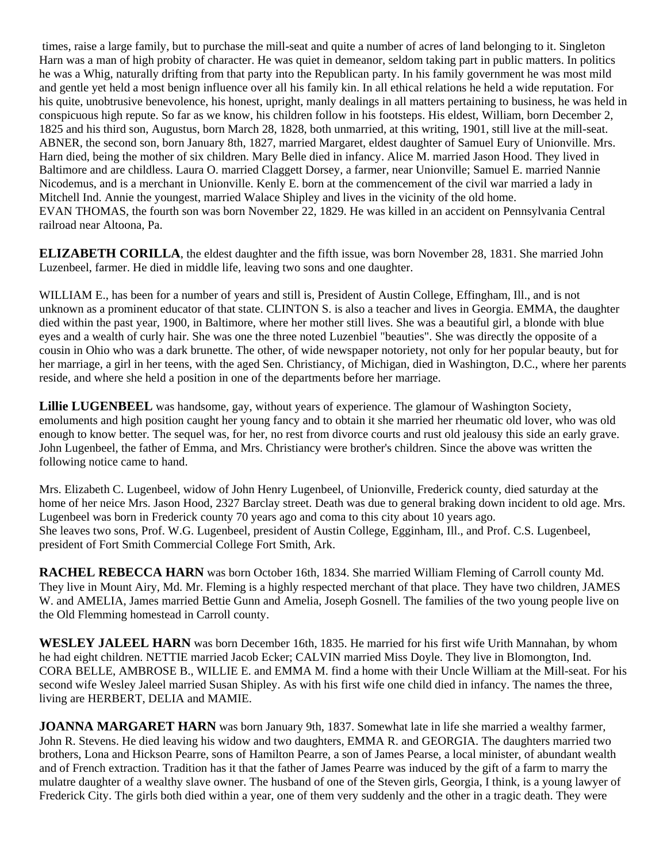times, raise a large family, but to purchase the mill-seat and quite a number of acres of land belonging to it. Singleton Harn was a man of high probity of character. He was quiet in demeanor, seldom taking part in public matters. In politics he was a Whig, naturally drifting from that party into the Republican party. In his family government he was most mild and gentle yet held a most benign influence over all his family kin. In all ethical relations he held a wide reputation. For his quite, unobtrusive benevolence, his honest, upright, manly dealings in all matters pertaining to business, he was held in conspicuous high repute. So far as we know, his children follow in his footsteps. His eldest, William, born December 2, 1825 and his third son, Augustus, born March 28, 1828, both unmarried, at this writing, 1901, still live at the mill-seat. ABNER, the second son, born January 8th, 1827, married Margaret, eldest daughter of Samuel Eury of Unionville. Mrs. Harn died, being the mother of six children. Mary Belle died in infancy. Alice M. married Jason Hood. They lived in Baltimore and are childless. Laura O. married Claggett Dorsey, a farmer, near Unionville; Samuel E. married Nannie Nicodemus, and is a merchant in Unionville. Kenly E. born at the commencement of the civil war married a lady in Mitchell Ind. Annie the youngest, married Walace Shipley and lives in the vicinity of the old home. EVAN THOMAS, the fourth son was born November 22, 1829. He was killed in an accident on Pennsylvania Central railroad near Altoona, Pa.

**ELIZABETH CORILLA**, the eldest daughter and the fifth issue, was born November 28, 1831. She married John Luzenbeel, farmer. He died in middle life, leaving two sons and one daughter.

WILLIAM E., has been for a number of years and still is, President of Austin College, Effingham, Ill., and is not unknown as a prominent educator of that state. CLINTON S. is also a teacher and lives in Georgia. EMMA, the daughter died within the past year, 1900, in Baltimore, where her mother still lives. She was a beautiful girl, a blonde with blue eyes and a wealth of curly hair. She was one the three noted Luzenbiel "beauties". She was directly the opposite of a cousin in Ohio who was a dark brunette. The other, of wide newspaper notoriety, not only for her popular beauty, but for her marriage, a girl in her teens, with the aged Sen. Christiancy, of Michigan, died in Washington, D.C., where her parents reside, and where she held a position in one of the departments before her marriage.

**Lillie LUGENBEEL** was handsome, gay, without years of experience. The glamour of Washington Society, emoluments and high position caught her young fancy and to obtain it she married her rheumatic old lover, who was old enough to know better. The sequel was, for her, no rest from divorce courts and rust old jealousy this side an early grave. John Lugenbeel, the father of Emma, and Mrs. Christiancy were brother's children. Since the above was written the following notice came to hand.

Mrs. Elizabeth C. Lugenbeel, widow of John Henry Lugenbeel, of Unionville, Frederick county, died saturday at the home of her neice Mrs. Jason Hood, 2327 Barclay street. Death was due to general braking down incident to old age. Mrs. Lugenbeel was born in Frederick county 70 years ago and coma to this city about 10 years ago. She leaves two sons, Prof. W.G. Lugenbeel, president of Austin College, Egginham, Ill., and Prof. C.S. Lugenbeel, president of Fort Smith Commercial College Fort Smith, Ark.

**RACHEL REBECCA HARN** was born October 16th, 1834. She married William Fleming of Carroll county Md. They live in Mount Airy, Md. Mr. Fleming is a highly respected merchant of that place. They have two children, JAMES W. and AMELIA, James married Bettie Gunn and Amelia, Joseph Gosnell. The families of the two young people live on the Old Flemming homestead in Carroll county.

**WESLEY JALEEL HARN** was born December 16th, 1835. He married for his first wife Urith Mannahan, by whom he had eight children. NETTIE married Jacob Ecker; CALVIN married Miss Doyle. They live in Blomongton, Ind. CORA BELLE, AMBROSE B., WILLIE E. and EMMA M. find a home with their Uncle William at the Mill-seat. For his second wife Wesley Jaleel married Susan Shipley. As with his first wife one child died in infancy. The names the three, living are HERBERT, DELIA and MAMIE.

**JOANNA MARGARET HARN** was born January 9th, 1837. Somewhat late in life she married a wealthy farmer, John R. Stevens. He died leaving his widow and two daughters, EMMA R. and GEORGIA. The daughters married two brothers, Lona and Hickson Pearre, sons of Hamilton Pearre, a son of James Pearse, a local minister, of abundant wealth and of French extraction. Tradition has it that the father of James Pearre was induced by the gift of a farm to marry the mulatre daughter of a wealthy slave owner. The husband of one of the Steven girls, Georgia, I think, is a young lawyer of Frederick City. The girls both died within a year, one of them very suddenly and the other in a tragic death. They were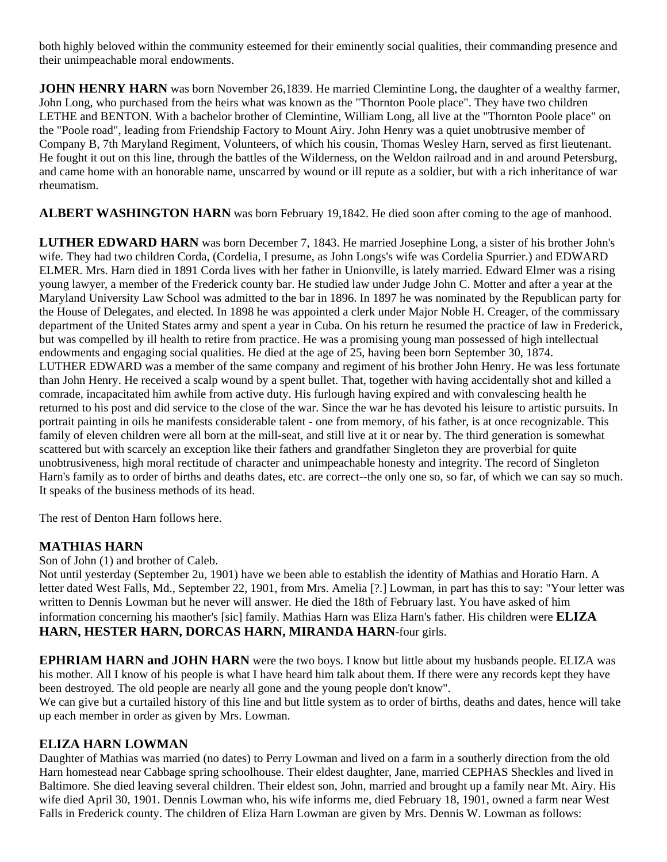both highly beloved within the community esteemed for their eminently social qualities, their commanding presence and their unimpeachable moral endowments.

**JOHN HENRY HARN** was born November 26,1839. He married Clemintine Long, the daughter of a wealthy farmer, John Long, who purchased from the heirs what was known as the "Thornton Poole place". They have two children LETHE and BENTON. With a bachelor brother of Clemintine, William Long, all live at the "Thornton Poole place" on the "Poole road", leading from Friendship Factory to Mount Airy. John Henry was a quiet unobtrusive member of Company B, 7th Maryland Regiment, Volunteers, of which his cousin, Thomas Wesley Harn, served as first lieutenant. He fought it out on this line, through the battles of the Wilderness, on the Weldon railroad and in and around Petersburg, and came home with an honorable name, unscarred by wound or ill repute as a soldier, but with a rich inheritance of war rheumatism.

**ALBERT WASHINGTON HARN** was born February 19,1842. He died soon after coming to the age of manhood.

**LUTHER EDWARD HARN** was born December 7, 1843. He married Josephine Long, a sister of his brother John's wife. They had two children Corda, (Cordelia, I presume, as John Longs's wife was Cordelia Spurrier.) and EDWARD ELMER. Mrs. Harn died in 1891 Corda lives with her father in Unionville, is lately married. Edward Elmer was a rising young lawyer, a member of the Frederick county bar. He studied law under Judge John C. Motter and after a year at the Maryland University Law School was admitted to the bar in 1896. In 1897 he was nominated by the Republican party for the House of Delegates, and elected. In 1898 he was appointed a clerk under Major Noble H. Creager, of the commissary department of the United States army and spent a year in Cuba. On his return he resumed the practice of law in Frederick, but was compelled by ill health to retire from practice. He was a promising young man possessed of high intellectual endowments and engaging social qualities. He died at the age of 25, having been born September 30, 1874. LUTHER EDWARD was a member of the same company and regiment of his brother John Henry. He was less fortunate than John Henry. He received a scalp wound by a spent bullet. That, together with having accidentally shot and killed a comrade, incapacitated him awhile from active duty. His furlough having expired and with convalescing health he returned to his post and did service to the close of the war. Since the war he has devoted his leisure to artistic pursuits. In portrait painting in oils he manifests considerable talent - one from memory, of his father, is at once recognizable. This family of eleven children were all born at the mill-seat, and still live at it or near by. The third generation is somewhat scattered but with scarcely an exception like their fathers and grandfather Singleton they are proverbial for quite unobtrusiveness, high moral rectitude of character and unimpeachable honesty and integrity. The record of Singleton Harn's family as to order of births and deaths dates, etc. are correct--the only one so, so far, of which we can say so much. It speaks of the business methods of its head.

The rest of Denton Harn follows here.

### **MATHIAS HARN**

Son of John (1) and brother of Caleb.

Not until yesterday (September 2u, 1901) have we been able to establish the identity of Mathias and Horatio Harn. A letter dated West Falls, Md., September 22, 1901, from Mrs. Amelia [?.] Lowman, in part has this to say: "Your letter was written to Dennis Lowman but he never will answer. He died the 18th of February last. You have asked of him information concerning his maother's [sic] family. Mathias Harn was Eliza Harn's father. His children were **ELIZA HARN, HESTER HARN, DORCAS HARN, MIRANDA HARN**-four girls.

**EPHRIAM HARN and JOHN HARN** were the two boys. I know but little about my husbands people. ELIZA was his mother. All I know of his people is what I have heard him talk about them. If there were any records kept they have been destroyed. The old people are nearly all gone and the young people don't know".

We can give but a curtailed history of this line and but little system as to order of births, deaths and dates, hence will take up each member in order as given by Mrs. Lowman.

#### **ELIZA HARN LOWMAN**

Daughter of Mathias was married (no dates) to Perry Lowman and lived on a farm in a southerly direction from the old Harn homestead near Cabbage spring schoolhouse. Their eldest daughter, Jane, married CEPHAS Sheckles and lived in Baltimore. She died leaving several children. Their eldest son, John, married and brought up a family near Mt. Airy. His wife died April 30, 1901. Dennis Lowman who, his wife informs me, died February 18, 1901, owned a farm near West Falls in Frederick county. The children of Eliza Harn Lowman are given by Mrs. Dennis W. Lowman as follows: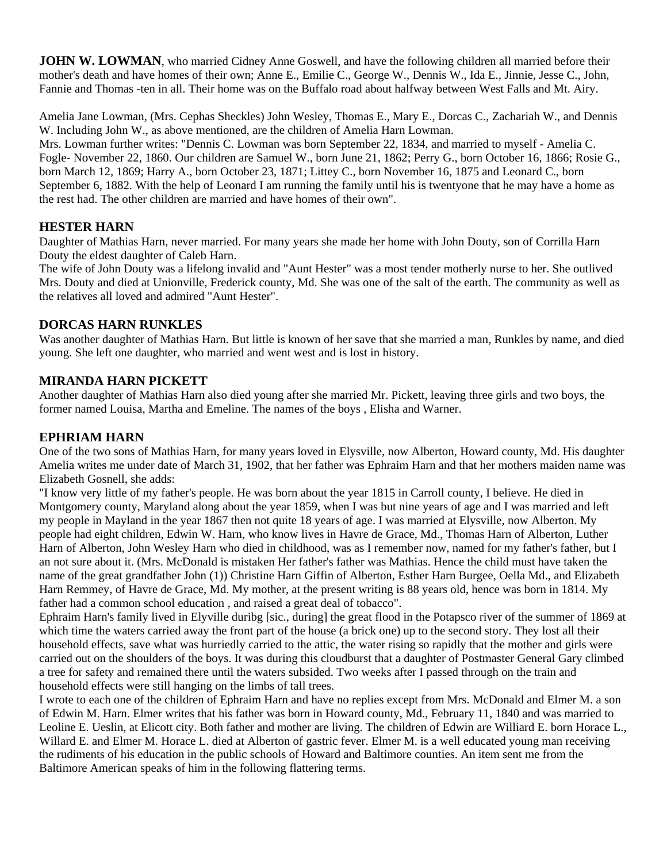**JOHN W. LOWMAN**, who married Cidney Anne Goswell, and have the following children all married before their mother's death and have homes of their own; Anne E., Emilie C., George W., Dennis W., Ida E., Jinnie, Jesse C., John, Fannie and Thomas -ten in all. Their home was on the Buffalo road about halfway between West Falls and Mt. Airy.

Amelia Jane Lowman, (Mrs. Cephas Sheckles) John Wesley, Thomas E., Mary E., Dorcas C., Zachariah W., and Dennis W. Including John W., as above mentioned, are the children of Amelia Harn Lowman.

Mrs. Lowman further writes: "Dennis C. Lowman was born September 22, 1834, and married to myself - Amelia C. Fogle- November 22, 1860. Our children are Samuel W., born June 21, 1862; Perry G., born October 16, 1866; Rosie G., born March 12, 1869; Harry A., born October 23, 1871; Littey C., born November 16, 1875 and Leonard C., born September 6, 1882. With the help of Leonard I am running the family until his is twentyone that he may have a home as the rest had. The other children are married and have homes of their own".

### **HESTER HARN**

Daughter of Mathias Harn, never married. For many years she made her home with John Douty, son of Corrilla Harn Douty the eldest daughter of Caleb Harn.

The wife of John Douty was a lifelong invalid and "Aunt Hester" was a most tender motherly nurse to her. She outlived Mrs. Douty and died at Unionville, Frederick county, Md. She was one of the salt of the earth. The community as well as the relatives all loved and admired "Aunt Hester".

### **DORCAS HARN RUNKLES**

Was another daughter of Mathias Harn. But little is known of her save that she married a man, Runkles by name, and died young. She left one daughter, who married and went west and is lost in history.

### **MIRANDA HARN PICKETT**

Another daughter of Mathias Harn also died young after she married Mr. Pickett, leaving three girls and two boys, the former named Louisa, Martha and Emeline. The names of the boys , Elisha and Warner.

### **EPHRIAM HARN**

One of the two sons of Mathias Harn, for many years loved in Elysville, now Alberton, Howard county, Md. His daughter Amelia writes me under date of March 31, 1902, that her father was Ephraim Harn and that her mothers maiden name was Elizabeth Gosnell, she adds:

"I know very little of my father's people. He was born about the year 1815 in Carroll county, I believe. He died in Montgomery county, Maryland along about the year 1859, when I was but nine years of age and I was married and left my people in Mayland in the year 1867 then not quite 18 years of age. I was married at Elysville, now Alberton. My people had eight children, Edwin W. Harn, who know lives in Havre de Grace, Md., Thomas Harn of Alberton, Luther Harn of Alberton, John Wesley Harn who died in childhood, was as I remember now, named for my father's father, but I an not sure about it. (Mrs. McDonald is mistaken Her father's father was Mathias. Hence the child must have taken the name of the great grandfather John (1)) Christine Harn Giffin of Alberton, Esther Harn Burgee, Oella Md., and Elizabeth Harn Remmey, of Havre de Grace, Md. My mother, at the present writing is 88 years old, hence was born in 1814. My father had a common school education , and raised a great deal of tobacco".

Ephraim Harn's family lived in Elyville duribg [sic., during] the great flood in the Potapsco river of the summer of 1869 at which time the waters carried away the front part of the house (a brick one) up to the second story. They lost all their household effects, save what was hurriedly carried to the attic, the water rising so rapidly that the mother and girls were carried out on the shoulders of the boys. It was during this cloudburst that a daughter of Postmaster General Gary climbed a tree for safety and remained there until the waters subsided. Two weeks after I passed through on the train and household effects were still hanging on the limbs of tall trees.

I wrote to each one of the children of Ephraim Harn and have no replies except from Mrs. McDonald and Elmer M. a son of Edwin M. Harn. Elmer writes that his father was born in Howard county, Md., February 11, 1840 and was married to Leoline E. Ueslin, at Elicott city. Both father and mother are living. The children of Edwin are Williard E. born Horace L., Willard E. and Elmer M. Horace L. died at Alberton of gastric fever. Elmer M. is a well educated young man receiving the rudiments of his education in the public schools of Howard and Baltimore counties. An item sent me from the Baltimore American speaks of him in the following flattering terms.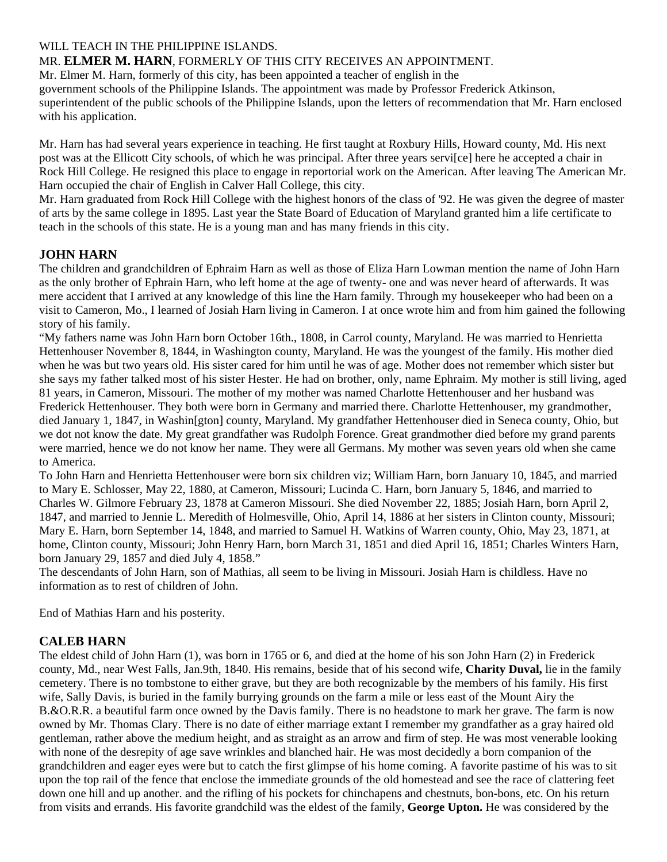#### WILL TEACH IN THE PHILIPPINE ISLANDS.

#### MR. **ELMER M. HARN**, FORMERLY OF THIS CITY RECEIVES AN APPOINTMENT.

Mr. Elmer M. Harn, formerly of this city, has been appointed a teacher of english in the government schools of the Philippine Islands. The appointment was made by Professor Frederick Atkinson, superintendent of the public schools of the Philippine Islands, upon the letters of recommendation that Mr. Harn enclosed with his application.

Mr. Harn has had several years experience in teaching. He first taught at Roxbury Hills, Howard county, Md. His next post was at the Ellicott City schools, of which he was principal. After three years servi[ce] here he accepted a chair in Rock Hill College. He resigned this place to engage in reportorial work on the American. After leaving The American Mr. Harn occupied the chair of English in Calver Hall College, this city.

Mr. Harn graduated from Rock Hill College with the highest honors of the class of '92. He was given the degree of master of arts by the same college in 1895. Last year the State Board of Education of Maryland granted him a life certificate to teach in the schools of this state. He is a young man and has many friends in this city.

#### **JOHN HARN**

The children and grandchildren of Ephraim Harn as well as those of Eliza Harn Lowman mention the name of John Harn as the only brother of Ephrain Harn, who left home at the age of twenty- one and was never heard of afterwards. It was mere accident that I arrived at any knowledge of this line the Harn family. Through my housekeeper who had been on a visit to Cameron, Mo., I learned of Josiah Harn living in Cameron. I at once wrote him and from him gained the following story of his family.

"My fathers name was John Harn born October 16th., 1808, in Carrol county, Maryland. He was married to Henrietta Hettenhouser November 8, 1844, in Washington county, Maryland. He was the youngest of the family. His mother died when he was but two years old. His sister cared for him until he was of age. Mother does not remember which sister but she says my father talked most of his sister Hester. He had on brother, only, name Ephraim. My mother is still living, aged 81 years, in Cameron, Missouri. The mother of my mother was named Charlotte Hettenhouser and her husband was Frederick Hettenhouser. They both were born in Germany and married there. Charlotte Hettenhouser, my grandmother, died January 1, 1847, in Washin[gton] county, Maryland. My grandfather Hettenhouser died in Seneca county, Ohio, but we dot not know the date. My great grandfather was Rudolph Forence. Great grandmother died before my grand parents were married, hence we do not know her name. They were all Germans. My mother was seven years old when she came to America.

To John Harn and Henrietta Hettenhouser were born six children viz; William Harn, born January 10, 1845, and married to Mary E. Schlosser, May 22, 1880, at Cameron, Missouri; Lucinda C. Harn, born January 5, 1846, and married to Charles W. Gilmore February 23, 1878 at Cameron Missouri. She died November 22, 1885; Josiah Harn, born April 2, 1847, and married to Jennie L. Meredith of Holmesville, Ohio, April 14, 1886 at her sisters in Clinton county, Missouri; Mary E. Harn, born September 14, 1848, and married to Samuel H. Watkins of Warren county, Ohio, May 23, 1871, at home, Clinton county, Missouri; John Henry Harn, born March 31, 1851 and died April 16, 1851; Charles Winters Harn, born January 29, 1857 and died July 4, 1858."

The descendants of John Harn, son of Mathias, all seem to be living in Missouri. Josiah Harn is childless. Have no information as to rest of children of John.

End of Mathias Harn and his posterity.

### **CALEB HARN**

The eldest child of John Harn (1), was born in 1765 or 6, and died at the home of his son John Harn (2) in Frederick county, Md., near West Falls, Jan.9th, 1840. His remains, beside that of his second wife, **Charity Duval,** lie in the family cemetery. There is no tombstone to either grave, but they are both recognizable by the members of his family. His first wife, Sally Davis, is buried in the family burrying grounds on the farm a mile or less east of the Mount Airy the B.&O.R.R. a beautiful farm once owned by the Davis family. There is no headstone to mark her grave. The farm is now owned by Mr. Thomas Clary. There is no date of either marriage extant I remember my grandfather as a gray haired old gentleman, rather above the medium height, and as straight as an arrow and firm of step. He was most venerable looking with none of the desrepity of age save wrinkles and blanched hair. He was most decidedly a born companion of the grandchildren and eager eyes were but to catch the first glimpse of his home coming. A favorite pastime of his was to sit upon the top rail of the fence that enclose the immediate grounds of the old homestead and see the race of clattering feet down one hill and up another. and the rifling of his pockets for chinchapens and chestnuts, bon-bons, etc. On his return from visits and errands. His favorite grandchild was the eldest of the family, **George Upton.** He was considered by the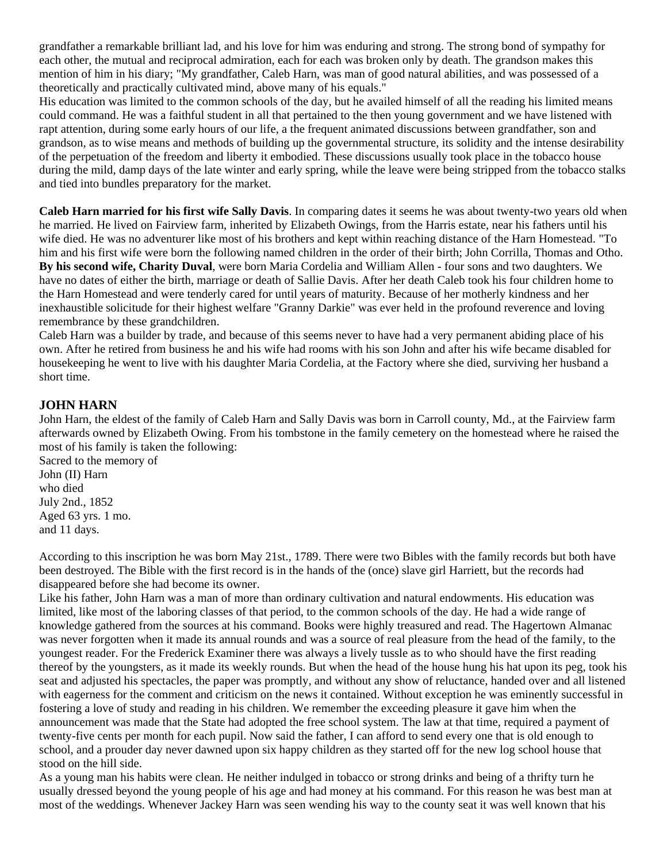grandfather a remarkable brilliant lad, and his love for him was enduring and strong. The strong bond of sympathy for each other, the mutual and reciprocal admiration, each for each was broken only by death. The grandson makes this mention of him in his diary; "My grandfather, Caleb Harn, was man of good natural abilities, and was possessed of a theoretically and practically cultivated mind, above many of his equals."

His education was limited to the common schools of the day, but he availed himself of all the reading his limited means could command. He was a faithful student in all that pertained to the then young government and we have listened with rapt attention, during some early hours of our life, a the frequent animated discussions between grandfather, son and grandson, as to wise means and methods of building up the governmental structure, its solidity and the intense desirability of the perpetuation of the freedom and liberty it embodied. These discussions usually took place in the tobacco house during the mild, damp days of the late winter and early spring, while the leave were being stripped from the tobacco stalks and tied into bundles preparatory for the market.

**Caleb Harn married for his first wife Sally Davis**. In comparing dates it seems he was about twenty-two years old when he married. He lived on Fairview farm, inherited by Elizabeth Owings, from the Harris estate, near his fathers until his wife died. He was no adventurer like most of his brothers and kept within reaching distance of the Harn Homestead. "To him and his first wife were born the following named children in the order of their birth; John Corrilla, Thomas and Otho. **By his second wife, Charity Duval**, were born Maria Cordelia and William Allen - four sons and two daughters. We have no dates of either the birth, marriage or death of Sallie Davis. After her death Caleb took his four children home to the Harn Homestead and were tenderly cared for until years of maturity. Because of her motherly kindness and her inexhaustible solicitude for their highest welfare "Granny Darkie" was ever held in the profound reverence and loving remembrance by these grandchildren.

Caleb Harn was a builder by trade, and because of this seems never to have had a very permanent abiding place of his own. After he retired from business he and his wife had rooms with his son John and after his wife became disabled for housekeeping he went to live with his daughter Maria Cordelia, at the Factory where she died, surviving her husband a short time.

### **JOHN HARN**

John Harn, the eldest of the family of Caleb Harn and Sally Davis was born in Carroll county, Md., at the Fairview farm afterwards owned by Elizabeth Owing. From his tombstone in the family cemetery on the homestead where he raised the most of his family is taken the following:

Sacred to the memory of John (II) Harn who died July 2nd., 1852 Aged 63 yrs. 1 mo. and 11 days.

According to this inscription he was born May 21st., 1789. There were two Bibles with the family records but both have been destroyed. The Bible with the first record is in the hands of the (once) slave girl Harriett, but the records had disappeared before she had become its owner.

Like his father, John Harn was a man of more than ordinary cultivation and natural endowments. His education was limited, like most of the laboring classes of that period, to the common schools of the day. He had a wide range of knowledge gathered from the sources at his command. Books were highly treasured and read. The Hagertown Almanac was never forgotten when it made its annual rounds and was a source of real pleasure from the head of the family, to the youngest reader. For the Frederick Examiner there was always a lively tussle as to who should have the first reading thereof by the youngsters, as it made its weekly rounds. But when the head of the house hung his hat upon its peg, took his seat and adjusted his spectacles, the paper was promptly, and without any show of reluctance, handed over and all listened with eagerness for the comment and criticism on the news it contained. Without exception he was eminently successful in fostering a love of study and reading in his children. We remember the exceeding pleasure it gave him when the announcement was made that the State had adopted the free school system. The law at that time, required a payment of twenty-five cents per month for each pupil. Now said the father, I can afford to send every one that is old enough to school, and a prouder day never dawned upon six happy children as they started off for the new log school house that stood on the hill side.

As a young man his habits were clean. He neither indulged in tobacco or strong drinks and being of a thrifty turn he usually dressed beyond the young people of his age and had money at his command. For this reason he was best man at most of the weddings. Whenever Jackey Harn was seen wending his way to the county seat it was well known that his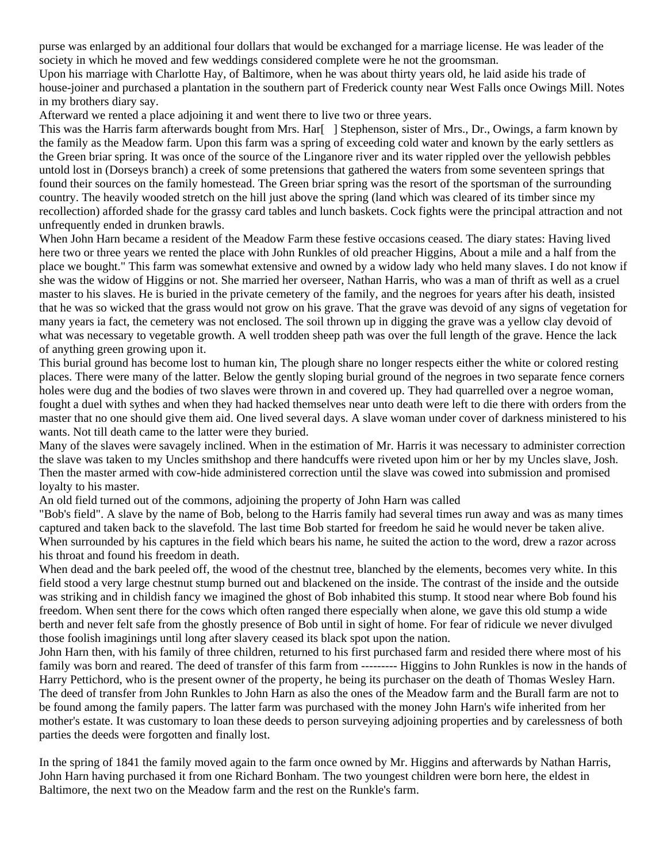purse was enlarged by an additional four dollars that would be exchanged for a marriage license. He was leader of the society in which he moved and few weddings considered complete were he not the groomsman.

Upon his marriage with Charlotte Hay, of Baltimore, when he was about thirty years old, he laid aside his trade of house-joiner and purchased a plantation in the southern part of Frederick county near West Falls once Owings Mill. Notes in my brothers diary say.

Afterward we rented a place adjoining it and went there to live two or three years.

This was the Harris farm afterwards bought from Mrs. Har[ ] Stephenson, sister of Mrs., Dr., Owings, a farm known by the family as the Meadow farm. Upon this farm was a spring of exceeding cold water and known by the early settlers as the Green briar spring. It was once of the source of the Linganore river and its water rippled over the yellowish pebbles untold lost in (Dorseys branch) a creek of some pretensions that gathered the waters from some seventeen springs that found their sources on the family homestead. The Green briar spring was the resort of the sportsman of the surrounding country. The heavily wooded stretch on the hill just above the spring (land which was cleared of its timber since my recollection) afforded shade for the grassy card tables and lunch baskets. Cock fights were the principal attraction and not unfrequently ended in drunken brawls.

When John Harn became a resident of the Meadow Farm these festive occasions ceased. The diary states: Having lived here two or three years we rented the place with John Runkles of old preacher Higgins, About a mile and a half from the place we bought." This farm was somewhat extensive and owned by a widow lady who held many slaves. I do not know if she was the widow of Higgins or not. She married her overseer, Nathan Harris, who was a man of thrift as well as a cruel master to his slaves. He is buried in the private cemetery of the family, and the negroes for years after his death, insisted that he was so wicked that the grass would not grow on his grave. That the grave was devoid of any signs of vegetation for many years ia fact, the cemetery was not enclosed. The soil thrown up in digging the grave was a yellow clay devoid of what was necessary to vegetable growth. A well trodden sheep path was over the full length of the grave. Hence the lack of anything green growing upon it.

This burial ground has become lost to human kin, The plough share no longer respects either the white or colored resting places. There were many of the latter. Below the gently sloping burial ground of the negroes in two separate fence corners holes were dug and the bodies of two slaves were thrown in and covered up. They had quarrelled over a negroe woman, fought a duel with sythes and when they had hacked themselves near unto death were left to die there with orders from the master that no one should give them aid. One lived several days. A slave woman under cover of darkness ministered to his wants. Not till death came to the latter were they buried.

Many of the slaves were savagely inclined. When in the estimation of Mr. Harris it was necessary to administer correction the slave was taken to my Uncles smithshop and there handcuffs were riveted upon him or her by my Uncles slave, Josh. Then the master armed with cow-hide administered correction until the slave was cowed into submission and promised loyalty to his master.

An old field turned out of the commons, adjoining the property of John Harn was called

"Bob's field". A slave by the name of Bob, belong to the Harris family had several times run away and was as many times captured and taken back to the slavefold. The last time Bob started for freedom he said he would never be taken alive. When surrounded by his captures in the field which bears his name, he suited the action to the word, drew a razor across his throat and found his freedom in death.

When dead and the bark peeled off, the wood of the chestnut tree, blanched by the elements, becomes very white. In this field stood a very large chestnut stump burned out and blackened on the inside. The contrast of the inside and the outside was striking and in childish fancy we imagined the ghost of Bob inhabited this stump. It stood near where Bob found his freedom. When sent there for the cows which often ranged there especially when alone, we gave this old stump a wide berth and never felt safe from the ghostly presence of Bob until in sight of home. For fear of ridicule we never divulged those foolish imaginings until long after slavery ceased its black spot upon the nation.

John Harn then, with his family of three children, returned to his first purchased farm and resided there where most of his family was born and reared. The deed of transfer of this farm from --------- Higgins to John Runkles is now in the hands of Harry Pettichord, who is the present owner of the property, he being its purchaser on the death of Thomas Wesley Harn. The deed of transfer from John Runkles to John Harn as also the ones of the Meadow farm and the Burall farm are not to be found among the family papers. The latter farm was purchased with the money John Harn's wife inherited from her mother's estate. It was customary to loan these deeds to person surveying adjoining properties and by carelessness of both parties the deeds were forgotten and finally lost.

In the spring of 1841 the family moved again to the farm once owned by Mr. Higgins and afterwards by Nathan Harris, John Harn having purchased it from one Richard Bonham. The two youngest children were born here, the eldest in Baltimore, the next two on the Meadow farm and the rest on the Runkle's farm.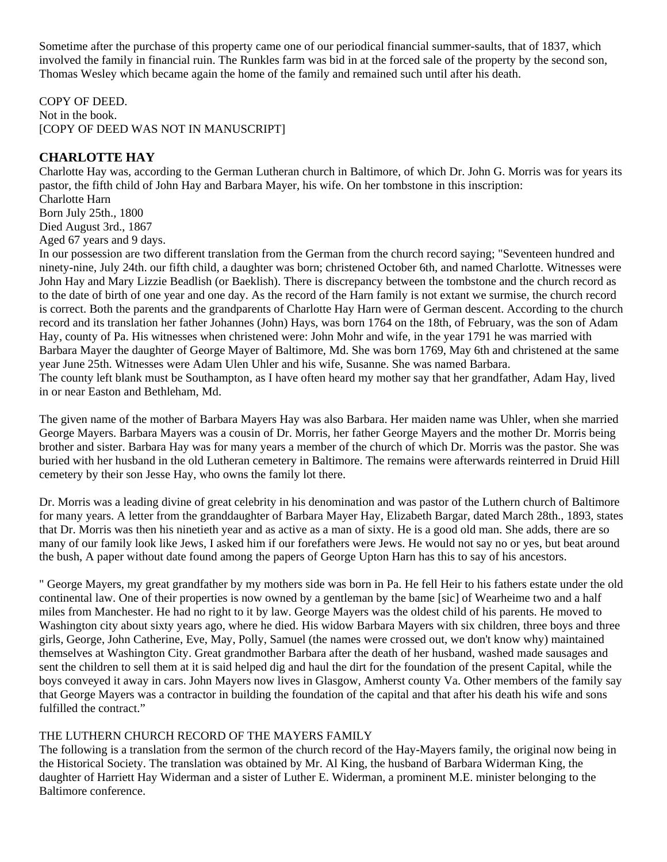Sometime after the purchase of this property came one of our periodical financial summer-saults, that of 1837, which involved the family in financial ruin. The Runkles farm was bid in at the forced sale of the property by the second son, Thomas Wesley which became again the home of the family and remained such until after his death.

COPY OF DEED. Not in the book. [COPY OF DEED WAS NOT IN MANUSCRIPT]

### **CHARLOTTE HAY**

Charlotte Hay was, according to the German Lutheran church in Baltimore, of which Dr. John G. Morris was for years its pastor, the fifth child of John Hay and Barbara Mayer, his wife. On her tombstone in this inscription:

Charlotte Harn Born July 25th., 1800 Died August 3rd., 1867 Aged 67 years and 9 days.

In our possession are two different translation from the German from the church record saying; "Seventeen hundred and ninety-nine, July 24th. our fifth child, a daughter was born; christened October 6th, and named Charlotte. Witnesses were John Hay and Mary Lizzie Beadlish (or Baeklish). There is discrepancy between the tombstone and the church record as to the date of birth of one year and one day. As the record of the Harn family is not extant we surmise, the church record is correct. Both the parents and the grandparents of Charlotte Hay Harn were of German descent. According to the church record and its translation her father Johannes (John) Hays, was born 1764 on the 18th, of February, was the son of Adam Hay, county of Pa. His witnesses when christened were: John Mohr and wife, in the year 1791 he was married with Barbara Mayer the daughter of George Mayer of Baltimore, Md. She was born 1769, May 6th and christened at the same year June 25th. Witnesses were Adam Ulen Uhler and his wife, Susanne. She was named Barbara. The county left blank must be Southampton, as I have often heard my mother say that her grandfather, Adam Hay, lived in or near Easton and Bethleham, Md.

The given name of the mother of Barbara Mayers Hay was also Barbara. Her maiden name was Uhler, when she married George Mayers. Barbara Mayers was a cousin of Dr. Morris, her father George Mayers and the mother Dr. Morris being brother and sister. Barbara Hay was for many years a member of the church of which Dr. Morris was the pastor. She was buried with her husband in the old Lutheran cemetery in Baltimore. The remains were afterwards reinterred in Druid Hill cemetery by their son Jesse Hay, who owns the family lot there.

Dr. Morris was a leading divine of great celebrity in his denomination and was pastor of the Luthern church of Baltimore for many years. A letter from the granddaughter of Barbara Mayer Hay, Elizabeth Bargar, dated March 28th., 1893, states that Dr. Morris was then his ninetieth year and as active as a man of sixty. He is a good old man. She adds, there are so many of our family look like Jews, I asked him if our forefathers were Jews. He would not say no or yes, but beat around the bush, A paper without date found among the papers of George Upton Harn has this to say of his ancestors.

" George Mayers, my great grandfather by my mothers side was born in Pa. He fell Heir to his fathers estate under the old continental law. One of their properties is now owned by a gentleman by the bame [sic] of Wearheime two and a half miles from Manchester. He had no right to it by law. George Mayers was the oldest child of his parents. He moved to Washington city about sixty years ago, where he died. His widow Barbara Mayers with six children, three boys and three girls, George, John Catherine, Eve, May, Polly, Samuel (the names were crossed out, we don't know why) maintained themselves at Washington City. Great grandmother Barbara after the death of her husband, washed made sausages and sent the children to sell them at it is said helped dig and haul the dirt for the foundation of the present Capital, while the boys conveyed it away in cars. John Mayers now lives in Glasgow, Amherst county Va. Other members of the family say that George Mayers was a contractor in building the foundation of the capital and that after his death his wife and sons fulfilled the contract."

#### THE LUTHERN CHURCH RECORD OF THE MAYERS FAMILY

The following is a translation from the sermon of the church record of the Hay-Mayers family, the original now being in the Historical Society. The translation was obtained by Mr. Al King, the husband of Barbara Widerman King, the daughter of Harriett Hay Widerman and a sister of Luther E. Widerman, a prominent M.E. minister belonging to the Baltimore conference.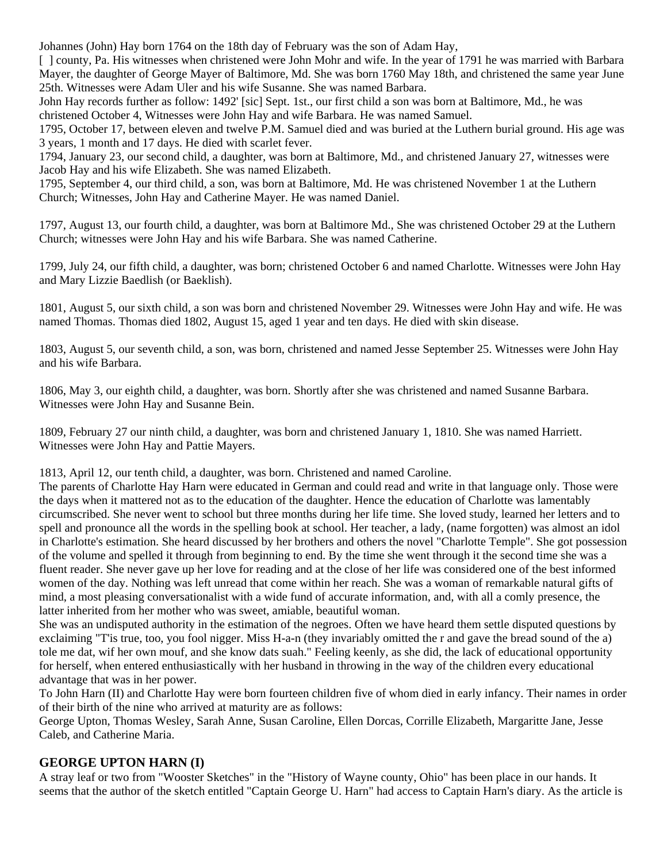Johannes (John) Hay born 1764 on the 18th day of February was the son of Adam Hay,

[ ] county, Pa. His witnesses when christened were John Mohr and wife. In the year of 1791 he was married with Barbara Mayer, the daughter of George Mayer of Baltimore, Md. She was born 1760 May 18th, and christened the same year June 25th. Witnesses were Adam Uler and his wife Susanne. She was named Barbara.

John Hay records further as follow: 1492' [sic] Sept. 1st., our first child a son was born at Baltimore, Md., he was christened October 4, Witnesses were John Hay and wife Barbara. He was named Samuel.

1795, October 17, between eleven and twelve P.M. Samuel died and was buried at the Luthern burial ground. His age was 3 years, 1 month and 17 days. He died with scarlet fever.

1794, January 23, our second child, a daughter, was born at Baltimore, Md., and christened January 27, witnesses were Jacob Hay and his wife Elizabeth. She was named Elizabeth.

1795, September 4, our third child, a son, was born at Baltimore, Md. He was christened November 1 at the Luthern Church; Witnesses, John Hay and Catherine Mayer. He was named Daniel.

1797, August 13, our fourth child, a daughter, was born at Baltimore Md., She was christened October 29 at the Luthern Church; witnesses were John Hay and his wife Barbara. She was named Catherine.

1799, July 24, our fifth child, a daughter, was born; christened October 6 and named Charlotte. Witnesses were John Hay and Mary Lizzie Baedlish (or Baeklish).

1801, August 5, our sixth child, a son was born and christened November 29. Witnesses were John Hay and wife. He was named Thomas. Thomas died 1802, August 15, aged 1 year and ten days. He died with skin disease.

1803, August 5, our seventh child, a son, was born, christened and named Jesse September 25. Witnesses were John Hay and his wife Barbara.

1806, May 3, our eighth child, a daughter, was born. Shortly after she was christened and named Susanne Barbara. Witnesses were John Hay and Susanne Bein.

1809, February 27 our ninth child, a daughter, was born and christened January 1, 1810. She was named Harriett. Witnesses were John Hay and Pattie Mayers.

1813, April 12, our tenth child, a daughter, was born. Christened and named Caroline.

The parents of Charlotte Hay Harn were educated in German and could read and write in that language only. Those were the days when it mattered not as to the education of the daughter. Hence the education of Charlotte was lamentably circumscribed. She never went to school but three months during her life time. She loved study, learned her letters and to spell and pronounce all the words in the spelling book at school. Her teacher, a lady, (name forgotten) was almost an idol in Charlotte's estimation. She heard discussed by her brothers and others the novel "Charlotte Temple". She got possession of the volume and spelled it through from beginning to end. By the time she went through it the second time she was a fluent reader. She never gave up her love for reading and at the close of her life was considered one of the best informed women of the day. Nothing was left unread that come within her reach. She was a woman of remarkable natural gifts of mind, a most pleasing conversationalist with a wide fund of accurate information, and, with all a comly presence, the latter inherited from her mother who was sweet, amiable, beautiful woman.

She was an undisputed authority in the estimation of the negroes. Often we have heard them settle disputed questions by exclaiming "T'is true, too, you fool nigger. Miss H-a-n (they invariably omitted the r and gave the bread sound of the a) tole me dat, wif her own mouf, and she know dats suah." Feeling keenly, as she did, the lack of educational opportunity for herself, when entered enthusiastically with her husband in throwing in the way of the children every educational advantage that was in her power.

To John Harn (II) and Charlotte Hay were born fourteen children five of whom died in early infancy. Their names in order of their birth of the nine who arrived at maturity are as follows:

George Upton, Thomas Wesley, Sarah Anne, Susan Caroline, Ellen Dorcas, Corrille Elizabeth, Margaritte Jane, Jesse Caleb, and Catherine Maria.

### **GEORGE UPTON HARN (I)**

A stray leaf or two from "Wooster Sketches" in the "History of Wayne county, Ohio" has been place in our hands. It seems that the author of the sketch entitled "Captain George U. Harn" had access to Captain Harn's diary. As the article is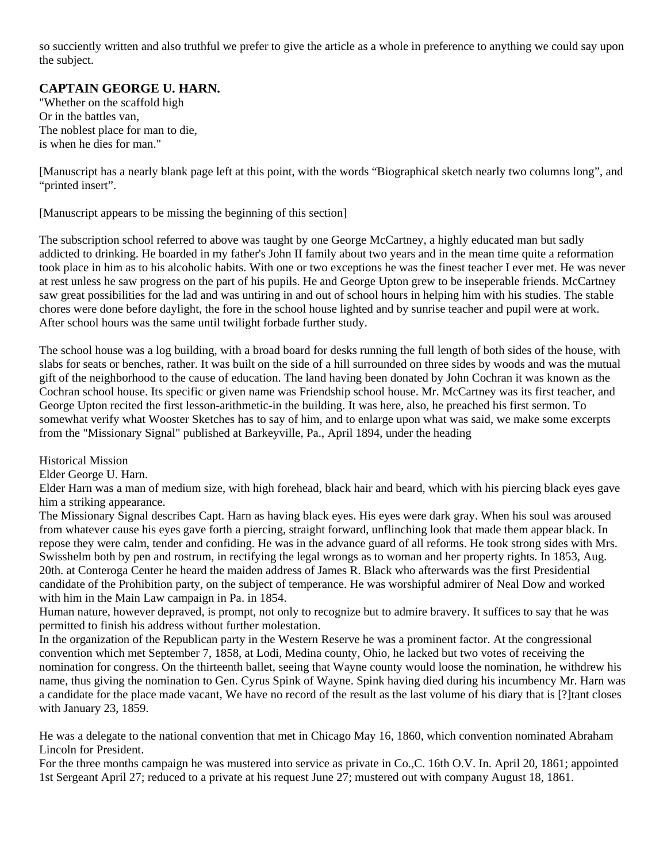so succiently written and also truthful we prefer to give the article as a whole in preference to anything we could say upon the subject.

### **CAPTAIN GEORGE U. HARN.**

"Whether on the scaffold high Or in the battles van, The noblest place for man to die, is when he dies for man."

[Manuscript has a nearly blank page left at this point, with the words "Biographical sketch nearly two columns long", and "printed insert".

[Manuscript appears to be missing the beginning of this section]

The subscription school referred to above was taught by one George McCartney, a highly educated man but sadly addicted to drinking. He boarded in my father's John II family about two years and in the mean time quite a reformation took place in him as to his alcoholic habits. With one or two exceptions he was the finest teacher I ever met. He was never at rest unless he saw progress on the part of his pupils. He and George Upton grew to be inseperable friends. McCartney saw great possibilities for the lad and was untiring in and out of school hours in helping him with his studies. The stable chores were done before daylight, the fore in the school house lighted and by sunrise teacher and pupil were at work. After school hours was the same until twilight forbade further study.

The school house was a log building, with a broad board for desks running the full length of both sides of the house, with slabs for seats or benches, rather. It was built on the side of a hill surrounded on three sides by woods and was the mutual gift of the neighborhood to the cause of education. The land having been donated by John Cochran it was known as the Cochran school house. Its specific or given name was Friendship school house. Mr. McCartney was its first teacher, and George Upton recited the first lesson-arithmetic-in the building. It was here, also, he preached his first sermon. To somewhat verify what Wooster Sketches has to say of him, and to enlarge upon what was said, we make some excerpts from the "Missionary Signal" published at Barkeyville, Pa., April 1894, under the heading

Historical Mission

Elder George U. Harn.

Elder Harn was a man of medium size, with high forehead, black hair and beard, which with his piercing black eyes gave him a striking appearance.

The Missionary Signal describes Capt. Harn as having black eyes. His eyes were dark gray. When his soul was aroused from whatever cause his eyes gave forth a piercing, straight forward, unflinching look that made them appear black. In repose they were calm, tender and confiding. He was in the advance guard of all reforms. He took strong sides with Mrs. Swisshelm both by pen and rostrum, in rectifying the legal wrongs as to woman and her property rights. In 1853, Aug. 20th. at Conteroga Center he heard the maiden address of James R. Black who afterwards was the first Presidential candidate of the Prohibition party, on the subject of temperance. He was worshipful admirer of Neal Dow and worked with him in the Main Law campaign in Pa. in 1854.

Human nature, however depraved, is prompt, not only to recognize but to admire bravery. It suffices to say that he was permitted to finish his address without further molestation.

In the organization of the Republican party in the Western Reserve he was a prominent factor. At the congressional convention which met September 7, 1858, at Lodi, Medina county, Ohio, he lacked but two votes of receiving the nomination for congress. On the thirteenth ballet, seeing that Wayne county would loose the nomination, he withdrew his name, thus giving the nomination to Gen. Cyrus Spink of Wayne. Spink having died during his incumbency Mr. Harn was a candidate for the place made vacant, We have no record of the result as the last volume of his diary that is [?]tant closes with January 23, 1859.

He was a delegate to the national convention that met in Chicago May 16, 1860, which convention nominated Abraham Lincoln for President.

For the three months campaign he was mustered into service as private in Co.,C. 16th O.V. In. April 20, 1861; appointed 1st Sergeant April 27; reduced to a private at his request June 27; mustered out with company August 18, 1861.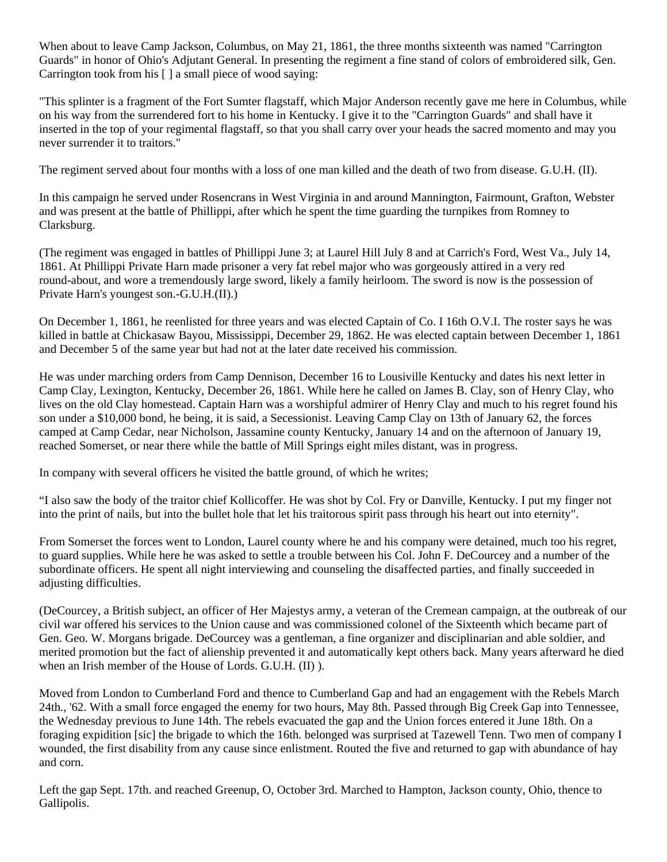When about to leave Camp Jackson, Columbus, on May 21, 1861, the three months sixteenth was named "Carrington Guards" in honor of Ohio's Adjutant General. In presenting the regiment a fine stand of colors of embroidered silk, Gen. Carrington took from his [ ] a small piece of wood saying:

"This splinter is a fragment of the Fort Sumter flagstaff, which Major Anderson recently gave me here in Columbus, while on his way from the surrendered fort to his home in Kentucky. I give it to the "Carrington Guards" and shall have it inserted in the top of your regimental flagstaff, so that you shall carry over your heads the sacred momento and may you never surrender it to traitors."

The regiment served about four months with a loss of one man killed and the death of two from disease. G.U.H. (II).

In this campaign he served under Rosencrans in West Virginia in and around Mannington, Fairmount, Grafton, Webster and was present at the battle of Phillippi, after which he spent the time guarding the turnpikes from Romney to Clarksburg.

(The regiment was engaged in battles of Phillippi June 3; at Laurel Hill July 8 and at Carrich's Ford, West Va., July 14, 1861. At Phillippi Private Harn made prisoner a very fat rebel major who was gorgeously attired in a very red round-about, and wore a tremendously large sword, likely a family heirloom. The sword is now is the possession of Private Harn's youngest son.-G.U.H.(II).)

On December 1, 1861, he reenlisted for three years and was elected Captain of Co. I 16th O.V.I. The roster says he was killed in battle at Chickasaw Bayou, Mississippi, December 29, 1862. He was elected captain between December 1, 1861 and December 5 of the same year but had not at the later date received his commission.

He was under marching orders from Camp Dennison, December 16 to Lousiville Kentucky and dates his next letter in Camp Clay, Lexington, Kentucky, December 26, 1861. While here he called on James B. Clay, son of Henry Clay, who lives on the old Clay homestead. Captain Harn was a worshipful admirer of Henry Clay and much to his regret found his son under a \$10,000 bond, he being, it is said, a Secessionist. Leaving Camp Clay on 13th of January 62, the forces camped at Camp Cedar, near Nicholson, Jassamine county Kentucky, January 14 and on the afternoon of January 19, reached Somerset, or near there while the battle of Mill Springs eight miles distant, was in progress.

In company with several officers he visited the battle ground, of which he writes;

"I also saw the body of the traitor chief Kollicoffer. He was shot by Col. Fry or Danville, Kentucky. I put my finger not into the print of nails, but into the bullet hole that let his traitorous spirit pass through his heart out into eternity".

From Somerset the forces went to London, Laurel county where he and his company were detained, much too his regret, to guard supplies. While here he was asked to settle a trouble between his Col. John F. DeCourcey and a number of the subordinate officers. He spent all night interviewing and counseling the disaffected parties, and finally succeeded in adjusting difficulties.

(DeCourcey, a British subject, an officer of Her Majestys army, a veteran of the Cremean campaign, at the outbreak of our civil war offered his services to the Union cause and was commissioned colonel of the Sixteenth which became part of Gen. Geo. W. Morgans brigade. DeCourcey was a gentleman, a fine organizer and disciplinarian and able soldier, and merited promotion but the fact of alienship prevented it and automatically kept others back. Many years afterward he died when an Irish member of the House of Lords. G.U.H. (II) ).

Moved from London to Cumberland Ford and thence to Cumberland Gap and had an engagement with the Rebels March 24th., '62. With a small force engaged the enemy for two hours, May 8th. Passed through Big Creek Gap into Tennessee, the Wednesday previous to June 14th. The rebels evacuated the gap and the Union forces entered it June 18th. On a foraging expidition [sic] the brigade to which the 16th. belonged was surprised at Tazewell Tenn. Two men of company I wounded, the first disability from any cause since enlistment. Routed the five and returned to gap with abundance of hay and corn.

Left the gap Sept. 17th. and reached Greenup, O, October 3rd. Marched to Hampton, Jackson county, Ohio, thence to Gallipolis.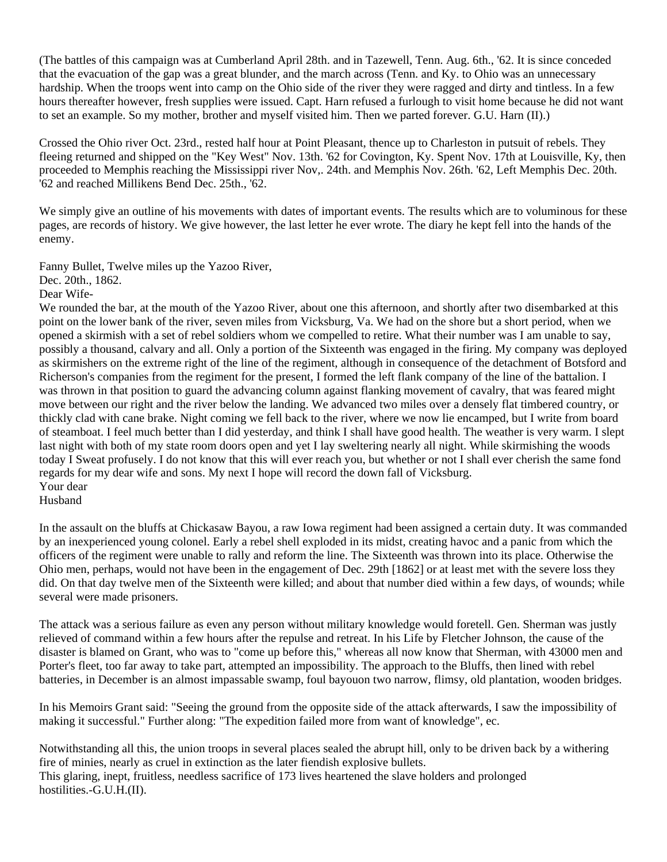(The battles of this campaign was at Cumberland April 28th. and in Tazewell, Tenn. Aug. 6th., '62. It is since conceded that the evacuation of the gap was a great blunder, and the march across (Tenn. and Ky. to Ohio was an unnecessary hardship. When the troops went into camp on the Ohio side of the river they were ragged and dirty and tintless. In a few hours thereafter however, fresh supplies were issued. Capt. Harn refused a furlough to visit home because he did not want to set an example. So my mother, brother and myself visited him. Then we parted forever. G.U. Harn (II).)

Crossed the Ohio river Oct. 23rd., rested half hour at Point Pleasant, thence up to Charleston in putsuit of rebels. They fleeing returned and shipped on the "Key West" Nov. 13th. '62 for Covington, Ky. Spent Nov. 17th at Louisville, Ky, then proceeded to Memphis reaching the Mississippi river Nov,. 24th. and Memphis Nov. 26th. '62, Left Memphis Dec. 20th. '62 and reached Millikens Bend Dec. 25th., '62.

We simply give an outline of his movements with dates of important events. The results which are to voluminous for these pages, are records of history. We give however, the last letter he ever wrote. The diary he kept fell into the hands of the enemy.

Fanny Bullet, Twelve miles up the Yazoo River,

Dec. 20th., 1862.

Dear Wife-

We rounded the bar, at the mouth of the Yazoo River, about one this afternoon, and shortly after two disembarked at this point on the lower bank of the river, seven miles from Vicksburg, Va. We had on the shore but a short period, when we opened a skirmish with a set of rebel soldiers whom we compelled to retire. What their number was I am unable to say, possibly a thousand, calvary and all. Only a portion of the Sixteenth was engaged in the firing. My company was deployed as skirmishers on the extreme right of the line of the regiment, although in consequence of the detachment of Botsford and Richerson's companies from the regiment for the present, I formed the left flank company of the line of the battalion. I was thrown in that position to guard the advancing column against flanking movement of cavalry, that was feared might move between our right and the river below the landing. We advanced two miles over a densely flat timbered country, or thickly clad with cane brake. Night coming we fell back to the river, where we now lie encamped, but I write from board of steamboat. I feel much better than I did yesterday, and think I shall have good health. The weather is very warm. I slept last night with both of my state room doors open and yet I lay sweltering nearly all night. While skirmishing the woods today I Sweat profusely. I do not know that this will ever reach you, but whether or not I shall ever cherish the same fond regards for my dear wife and sons. My next I hope will record the down fall of Vicksburg. Your dear

Husband

In the assault on the bluffs at Chickasaw Bayou, a raw Iowa regiment had been assigned a certain duty. It was commanded by an inexperienced young colonel. Early a rebel shell exploded in its midst, creating havoc and a panic from which the officers of the regiment were unable to rally and reform the line. The Sixteenth was thrown into its place. Otherwise the Ohio men, perhaps, would not have been in the engagement of Dec. 29th [1862] or at least met with the severe loss they did. On that day twelve men of the Sixteenth were killed; and about that number died within a few days, of wounds; while several were made prisoners.

The attack was a serious failure as even any person without military knowledge would foretell. Gen. Sherman was justly relieved of command within a few hours after the repulse and retreat. In his Life by Fletcher Johnson, the cause of the disaster is blamed on Grant, who was to "come up before this," whereas all now know that Sherman, with 43000 men and Porter's fleet, too far away to take part, attempted an impossibility. The approach to the Bluffs, then lined with rebel batteries, in December is an almost impassable swamp, foul bayouon two narrow, flimsy, old plantation, wooden bridges.

In his Memoirs Grant said: "Seeing the ground from the opposite side of the attack afterwards, I saw the impossibility of making it successful." Further along: "The expedition failed more from want of knowledge", ec.

Notwithstanding all this, the union troops in several places sealed the abrupt hill, only to be driven back by a withering fire of minies, nearly as cruel in extinction as the later fiendish explosive bullets. This glaring, inept, fruitless, needless sacrifice of 173 lives heartened the slave holders and prolonged hostilities.-G.U.H.(II).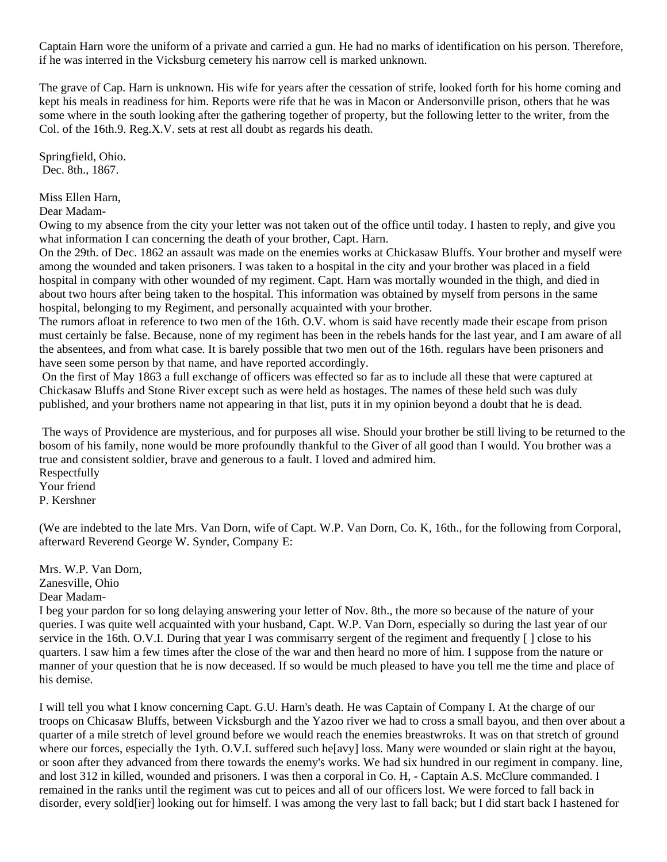Captain Harn wore the uniform of a private and carried a gun. He had no marks of identification on his person. Therefore, if he was interred in the Vicksburg cemetery his narrow cell is marked unknown.

The grave of Cap. Harn is unknown. His wife for years after the cessation of strife, looked forth for his home coming and kept his meals in readiness for him. Reports were rife that he was in Macon or Andersonville prison, others that he was some where in the south looking after the gathering together of property, but the following letter to the writer, from the Col. of the 16th.9. Reg.X.V. sets at rest all doubt as regards his death.

Springfield, Ohio. Dec. 8th., 1867.

Miss Ellen Harn,

Dear Madam-

Owing to my absence from the city your letter was not taken out of the office until today. I hasten to reply, and give you what information I can concerning the death of your brother, Capt. Harn.

On the 29th. of Dec. 1862 an assault was made on the enemies works at Chickasaw Bluffs. Your brother and myself were among the wounded and taken prisoners. I was taken to a hospital in the city and your brother was placed in a field hospital in company with other wounded of my regiment. Capt. Harn was mortally wounded in the thigh, and died in about two hours after being taken to the hospital. This information was obtained by myself from persons in the same hospital, belonging to my Regiment, and personally acquainted with your brother.

The rumors afloat in reference to two men of the 16th. O.V. whom is said have recently made their escape from prison must certainly be false. Because, none of my regiment has been in the rebels hands for the last year, and I am aware of all the absentees, and from what case. It is barely possible that two men out of the 16th. regulars have been prisoners and have seen some person by that name, and have reported accordingly.

 On the first of May 1863 a full exchange of officers was effected so far as to include all these that were captured at Chickasaw Bluffs and Stone River except such as were held as hostages. The names of these held such was duly published, and your brothers name not appearing in that list, puts it in my opinion beyond a doubt that he is dead.

 The ways of Providence are mysterious, and for purposes all wise. Should your brother be still living to be returned to the bosom of his family, none would be more profoundly thankful to the Giver of all good than I would. You brother was a true and consistent soldier, brave and generous to a fault. I loved and admired him. Respectfully Your friend P. Kershner

(We are indebted to the late Mrs. Van Dorn, wife of Capt. W.P. Van Dorn, Co. K, 16th., for the following from Corporal, afterward Reverend George W. Synder, Company E:

Mrs. W.P. Van Dorn, Zanesville, Ohio Dear Madam-

I beg your pardon for so long delaying answering your letter of Nov. 8th., the more so because of the nature of your queries. I was quite well acquainted with your husband, Capt. W.P. Van Dorn, especially so during the last year of our service in the 16th. O.V.I. During that year I was commisarry sergent of the regiment and frequently [ ] close to his quarters. I saw him a few times after the close of the war and then heard no more of him. I suppose from the nature or manner of your question that he is now deceased. If so would be much pleased to have you tell me the time and place of his demise.

I will tell you what I know concerning Capt. G.U. Harn's death. He was Captain of Company I. At the charge of our troops on Chicasaw Bluffs, between Vicksburgh and the Yazoo river we had to cross a small bayou, and then over about a quarter of a mile stretch of level ground before we would reach the enemies breastwroks. It was on that stretch of ground where our forces, especially the 1yth. O.V.I. suffered such he[avy] loss. Many were wounded or slain right at the bayou, or soon after they advanced from there towards the enemy's works. We had six hundred in our regiment in company. line, and lost 312 in killed, wounded and prisoners. I was then a corporal in Co. H, - Captain A.S. McClure commanded. I remained in the ranks until the regiment was cut to peices and all of our officers lost. We were forced to fall back in disorder, every sold[ier] looking out for himself. I was among the very last to fall back; but I did start back I hastened for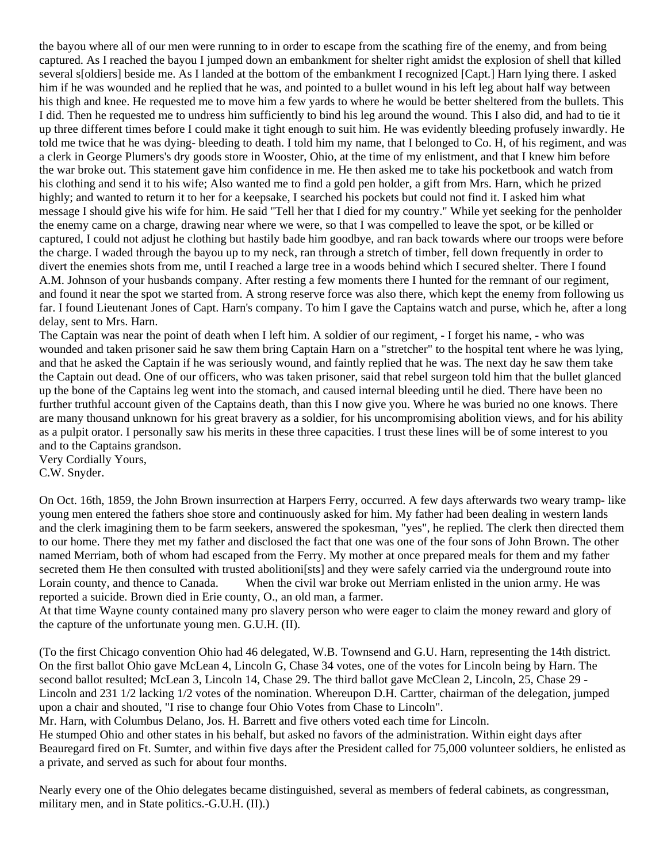the bayou where all of our men were running to in order to escape from the scathing fire of the enemy, and from being captured. As I reached the bayou I jumped down an embankment for shelter right amidst the explosion of shell that killed several s[oldiers] beside me. As I landed at the bottom of the embankment I recognized [Capt.] Harn lying there. I asked him if he was wounded and he replied that he was, and pointed to a bullet wound in his left leg about half way between his thigh and knee. He requested me to move him a few yards to where he would be better sheltered from the bullets. This I did. Then he requested me to undress him sufficiently to bind his leg around the wound. This I also did, and had to tie it up three different times before I could make it tight enough to suit him. He was evidently bleeding profusely inwardly. He told me twice that he was dying- bleeding to death. I told him my name, that I belonged to Co. H, of his regiment, and was a clerk in George Plumers's dry goods store in Wooster, Ohio, at the time of my enlistment, and that I knew him before the war broke out. This statement gave him confidence in me. He then asked me to take his pocketbook and watch from his clothing and send it to his wife; Also wanted me to find a gold pen holder, a gift from Mrs. Harn, which he prized highly; and wanted to return it to her for a keepsake, I searched his pockets but could not find it. I asked him what message I should give his wife for him. He said "Tell her that I died for my country." While yet seeking for the penholder the enemy came on a charge, drawing near where we were, so that I was compelled to leave the spot, or be killed or captured, I could not adjust he clothing but hastily bade him goodbye, and ran back towards where our troops were before the charge. I waded through the bayou up to my neck, ran through a stretch of timber, fell down frequently in order to divert the enemies shots from me, until I reached a large tree in a woods behind which I secured shelter. There I found A.M. Johnson of your husbands company. After resting a few moments there I hunted for the remnant of our regiment, and found it near the spot we started from. A strong reserve force was also there, which kept the enemy from following us far. I found Lieutenant Jones of Capt. Harn's company. To him I gave the Captains watch and purse, which he, after a long delay, sent to Mrs. Harn.

The Captain was near the point of death when I left him. A soldier of our regiment, - I forget his name, - who was wounded and taken prisoner said he saw them bring Captain Harn on a "stretcher" to the hospital tent where he was lying, and that he asked the Captain if he was seriously wound, and faintly replied that he was. The next day he saw them take the Captain out dead. One of our officers, who was taken prisoner, said that rebel surgeon told him that the bullet glanced up the bone of the Captains leg went into the stomach, and caused internal bleeding until he died. There have been no further truthful account given of the Captains death, than this I now give you. Where he was buried no one knows. There are many thousand unknown for his great bravery as a soldier, for his uncompromising abolition views, and for his ability as a pulpit orator. I personally saw his merits in these three capacities. I trust these lines will be of some interest to you and to the Captains grandson.

Very Cordially Yours, C.W. Snyder.

On Oct. 16th, 1859, the John Brown insurrection at Harpers Ferry, occurred. A few days afterwards two weary tramp- like young men entered the fathers shoe store and continuously asked for him. My father had been dealing in western lands and the clerk imagining them to be farm seekers, answered the spokesman, "yes", he replied. The clerk then directed them to our home. There they met my father and disclosed the fact that one was one of the four sons of John Brown. The other named Merriam, both of whom had escaped from the Ferry. My mother at once prepared meals for them and my father secreted them He then consulted with trusted abolitioni[sts] and they were safely carried via the underground route into Lorain county, and thence to Canada. When the civil war broke out Merriam enlisted in the union army. He was reported a suicide. Brown died in Erie county, O., an old man, a farmer.

At that time Wayne county contained many pro slavery person who were eager to claim the money reward and glory of the capture of the unfortunate young men. G.U.H. (II).

(To the first Chicago convention Ohio had 46 delegated, W.B. Townsend and G.U. Harn, representing the 14th district. On the first ballot Ohio gave McLean 4, Lincoln G, Chase 34 votes, one of the votes for Lincoln being by Harn. The second ballot resulted; McLean 3, Lincoln 14, Chase 29. The third ballot gave McClean 2, Lincoln, 25, Chase 29 - Lincoln and 231 1/2 lacking 1/2 votes of the nomination. Whereupon D.H. Cartter, chairman of the delegation, jumped upon a chair and shouted, "I rise to change four Ohio Votes from Chase to Lincoln".

Mr. Harn, with Columbus Delano, Jos. H. Barrett and five others voted each time for Lincoln.

He stumped Ohio and other states in his behalf, but asked no favors of the administration. Within eight days after Beauregard fired on Ft. Sumter, and within five days after the President called for 75,000 volunteer soldiers, he enlisted as a private, and served as such for about four months.

Nearly every one of the Ohio delegates became distinguished, several as members of federal cabinets, as congressman, military men, and in State politics.-G.U.H. (II).)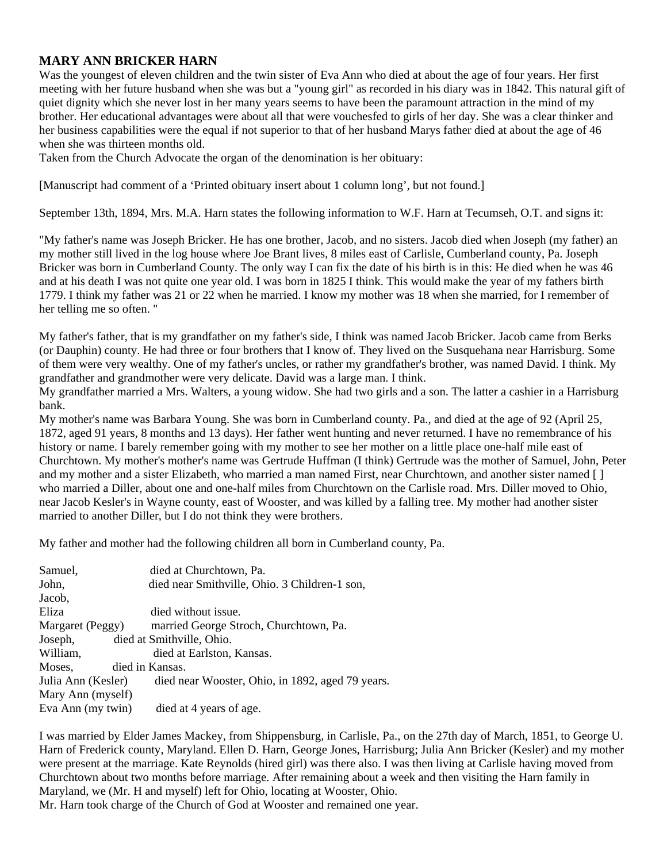### **MARY ANN BRICKER HARN**

Was the youngest of eleven children and the twin sister of Eva Ann who died at about the age of four years. Her first meeting with her future husband when she was but a "young girl" as recorded in his diary was in 1842. This natural gift of quiet dignity which she never lost in her many years seems to have been the paramount attraction in the mind of my brother. Her educational advantages were about all that were vouchesfed to girls of her day. She was a clear thinker and her business capabilities were the equal if not superior to that of her husband Marys father died at about the age of 46 when she was thirteen months old.

Taken from the Church Advocate the organ of the denomination is her obituary:

[Manuscript had comment of a 'Printed obituary insert about 1 column long', but not found.]

September 13th, 1894, Mrs. M.A. Harn states the following information to W.F. Harn at Tecumseh, O.T. and signs it:

"My father's name was Joseph Bricker. He has one brother, Jacob, and no sisters. Jacob died when Joseph (my father) an my mother still lived in the log house where Joe Brant lives, 8 miles east of Carlisle, Cumberland county, Pa. Joseph Bricker was born in Cumberland County. The only way I can fix the date of his birth is in this: He died when he was 46 and at his death I was not quite one year old. I was born in 1825 I think. This would make the year of my fathers birth 1779. I think my father was 21 or 22 when he married. I know my mother was 18 when she married, for I remember of her telling me so often. "

My father's father, that is my grandfather on my father's side, I think was named Jacob Bricker. Jacob came from Berks (or Dauphin) county. He had three or four brothers that I know of. They lived on the Susquehana near Harrisburg. Some of them were very wealthy. One of my father's uncles, or rather my grandfather's brother, was named David. I think. My grandfather and grandmother were very delicate. David was a large man. I think.

My grandfather married a Mrs. Walters, a young widow. She had two girls and a son. The latter a cashier in a Harrisburg bank.

My mother's name was Barbara Young. She was born in Cumberland county. Pa., and died at the age of 92 (April 25, 1872, aged 91 years, 8 months and 13 days). Her father went hunting and never returned. I have no remembrance of his history or name. I barely remember going with my mother to see her mother on a little place one-half mile east of Churchtown. My mother's mother's name was Gertrude Huffman (I think) Gertrude was the mother of Samuel, John, Peter and my mother and a sister Elizabeth, who married a man named First, near Churchtown, and another sister named [ ] who married a Diller, about one and one-half miles from Churchtown on the Carlisle road. Mrs. Diller moved to Ohio, near Jacob Kesler's in Wayne county, east of Wooster, and was killed by a falling tree. My mother had another sister married to another Diller, but I do not think they were brothers.

My father and mother had the following children all born in Cumberland county, Pa.

| Samuel,            | died at Churchtown, Pa.                          |
|--------------------|--------------------------------------------------|
| John,              | died near Smithville, Ohio. 3 Children-1 son,    |
| Jacob,             |                                                  |
| Eliza              | died without issue.                              |
| Margaret (Peggy)   | married George Stroch, Churchtown, Pa.           |
| Joseph,            | died at Smithville, Ohio.                        |
| William,           | died at Earlston, Kansas.                        |
| Moses,             | died in Kansas.                                  |
| Julia Ann (Kesler) | died near Wooster, Ohio, in 1892, aged 79 years. |
| Mary Ann (myself)  |                                                  |
| Eva Ann (my twin)  | died at 4 years of age.                          |

I was married by Elder James Mackey, from Shippensburg, in Carlisle, Pa., on the 27th day of March, 1851, to George U. Harn of Frederick county, Maryland. Ellen D. Harn, George Jones, Harrisburg; Julia Ann Bricker (Kesler) and my mother were present at the marriage. Kate Reynolds (hired girl) was there also. I was then living at Carlisle having moved from Churchtown about two months before marriage. After remaining about a week and then visiting the Harn family in Maryland, we (Mr. H and myself) left for Ohio, locating at Wooster, Ohio.

Mr. Harn took charge of the Church of God at Wooster and remained one year.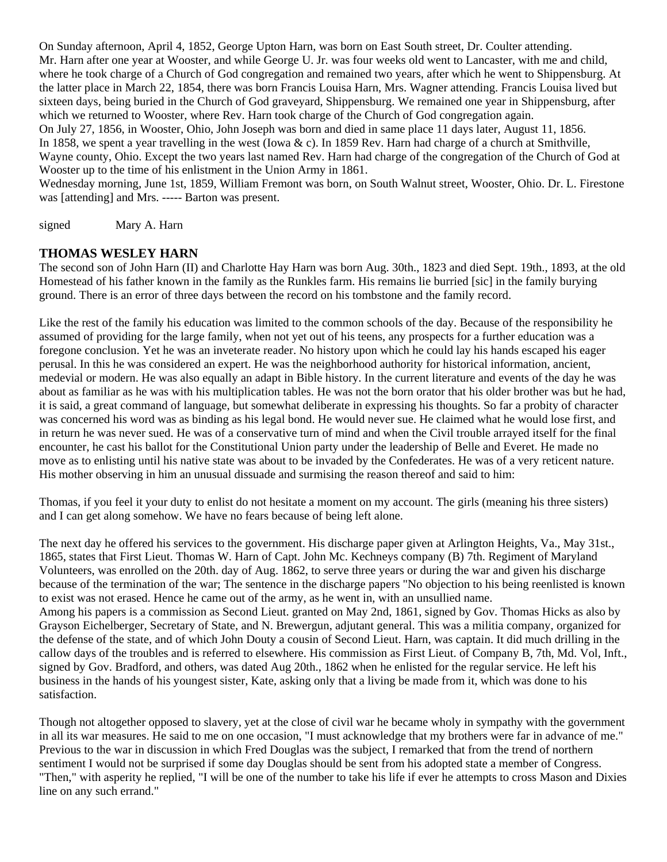On Sunday afternoon, April 4, 1852, George Upton Harn, was born on East South street, Dr. Coulter attending. Mr. Harn after one year at Wooster, and while George U. Jr. was four weeks old went to Lancaster, with me and child, where he took charge of a Church of God congregation and remained two years, after which he went to Shippensburg. At the latter place in March 22, 1854, there was born Francis Louisa Harn, Mrs. Wagner attending. Francis Louisa lived but sixteen days, being buried in the Church of God graveyard, Shippensburg. We remained one year in Shippensburg, after which we returned to Wooster, where Rev. Harn took charge of the Church of God congregation again. On July 27, 1856, in Wooster, Ohio, John Joseph was born and died in same place 11 days later, August 11, 1856. In 1858, we spent a year travelling in the west (Iowa  $\& c$ ). In 1859 Rev. Harn had charge of a church at Smithville, Wayne county, Ohio. Except the two years last named Rev. Harn had charge of the congregation of the Church of God at Wooster up to the time of his enlistment in the Union Army in 1861.

Wednesday morning, June 1st, 1859, William Fremont was born, on South Walnut street, Wooster, Ohio. Dr. L. Firestone was [attending] and Mrs. ----- Barton was present.

signed Mary A. Harn

satisfaction.

#### **THOMAS WESLEY HARN**

The second son of John Harn (II) and Charlotte Hay Harn was born Aug. 30th., 1823 and died Sept. 19th., 1893, at the old Homestead of his father known in the family as the Runkles farm. His remains lie burried [sic] in the family burying ground. There is an error of three days between the record on his tombstone and the family record.

Like the rest of the family his education was limited to the common schools of the day. Because of the responsibility he assumed of providing for the large family, when not yet out of his teens, any prospects for a further education was a foregone conclusion. Yet he was an inveterate reader. No history upon which he could lay his hands escaped his eager perusal. In this he was considered an expert. He was the neighborhood authority for historical information, ancient, medevial or modern. He was also equally an adapt in Bible history. In the current literature and events of the day he was about as familiar as he was with his multiplication tables. He was not the born orator that his older brother was but he had, it is said, a great command of language, but somewhat deliberate in expressing his thoughts. So far a probity of character was concerned his word was as binding as his legal bond. He would never sue. He claimed what he would lose first, and in return he was never sued. He was of a conservative turn of mind and when the Civil trouble arrayed itself for the final encounter, he cast his ballot for the Constitutional Union party under the leadership of Belle and Everet. He made no move as to enlisting until his native state was about to be invaded by the Confederates. He was of a very reticent nature. His mother observing in him an unusual dissuade and surmising the reason thereof and said to him:

Thomas, if you feel it your duty to enlist do not hesitate a moment on my account. The girls (meaning his three sisters) and I can get along somehow. We have no fears because of being left alone.

The next day he offered his services to the government. His discharge paper given at Arlington Heights, Va., May 31st., 1865, states that First Lieut. Thomas W. Harn of Capt. John Mc. Kechneys company (B) 7th. Regiment of Maryland Volunteers, was enrolled on the 20th. day of Aug. 1862, to serve three years or during the war and given his discharge because of the termination of the war; The sentence in the discharge papers "No objection to his being reenlisted is known to exist was not erased. Hence he came out of the army, as he went in, with an unsullied name. Among his papers is a commission as Second Lieut. granted on May 2nd, 1861, signed by Gov. Thomas Hicks as also by Grayson Eichelberger, Secretary of State, and N. Brewergun, adjutant general. This was a militia company, organized for the defense of the state, and of which John Douty a cousin of Second Lieut. Harn, was captain. It did much drilling in the callow days of the troubles and is referred to elsewhere. His commission as First Lieut. of Company B, 7th, Md. Vol, Inft., signed by Gov. Bradford, and others, was dated Aug 20th., 1862 when he enlisted for the regular service. He left his business in the hands of his youngest sister, Kate, asking only that a living be made from it, which was done to his

Though not altogether opposed to slavery, yet at the close of civil war he became wholy in sympathy with the government in all its war measures. He said to me on one occasion, "I must acknowledge that my brothers were far in advance of me." Previous to the war in discussion in which Fred Douglas was the subject, I remarked that from the trend of northern sentiment I would not be surprised if some day Douglas should be sent from his adopted state a member of Congress. "Then," with asperity he replied, "I will be one of the number to take his life if ever he attempts to cross Mason and Dixies line on any such errand."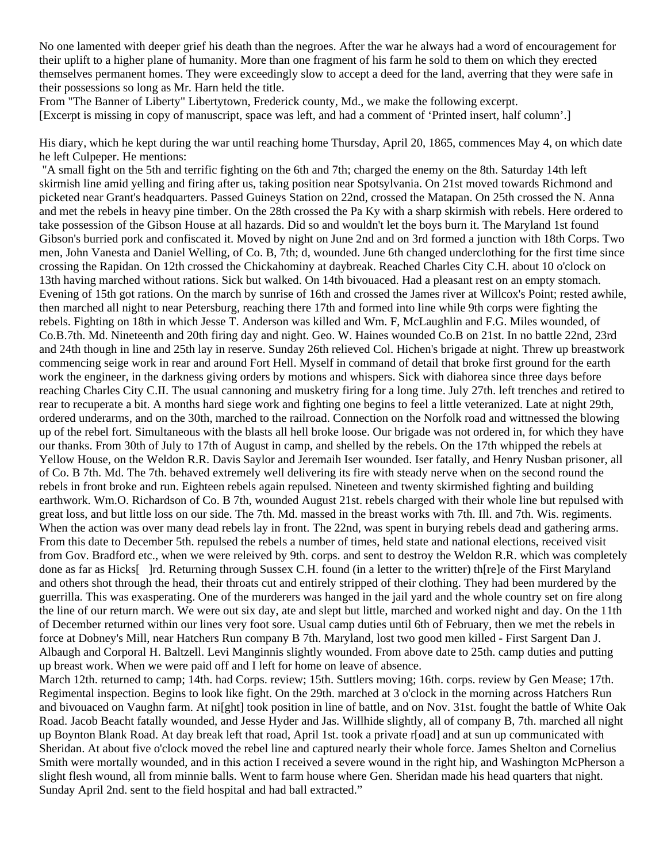No one lamented with deeper grief his death than the negroes. After the war he always had a word of encouragement for their uplift to a higher plane of humanity. More than one fragment of his farm he sold to them on which they erected themselves permanent homes. They were exceedingly slow to accept a deed for the land, averring that they were safe in their possessions so long as Mr. Harn held the title.

From "The Banner of Liberty" Libertytown, Frederick county, Md., we make the following excerpt. [Excerpt is missing in copy of manuscript, space was left, and had a comment of 'Printed insert, half column'.]

His diary, which he kept during the war until reaching home Thursday, April 20, 1865, commences May 4, on which date he left Culpeper. He mentions:

 "A small fight on the 5th and terrific fighting on the 6th and 7th; charged the enemy on the 8th. Saturday 14th left skirmish line amid yelling and firing after us, taking position near Spotsylvania. On 21st moved towards Richmond and picketed near Grant's headquarters. Passed Guineys Station on 22nd, crossed the Matapan. On 25th crossed the N. Anna and met the rebels in heavy pine timber. On the 28th crossed the Pa Ky with a sharp skirmish with rebels. Here ordered to take possession of the Gibson House at all hazards. Did so and wouldn't let the boys burn it. The Maryland 1st found Gibson's burried pork and confiscated it. Moved by night on June 2nd and on 3rd formed a junction with 18th Corps. Two men, John Vanesta and Daniel Welling, of Co. B, 7th; d, wounded. June 6th changed underclothing for the first time since crossing the Rapidan. On 12th crossed the Chickahominy at daybreak. Reached Charles City C.H. about 10 o'clock on 13th having marched without rations. Sick but walked. On 14th bivouaced. Had a pleasant rest on an empty stomach. Evening of 15th got rations. On the march by sunrise of 16th and crossed the James river at Willcox's Point; rested awhile, then marched all night to near Petersburg, reaching there 17th and formed into line while 9th corps were fighting the rebels. Fighting on 18th in which Jesse T. Anderson was killed and Wm. F, McLaughlin and F.G. Miles wounded, of Co.B.7th. Md. Nineteenth and 20th firing day and night. Geo. W. Haines wounded Co.B on 21st. In no battle 22nd, 23rd and 24th though in line and 25th lay in reserve. Sunday 26th relieved Col. Hichen's brigade at night. Threw up breastwork commencing seige work in rear and around Fort Hell. Myself in command of detail that broke first ground for the earth work the engineer, in the darkness giving orders by motions and whispers. Sick with diahorea since three days before reaching Charles City C.II. The usual cannoning and musketry firing for a long time. July 27th. left trenches and retired to rear to recuperate a bit. A months hard siege work and fighting one begins to feel a little veteranized. Late at night 29th, ordered underarms, and on the 30th, marched to the railroad. Connection on the Norfolk road and wittnessed the blowing up of the rebel fort. Simultaneous with the blasts all hell broke loose. Our brigade was not ordered in, for which they have our thanks. From 30th of July to 17th of August in camp, and shelled by the rebels. On the 17th whipped the rebels at Yellow House, on the Weldon R.R. Davis Saylor and Jeremaih Iser wounded. Iser fatally, and Henry Nusban prisoner, all of Co. B 7th. Md. The 7th. behaved extremely well delivering its fire with steady nerve when on the second round the rebels in front broke and run. Eighteen rebels again repulsed. Nineteen and twenty skirmished fighting and building earthwork. Wm.O. Richardson of Co. B 7th, wounded August 21st. rebels charged with their whole line but repulsed with great loss, and but little loss on our side. The 7th. Md. massed in the breast works with 7th. Ill. and 7th. Wis. regiments. When the action was over many dead rebels lay in front. The 22nd, was spent in burying rebels dead and gathering arms. From this date to December 5th. repulsed the rebels a number of times, held state and national elections, received visit from Gov. Bradford etc., when we were releived by 9th. corps. and sent to destroy the Weldon R.R. which was completely done as far as Hicks[ ]rd. Returning through Sussex C.H. found (in a letter to the writter) th[re]e of the First Maryland and others shot through the head, their throats cut and entirely stripped of their clothing. They had been murdered by the guerrilla. This was exasperating. One of the murderers was hanged in the jail yard and the whole country set on fire along the line of our return march. We were out six day, ate and slept but little, marched and worked night and day. On the 11th of December returned within our lines very foot sore. Usual camp duties until 6th of February, then we met the rebels in force at Dobney's Mill, near Hatchers Run company B 7th. Maryland, lost two good men killed - First Sargent Dan J. Albaugh and Corporal H. Baltzell. Levi Manginnis slightly wounded. From above date to 25th. camp duties and putting up breast work. When we were paid off and I left for home on leave of absence.

March 12th. returned to camp; 14th. had Corps. review; 15th. Suttlers moving; 16th. corps. review by Gen Mease; 17th. Regimental inspection. Begins to look like fight. On the 29th. marched at 3 o'clock in the morning across Hatchers Run and bivouaced on Vaughn farm. At ni[ght] took position in line of battle, and on Nov. 31st. fought the battle of White Oak Road. Jacob Beacht fatally wounded, and Jesse Hyder and Jas. Willhide slightly, all of company B, 7th. marched all night up Boynton Blank Road. At day break left that road, April 1st. took a private r[oad] and at sun up communicated with Sheridan. At about five o'clock moved the rebel line and captured nearly their whole force. James Shelton and Cornelius Smith were mortally wounded, and in this action I received a severe wound in the right hip, and Washington McPherson a slight flesh wound, all from minnie balls. Went to farm house where Gen. Sheridan made his head quarters that night. Sunday April 2nd. sent to the field hospital and had ball extracted."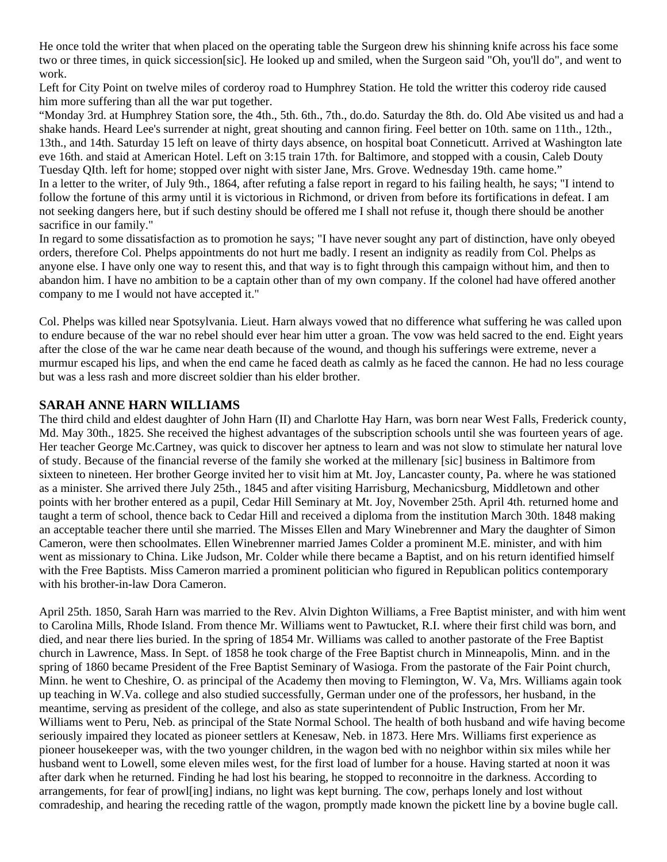He once told the writer that when placed on the operating table the Surgeon drew his shinning knife across his face some two or three times, in quick siccession[sic]. He looked up and smiled, when the Surgeon said "Oh, you'll do", and went to work.

Left for City Point on twelve miles of corderoy road to Humphrey Station. He told the writter this coderoy ride caused him more suffering than all the war put together.

"Monday 3rd. at Humphrey Station sore, the 4th., 5th. 6th., 7th., do.do. Saturday the 8th. do. Old Abe visited us and had a shake hands. Heard Lee's surrender at night, great shouting and cannon firing. Feel better on 10th. same on 11th., 12th., 13th., and 14th. Saturday 15 left on leave of thirty days absence, on hospital boat Conneticutt. Arrived at Washington late eve 16th. and staid at American Hotel. Left on 3:15 train 17th. for Baltimore, and stopped with a cousin, Caleb Douty Tuesday QIth. left for home; stopped over night with sister Jane, Mrs. Grove. Wednesday 19th. came home." In a letter to the writer, of July 9th., 1864, after refuting a false report in regard to his failing health, he says; "I intend to follow the fortune of this army until it is victorious in Richmond, or driven from before its fortifications in defeat. I am not seeking dangers here, but if such destiny should be offered me I shall not refuse it, though there should be another sacrifice in our family."

In regard to some dissatisfaction as to promotion he says; "I have never sought any part of distinction, have only obeyed orders, therefore Col. Phelps appointments do not hurt me badly. I resent an indignity as readily from Col. Phelps as anyone else. I have only one way to resent this, and that way is to fight through this campaign without him, and then to abandon him. I have no ambition to be a captain other than of my own company. If the colonel had have offered another company to me I would not have accepted it."

Col. Phelps was killed near Spotsylvania. Lieut. Harn always vowed that no difference what suffering he was called upon to endure because of the war no rebel should ever hear him utter a groan. The vow was held sacred to the end. Eight years after the close of the war he came near death because of the wound, and though his sufferings were extreme, never a murmur escaped his lips, and when the end came he faced death as calmly as he faced the cannon. He had no less courage but was a less rash and more discreet soldier than his elder brother.

#### **SARAH ANNE HARN WILLIAMS**

The third child and eldest daughter of John Harn (II) and Charlotte Hay Harn, was born near West Falls, Frederick county, Md. May 30th., 1825. She received the highest advantages of the subscription schools until she was fourteen years of age. Her teacher George Mc.Cartney, was quick to discover her aptness to learn and was not slow to stimulate her natural love of study. Because of the financial reverse of the family she worked at the millenary [sic] business in Baltimore from sixteen to nineteen. Her brother George invited her to visit him at Mt. Joy, Lancaster county, Pa. where he was stationed as a minister. She arrived there July 25th., 1845 and after visiting Harrisburg, Mechanicsburg, Middletown and other points with her brother entered as a pupil, Cedar Hill Seminary at Mt. Joy, November 25th. April 4th. returned home and taught a term of school, thence back to Cedar Hill and received a diploma from the institution March 30th. 1848 making an acceptable teacher there until she married. The Misses Ellen and Mary Winebrenner and Mary the daughter of Simon Cameron, were then schoolmates. Ellen Winebrenner married James Colder a prominent M.E. minister, and with him went as missionary to China. Like Judson, Mr. Colder while there became a Baptist, and on his return identified himself with the Free Baptists. Miss Cameron married a prominent politician who figured in Republican politics contemporary with his brother-in-law Dora Cameron.

April 25th. 1850, Sarah Harn was married to the Rev. Alvin Dighton Williams, a Free Baptist minister, and with him went to Carolina Mills, Rhode Island. From thence Mr. Williams went to Pawtucket, R.I. where their first child was born, and died, and near there lies buried. In the spring of 1854 Mr. Williams was called to another pastorate of the Free Baptist church in Lawrence, Mass. In Sept. of 1858 he took charge of the Free Baptist church in Minneapolis, Minn. and in the spring of 1860 became President of the Free Baptist Seminary of Wasioga. From the pastorate of the Fair Point church, Minn. he went to Cheshire, O. as principal of the Academy then moving to Flemington, W. Va, Mrs. Williams again took up teaching in W.Va. college and also studied successfully, German under one of the professors, her husband, in the meantime, serving as president of the college, and also as state superintendent of Public Instruction, From her Mr. Williams went to Peru, Neb. as principal of the State Normal School. The health of both husband and wife having become seriously impaired they located as pioneer settlers at Kenesaw, Neb. in 1873. Here Mrs. Williams first experience as pioneer housekeeper was, with the two younger children, in the wagon bed with no neighbor within six miles while her husband went to Lowell, some eleven miles west, for the first load of lumber for a house. Having started at noon it was after dark when he returned. Finding he had lost his bearing, he stopped to reconnoitre in the darkness. According to arrangements, for fear of prowl[ing] indians, no light was kept burning. The cow, perhaps lonely and lost without comradeship, and hearing the receding rattle of the wagon, promptly made known the pickett line by a bovine bugle call.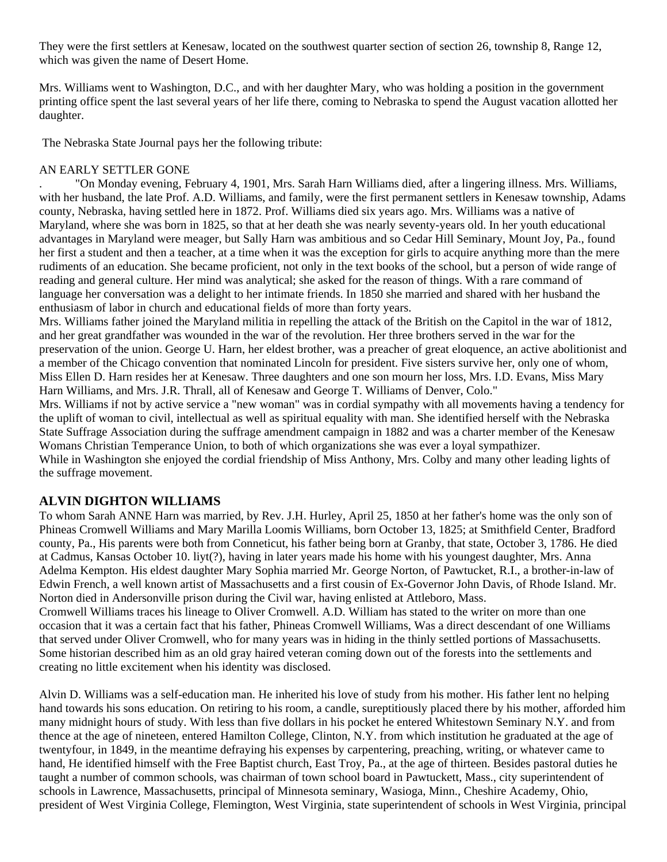They were the first settlers at Kenesaw, located on the southwest quarter section of section 26, township 8, Range 12, which was given the name of Desert Home.

Mrs. Williams went to Washington, D.C., and with her daughter Mary, who was holding a position in the government printing office spent the last several years of her life there, coming to Nebraska to spend the August vacation allotted her daughter.

The Nebraska State Journal pays her the following tribute:

#### AN EARLY SETTLER GONE

. "On Monday evening, February 4, 1901, Mrs. Sarah Harn Williams died, after a lingering illness. Mrs. Williams, with her husband, the late Prof. A.D. Williams, and family, were the first permanent settlers in Kenesaw township, Adams county, Nebraska, having settled here in 1872. Prof. Williams died six years ago. Mrs. Williams was a native of Maryland, where she was born in 1825, so that at her death she was nearly seventy-years old. In her youth educational advantages in Maryland were meager, but Sally Harn was ambitious and so Cedar Hill Seminary, Mount Joy, Pa., found her first a student and then a teacher, at a time when it was the exception for girls to acquire anything more than the mere rudiments of an education. She became proficient, not only in the text books of the school, but a person of wide range of reading and general culture. Her mind was analytical; she asked for the reason of things. With a rare command of language her conversation was a delight to her intimate friends. In 1850 she married and shared with her husband the enthusiasm of labor in church and educational fields of more than forty years.

Mrs. Williams father joined the Maryland militia in repelling the attack of the British on the Capitol in the war of 1812, and her great grandfather was wounded in the war of the revolution. Her three brothers served in the war for the preservation of the union. George U. Harn, her eldest brother, was a preacher of great eloquence, an active abolitionist and a member of the Chicago convention that nominated Lincoln for president. Five sisters survive her, only one of whom, Miss Ellen D. Harn resides her at Kenesaw. Three daughters and one son mourn her loss, Mrs. I.D. Evans, Miss Mary Harn Williams, and Mrs. J.R. Thrall, all of Kenesaw and George T. Williams of Denver, Colo."

Mrs. Williams if not by active service a "new woman" was in cordial sympathy with all movements having a tendency for the uplift of woman to civil, intellectual as well as spiritual equality with man. She identified herself with the Nebraska State Suffrage Association during the suffrage amendment campaign in 1882 and was a charter member of the Kenesaw Womans Christian Temperance Union, to both of which organizations she was ever a loyal sympathizer. While in Washington she enjoyed the cordial friendship of Miss Anthony, Mrs. Colby and many other leading lights of the suffrage movement.

### **ALVIN DIGHTON WILLIAMS**

To whom Sarah ANNE Harn was married, by Rev. J.H. Hurley, April 25, 1850 at her father's home was the only son of Phineas Cromwell Williams and Mary Marilla Loomis Williams, born October 13, 1825; at Smithfield Center, Bradford county, Pa., His parents were both from Conneticut, his father being born at Granby, that state, October 3, 1786. He died at Cadmus, Kansas October 10. liyt(?), having in later years made his home with his youngest daughter, Mrs. Anna Adelma Kempton. His eldest daughter Mary Sophia married Mr. George Norton, of Pawtucket, R.I., a brother-in-law of Edwin French, a well known artist of Massachusetts and a first cousin of Ex-Governor John Davis, of Rhode Island. Mr. Norton died in Andersonville prison during the Civil war, having enlisted at Attleboro, Mass.

Cromwell Williams traces his lineage to Oliver Cromwell. A.D. William has stated to the writer on more than one occasion that it was a certain fact that his father, Phineas Cromwell Williams, Was a direct descendant of one Williams that served under Oliver Cromwell, who for many years was in hiding in the thinly settled portions of Massachusetts. Some historian described him as an old gray haired veteran coming down out of the forests into the settlements and creating no little excitement when his identity was disclosed.

Alvin D. Williams was a self-education man. He inherited his love of study from his mother. His father lent no helping hand towards his sons education. On retiring to his room, a candle, sureptitiously placed there by his mother, afforded him many midnight hours of study. With less than five dollars in his pocket he entered Whitestown Seminary N.Y. and from thence at the age of nineteen, entered Hamilton College, Clinton, N.Y. from which institution he graduated at the age of twentyfour, in 1849, in the meantime defraying his expenses by carpentering, preaching, writing, or whatever came to hand, He identified himself with the Free Baptist church, East Troy, Pa., at the age of thirteen. Besides pastoral duties he taught a number of common schools, was chairman of town school board in Pawtuckett, Mass., city superintendent of schools in Lawrence, Massachusetts, principal of Minnesota seminary, Wasioga, Minn., Cheshire Academy, Ohio, president of West Virginia College, Flemington, West Virginia, state superintendent of schools in West Virginia, principal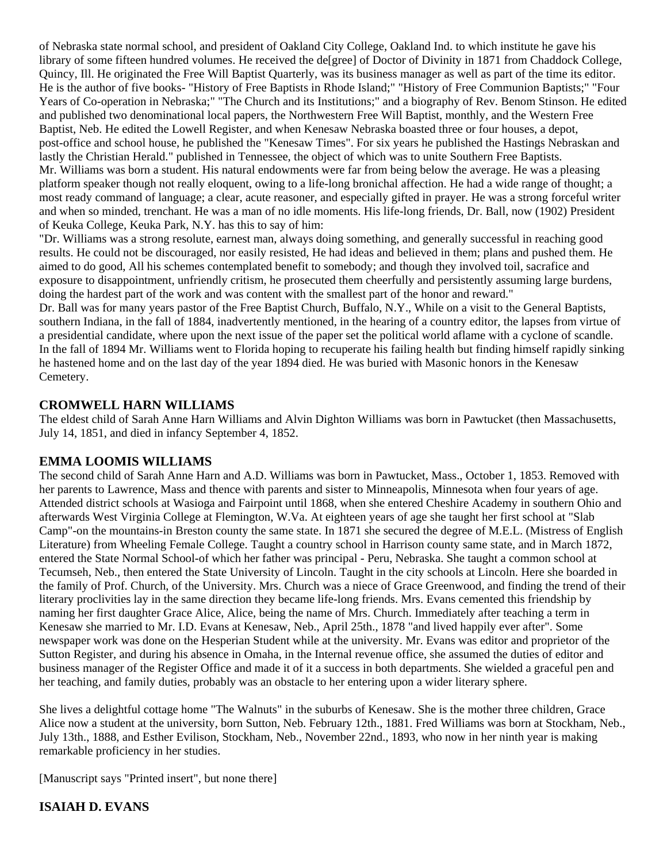of Nebraska state normal school, and president of Oakland City College, Oakland Ind. to which institute he gave his library of some fifteen hundred volumes. He received the de[gree] of Doctor of Divinity in 1871 from Chaddock College, Quincy, Ill. He originated the Free Will Baptist Quarterly, was its business manager as well as part of the time its editor. He is the author of five books- "History of Free Baptists in Rhode Island;" "History of Free Communion Baptists;" "Four Years of Co-operation in Nebraska;" "The Church and its Institutions;" and a biography of Rev. Benom Stinson. He edited and published two denominational local papers, the Northwestern Free Will Baptist, monthly, and the Western Free Baptist, Neb. He edited the Lowell Register, and when Kenesaw Nebraska boasted three or four houses, a depot, post-office and school house, he published the "Kenesaw Times". For six years he published the Hastings Nebraskan and lastly the Christian Herald." published in Tennessee, the object of which was to unite Southern Free Baptists. Mr. Williams was born a student. His natural endowments were far from being below the average. He was a pleasing platform speaker though not really eloquent, owing to a life-long bronichal affection. He had a wide range of thought; a most ready command of language; a clear, acute reasoner, and especially gifted in prayer. He was a strong forceful writer and when so minded, trenchant. He was a man of no idle moments. His life-long friends, Dr. Ball, now (1902) President of Keuka College, Keuka Park, N.Y. has this to say of him:

"Dr. Williams was a strong resolute, earnest man, always doing something, and generally successful in reaching good results. He could not be discouraged, nor easily resisted, He had ideas and believed in them; plans and pushed them. He aimed to do good, All his schemes contemplated benefit to somebody; and though they involved toil, sacrafice and exposure to disappointment, unfriendly critism, he prosecuted them cheerfully and persistently assuming large burdens, doing the hardest part of the work and was content with the smallest part of the honor and reward."

Dr. Ball was for many years pastor of the Free Baptist Church, Buffalo, N.Y., While on a visit to the General Baptists, southern Indiana, in the fall of 1884, inadvertently mentioned, in the hearing of a country editor, the lapses from virtue of a presidential candidate, where upon the next issue of the paper set the political world aflame with a cyclone of scandle. In the fall of 1894 Mr. Williams went to Florida hoping to recuperate his failing health but finding himself rapidly sinking he hastened home and on the last day of the year 1894 died. He was buried with Masonic honors in the Kenesaw Cemetery.

### **CROMWELL HARN WILLIAMS**

The eldest child of Sarah Anne Harn Williams and Alvin Dighton Williams was born in Pawtucket (then Massachusetts, July 14, 1851, and died in infancy September 4, 1852.

#### **EMMA LOOMIS WILLIAMS**

The second child of Sarah Anne Harn and A.D. Williams was born in Pawtucket, Mass., October 1, 1853. Removed with her parents to Lawrence, Mass and thence with parents and sister to Minneapolis, Minnesota when four years of age. Attended district schools at Wasioga and Fairpoint until 1868, when she entered Cheshire Academy in southern Ohio and afterwards West Virginia College at Flemington, W.Va. At eighteen years of age she taught her first school at "Slab Camp"-on the mountains-in Breston county the same state. In 1871 she secured the degree of M.E.L. (Mistress of English Literature) from Wheeling Female College. Taught a country school in Harrison county same state, and in March 1872, entered the State Normal School-of which her father was principal - Peru, Nebraska. She taught a common school at Tecumseh, Neb., then entered the State University of Lincoln. Taught in the city schools at Lincoln. Here she boarded in the family of Prof. Church, of the University. Mrs. Church was a niece of Grace Greenwood, and finding the trend of their literary proclivities lay in the same direction they became life-long friends. Mrs. Evans cemented this friendship by naming her first daughter Grace Alice, Alice, being the name of Mrs. Church. Immediately after teaching a term in Kenesaw she married to Mr. I.D. Evans at Kenesaw, Neb., April 25th., 1878 "and lived happily ever after". Some newspaper work was done on the Hesperian Student while at the university. Mr. Evans was editor and proprietor of the Sutton Register, and during his absence in Omaha, in the Internal revenue office, she assumed the duties of editor and business manager of the Register Office and made it of it a success in both departments. She wielded a graceful pen and her teaching, and family duties, probably was an obstacle to her entering upon a wider literary sphere.

She lives a delightful cottage home "The Walnuts" in the suburbs of Kenesaw. She is the mother three children, Grace Alice now a student at the university, born Sutton, Neb. February 12th., 1881. Fred Williams was born at Stockham, Neb., July 13th., 1888, and Esther Evilison, Stockham, Neb., November 22nd., 1893, who now in her ninth year is making remarkable proficiency in her studies.

[Manuscript says "Printed insert", but none there]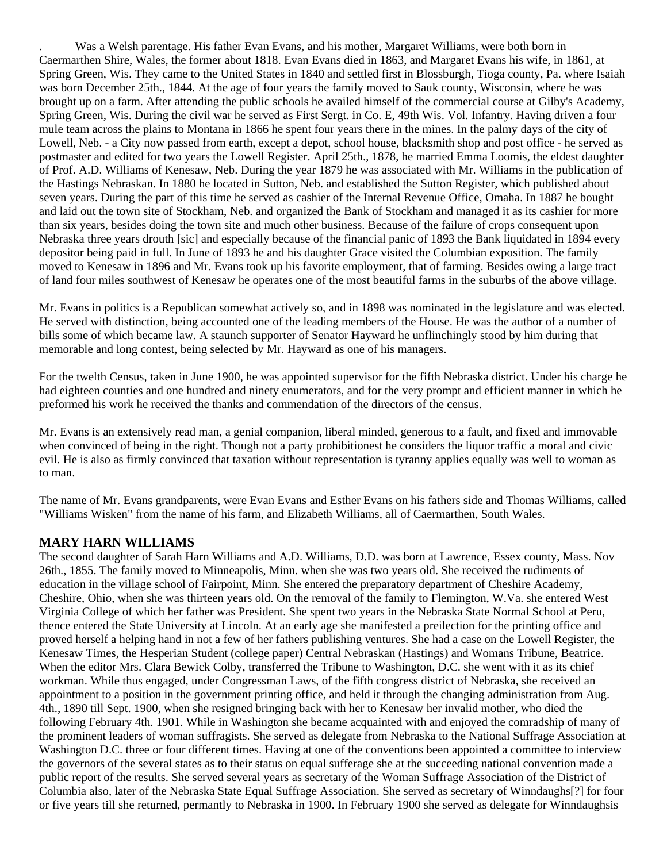. Was a Welsh parentage. His father Evan Evans, and his mother, Margaret Williams, were both born in Caermarthen Shire, Wales, the former about 1818. Evan Evans died in 1863, and Margaret Evans his wife, in 1861, at Spring Green, Wis. They came to the United States in 1840 and settled first in Blossburgh, Tioga county, Pa. where Isaiah was born December 25th., 1844. At the age of four years the family moved to Sauk county, Wisconsin, where he was brought up on a farm. After attending the public schools he availed himself of the commercial course at Gilby's Academy, Spring Green, Wis. During the civil war he served as First Sergt. in Co. E, 49th Wis. Vol. Infantry. Having driven a four mule team across the plains to Montana in 1866 he spent four years there in the mines. In the palmy days of the city of Lowell, Neb. - a City now passed from earth, except a depot, school house, blacksmith shop and post office - he served as postmaster and edited for two years the Lowell Register. April 25th., 1878, he married Emma Loomis, the eldest daughter of Prof. A.D. Williams of Kenesaw, Neb. During the year 1879 he was associated with Mr. Williams in the publication of the Hastings Nebraskan. In 1880 he located in Sutton, Neb. and established the Sutton Register, which published about seven years. During the part of this time he served as cashier of the Internal Revenue Office, Omaha. In 1887 he bought and laid out the town site of Stockham, Neb. and organized the Bank of Stockham and managed it as its cashier for more than six years, besides doing the town site and much other business. Because of the failure of crops consequent upon Nebraska three years drouth [sic] and especially because of the financial panic of 1893 the Bank liquidated in 1894 every depositor being paid in full. In June of 1893 he and his daughter Grace visited the Columbian exposition. The family moved to Kenesaw in 1896 and Mr. Evans took up his favorite employment, that of farming. Besides owing a large tract of land four miles southwest of Kenesaw he operates one of the most beautiful farms in the suburbs of the above village.

Mr. Evans in politics is a Republican somewhat actively so, and in 1898 was nominated in the legislature and was elected. He served with distinction, being accounted one of the leading members of the House. He was the author of a number of bills some of which became law. A staunch supporter of Senator Hayward he unflinchingly stood by him during that memorable and long contest, being selected by Mr. Hayward as one of his managers.

For the twelth Census, taken in June 1900, he was appointed supervisor for the fifth Nebraska district. Under his charge he had eighteen counties and one hundred and ninety enumerators, and for the very prompt and efficient manner in which he preformed his work he received the thanks and commendation of the directors of the census.

Mr. Evans is an extensively read man, a genial companion, liberal minded, generous to a fault, and fixed and immovable when convinced of being in the right. Though not a party prohibitionest he considers the liquor traffic a moral and civic evil. He is also as firmly convinced that taxation without representation is tyranny applies equally was well to woman as to man.

The name of Mr. Evans grandparents, were Evan Evans and Esther Evans on his fathers side and Thomas Williams, called "Williams Wisken" from the name of his farm, and Elizabeth Williams, all of Caermarthen, South Wales.

#### **MARY HARN WILLIAMS**

The second daughter of Sarah Harn Williams and A.D. Williams, D.D. was born at Lawrence, Essex county, Mass. Nov 26th., 1855. The family moved to Minneapolis, Minn. when she was two years old. She received the rudiments of education in the village school of Fairpoint, Minn. She entered the preparatory department of Cheshire Academy, Cheshire, Ohio, when she was thirteen years old. On the removal of the family to Flemington, W.Va. she entered West Virginia College of which her father was President. She spent two years in the Nebraska State Normal School at Peru, thence entered the State University at Lincoln. At an early age she manifested a preilection for the printing office and proved herself a helping hand in not a few of her fathers publishing ventures. She had a case on the Lowell Register, the Kenesaw Times, the Hesperian Student (college paper) Central Nebraskan (Hastings) and Womans Tribune, Beatrice. When the editor Mrs. Clara Bewick Colby, transferred the Tribune to Washington, D.C. she went with it as its chief workman. While thus engaged, under Congressman Laws, of the fifth congress district of Nebraska, she received an appointment to a position in the government printing office, and held it through the changing administration from Aug. 4th., 1890 till Sept. 1900, when she resigned bringing back with her to Kenesaw her invalid mother, who died the following February 4th. 1901. While in Washington she became acquainted with and enjoyed the comradship of many of the prominent leaders of woman suffragists. She served as delegate from Nebraska to the National Suffrage Association at Washington D.C. three or four different times. Having at one of the conventions been appointed a committee to interview the governors of the several states as to their status on equal sufferage she at the succeeding national convention made a public report of the results. She served several years as secretary of the Woman Suffrage Association of the District of Columbia also, later of the Nebraska State Equal Suffrage Association. She served as secretary of Winndaughs[?] for four or five years till she returned, permantly to Nebraska in 1900. In February 1900 she served as delegate for Winndaughsis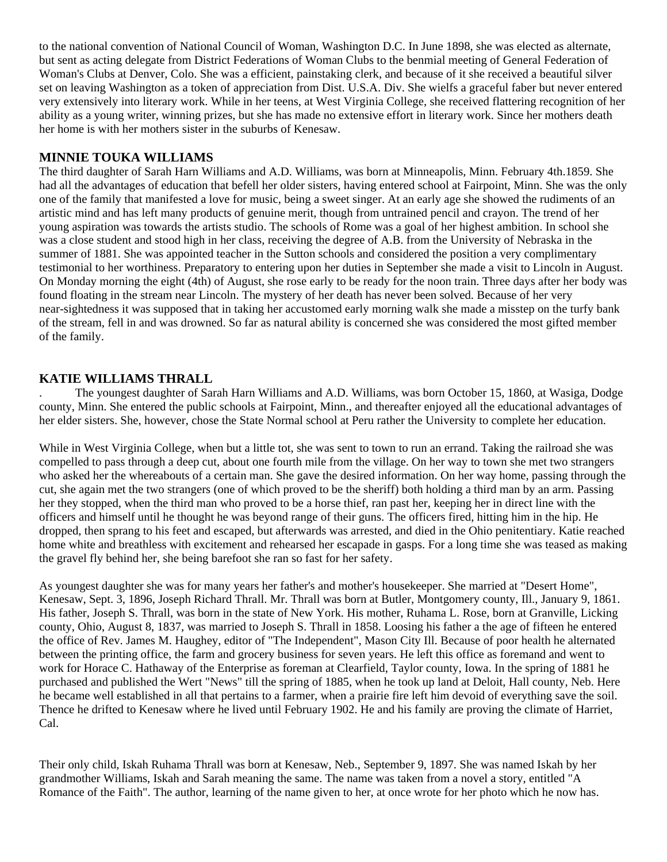to the national convention of National Council of Woman, Washington D.C. In June 1898, she was elected as alternate, but sent as acting delegate from District Federations of Woman Clubs to the benmial meeting of General Federation of Woman's Clubs at Denver, Colo. She was a efficient, painstaking clerk, and because of it she received a beautiful silver set on leaving Washington as a token of appreciation from Dist. U.S.A. Div. She wielfs a graceful faber but never entered very extensively into literary work. While in her teens, at West Virginia College, she received flattering recognition of her ability as a young writer, winning prizes, but she has made no extensive effort in literary work. Since her mothers death her home is with her mothers sister in the suburbs of Kenesaw.

#### **MINNIE TOUKA WILLIAMS**

The third daughter of Sarah Harn Williams and A.D. Williams, was born at Minneapolis, Minn. February 4th.1859. She had all the advantages of education that befell her older sisters, having entered school at Fairpoint, Minn. She was the only one of the family that manifested a love for music, being a sweet singer. At an early age she showed the rudiments of an artistic mind and has left many products of genuine merit, though from untrained pencil and crayon. The trend of her young aspiration was towards the artists studio. The schools of Rome was a goal of her highest ambition. In school she was a close student and stood high in her class, receiving the degree of A.B. from the University of Nebraska in the summer of 1881. She was appointed teacher in the Sutton schools and considered the position a very complimentary testimonial to her worthiness. Preparatory to entering upon her duties in September she made a visit to Lincoln in August. On Monday morning the eight (4th) of August, she rose early to be ready for the noon train. Three days after her body was found floating in the stream near Lincoln. The mystery of her death has never been solved. Because of her very near-sightedness it was supposed that in taking her accustomed early morning walk she made a misstep on the turfy bank of the stream, fell in and was drowned. So far as natural ability is concerned she was considered the most gifted member of the family.

#### **KATIE WILLIAMS THRALL**

. The youngest daughter of Sarah Harn Williams and A.D. Williams, was born October 15, 1860, at Wasiga, Dodge county, Minn. She entered the public schools at Fairpoint, Minn., and thereafter enjoyed all the educational advantages of her elder sisters. She, however, chose the State Normal school at Peru rather the University to complete her education.

While in West Virginia College, when but a little tot, she was sent to town to run an errand. Taking the railroad she was compelled to pass through a deep cut, about one fourth mile from the village. On her way to town she met two strangers who asked her the whereabouts of a certain man. She gave the desired information. On her way home, passing through the cut, she again met the two strangers (one of which proved to be the sheriff) both holding a third man by an arm. Passing her they stopped, when the third man who proved to be a horse thief, ran past her, keeping her in direct line with the officers and himself until he thought he was beyond range of their guns. The officers fired, hitting him in the hip. He dropped, then sprang to his feet and escaped, but afterwards was arrested, and died in the Ohio penitentiary. Katie reached home white and breathless with excitement and rehearsed her escapade in gasps. For a long time she was teased as making the gravel fly behind her, she being barefoot she ran so fast for her safety.

As youngest daughter she was for many years her father's and mother's housekeeper. She married at "Desert Home", Kenesaw, Sept. 3, 1896, Joseph Richard Thrall. Mr. Thrall was born at Butler, Montgomery county, Ill., January 9, 1861. His father, Joseph S. Thrall, was born in the state of New York. His mother, Ruhama L. Rose, born at Granville, Licking county, Ohio, August 8, 1837, was married to Joseph S. Thrall in 1858. Loosing his father a the age of fifteen he entered the office of Rev. James M. Haughey, editor of "The Independent", Mason City Ill. Because of poor health he alternated between the printing office, the farm and grocery business for seven years. He left this office as foremand and went to work for Horace C. Hathaway of the Enterprise as foreman at Clearfield, Taylor county, Iowa. In the spring of 1881 he purchased and published the Wert "News" till the spring of 1885, when he took up land at Deloit, Hall county, Neb. Here he became well established in all that pertains to a farmer, when a prairie fire left him devoid of everything save the soil. Thence he drifted to Kenesaw where he lived until February 1902. He and his family are proving the climate of Harriet, Cal.

Their only child, Iskah Ruhama Thrall was born at Kenesaw, Neb., September 9, 1897. She was named Iskah by her grandmother Williams, Iskah and Sarah meaning the same. The name was taken from a novel a story, entitled "A Romance of the Faith". The author, learning of the name given to her, at once wrote for her photo which he now has.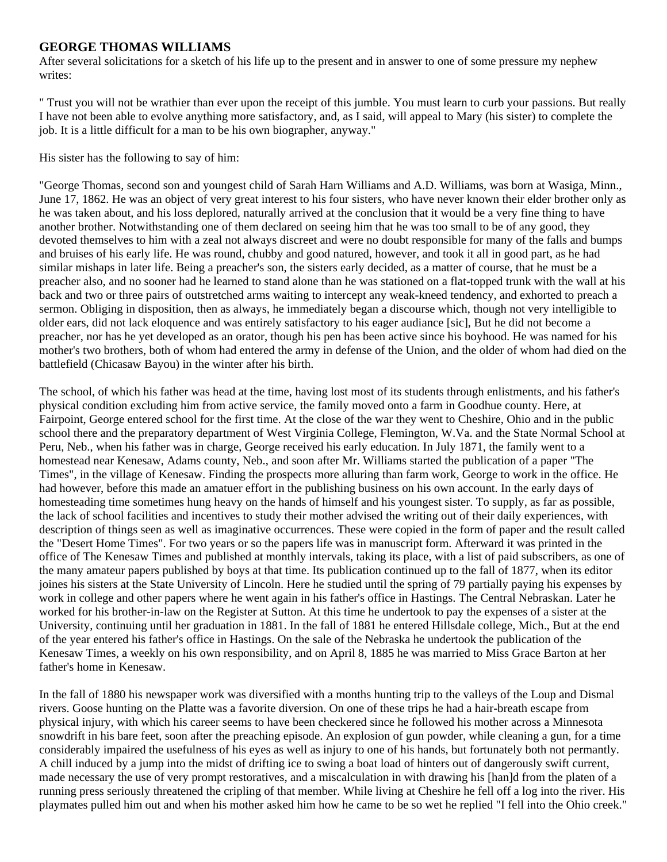#### **GEORGE THOMAS WILLIAMS**

After several solicitations for a sketch of his life up to the present and in answer to one of some pressure my nephew writes:

" Trust you will not be wrathier than ever upon the receipt of this jumble. You must learn to curb your passions. But really I have not been able to evolve anything more satisfactory, and, as I said, will appeal to Mary (his sister) to complete the job. It is a little difficult for a man to be his own biographer, anyway."

His sister has the following to say of him:

"George Thomas, second son and youngest child of Sarah Harn Williams and A.D. Williams, was born at Wasiga, Minn., June 17, 1862. He was an object of very great interest to his four sisters, who have never known their elder brother only as he was taken about, and his loss deplored, naturally arrived at the conclusion that it would be a very fine thing to have another brother. Notwithstanding one of them declared on seeing him that he was too small to be of any good, they devoted themselves to him with a zeal not always discreet and were no doubt responsible for many of the falls and bumps and bruises of his early life. He was round, chubby and good natured, however, and took it all in good part, as he had similar mishaps in later life. Being a preacher's son, the sisters early decided, as a matter of course, that he must be a preacher also, and no sooner had he learned to stand alone than he was stationed on a flat-topped trunk with the wall at his back and two or three pairs of outstretched arms waiting to intercept any weak-kneed tendency, and exhorted to preach a sermon. Obliging in disposition, then as always, he immediately began a discourse which, though not very intelligible to older ears, did not lack eloquence and was entirely satisfactory to his eager audiance [sic], But he did not become a preacher, nor has he yet developed as an orator, though his pen has been active since his boyhood. He was named for his mother's two brothers, both of whom had entered the army in defense of the Union, and the older of whom had died on the battlefield (Chicasaw Bayou) in the winter after his birth.

The school, of which his father was head at the time, having lost most of its students through enlistments, and his father's physical condition excluding him from active service, the family moved onto a farm in Goodhue county. Here, at Fairpoint, George entered school for the first time. At the close of the war they went to Cheshire, Ohio and in the public school there and the preparatory department of West Virginia College, Flemington, W.Va. and the State Normal School at Peru, Neb., when his father was in charge, George received his early education. In July 1871, the family went to a homestead near Kenesaw, Adams county, Neb., and soon after Mr. Williams started the publication of a paper "The Times", in the village of Kenesaw. Finding the prospects more alluring than farm work, George to work in the office. He had however, before this made an amatuer effort in the publishing business on his own account. In the early days of homesteading time sometimes hung heavy on the hands of himself and his youngest sister. To supply, as far as possible, the lack of school facilities and incentives to study their mother advised the writing out of their daily experiences, with description of things seen as well as imaginative occurrences. These were copied in the form of paper and the result called the "Desert Home Times". For two years or so the papers life was in manuscript form. Afterward it was printed in the office of The Kenesaw Times and published at monthly intervals, taking its place, with a list of paid subscribers, as one of the many amateur papers published by boys at that time. Its publication continued up to the fall of 1877, when its editor joines his sisters at the State University of Lincoln. Here he studied until the spring of 79 partially paying his expenses by work in college and other papers where he went again in his father's office in Hastings. The Central Nebraskan. Later he worked for his brother-in-law on the Register at Sutton. At this time he undertook to pay the expenses of a sister at the University, continuing until her graduation in 1881. In the fall of 1881 he entered Hillsdale college, Mich., But at the end of the year entered his father's office in Hastings. On the sale of the Nebraska he undertook the publication of the Kenesaw Times, a weekly on his own responsibility, and on April 8, 1885 he was married to Miss Grace Barton at her father's home in Kenesaw.

In the fall of 1880 his newspaper work was diversified with a months hunting trip to the valleys of the Loup and Dismal rivers. Goose hunting on the Platte was a favorite diversion. On one of these trips he had a hair-breath escape from physical injury, with which his career seems to have been checkered since he followed his mother across a Minnesota snowdrift in his bare feet, soon after the preaching episode. An explosion of gun powder, while cleaning a gun, for a time considerably impaired the usefulness of his eyes as well as injury to one of his hands, but fortunately both not permantly. A chill induced by a jump into the midst of drifting ice to swing a boat load of hinters out of dangerously swift current, made necessary the use of very prompt restoratives, and a miscalculation in with drawing his [han]d from the platen of a running press seriously threatened the cripling of that member. While living at Cheshire he fell off a log into the river. His playmates pulled him out and when his mother asked him how he came to be so wet he replied "I fell into the Ohio creek."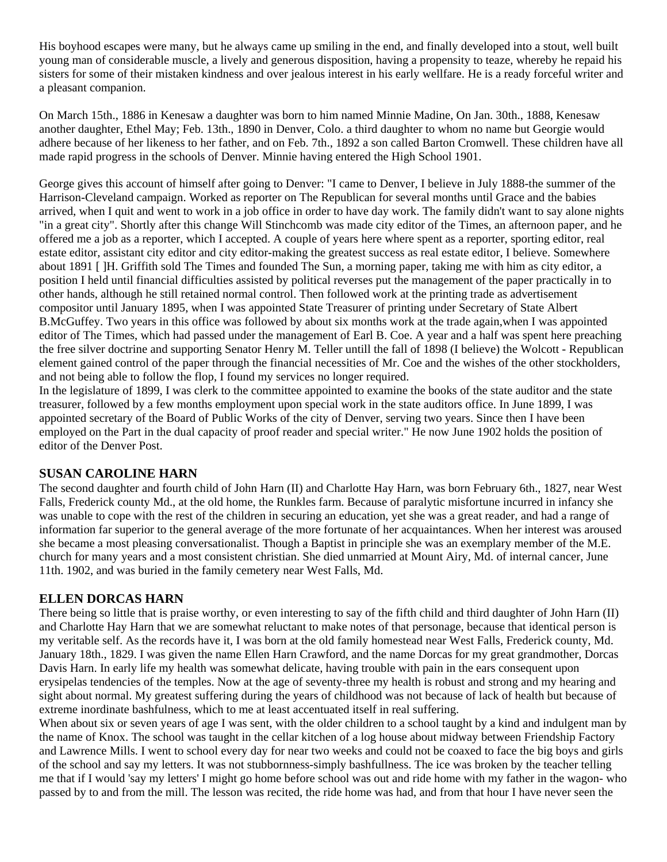His boyhood escapes were many, but he always came up smiling in the end, and finally developed into a stout, well built young man of considerable muscle, a lively and generous disposition, having a propensity to teaze, whereby he repaid his sisters for some of their mistaken kindness and over jealous interest in his early wellfare. He is a ready forceful writer and a pleasant companion.

On March 15th., 1886 in Kenesaw a daughter was born to him named Minnie Madine, On Jan. 30th., 1888, Kenesaw another daughter, Ethel May; Feb. 13th., 1890 in Denver, Colo. a third daughter to whom no name but Georgie would adhere because of her likeness to her father, and on Feb. 7th., 1892 a son called Barton Cromwell. These children have all made rapid progress in the schools of Denver. Minnie having entered the High School 1901.

George gives this account of himself after going to Denver: "I came to Denver, I believe in July 1888-the summer of the Harrison-Cleveland campaign. Worked as reporter on The Republican for several months until Grace and the babies arrived, when I quit and went to work in a job office in order to have day work. The family didn't want to say alone nights "in a great city". Shortly after this change Will Stinchcomb was made city editor of the Times, an afternoon paper, and he offered me a job as a reporter, which I accepted. A couple of years here where spent as a reporter, sporting editor, real estate editor, assistant city editor and city editor-making the greatest success as real estate editor, I believe. Somewhere about 1891 [ ]H. Griffith sold The Times and founded The Sun, a morning paper, taking me with him as city editor, a position I held until financial difficulties assisted by political reverses put the management of the paper practically in to other hands, although he still retained normal control. Then followed work at the printing trade as advertisement compositor until January 1895, when I was appointed State Treasurer of printing under Secretary of State Albert B.McGuffey. Two years in this office was followed by about six months work at the trade again,when I was appointed editor of The Times, which had passed under the management of Earl B. Coe. A year and a half was spent here preaching the free silver doctrine and supporting Senator Henry M. Teller untill the fall of 1898 (I believe) the Wolcott - Republican element gained control of the paper through the financial necessities of Mr. Coe and the wishes of the other stockholders, and not being able to follow the flop, I found my services no longer required.

In the legislature of 1899, I was clerk to the committee appointed to examine the books of the state auditor and the state treasurer, followed by a few months employment upon special work in the state auditors office. In June 1899, I was appointed secretary of the Board of Public Works of the city of Denver, serving two years. Since then I have been employed on the Part in the dual capacity of proof reader and special writer." He now June 1902 holds the position of editor of the Denver Post.

#### **SUSAN CAROLINE HARN**

The second daughter and fourth child of John Harn (II) and Charlotte Hay Harn, was born February 6th., 1827, near West Falls, Frederick county Md., at the old home, the Runkles farm. Because of paralytic misfortune incurred in infancy she was unable to cope with the rest of the children in securing an education, yet she was a great reader, and had a range of information far superior to the general average of the more fortunate of her acquaintances. When her interest was aroused she became a most pleasing conversationalist. Though a Baptist in principle she was an exemplary member of the M.E. church for many years and a most consistent christian. She died unmarried at Mount Airy, Md. of internal cancer, June 11th. 1902, and was buried in the family cemetery near West Falls, Md.

### **ELLEN DORCAS HARN**

There being so little that is praise worthy, or even interesting to say of the fifth child and third daughter of John Harn (II) and Charlotte Hay Harn that we are somewhat reluctant to make notes of that personage, because that identical person is my veritable self. As the records have it, I was born at the old family homestead near West Falls, Frederick county, Md. January 18th., 1829. I was given the name Ellen Harn Crawford, and the name Dorcas for my great grandmother, Dorcas Davis Harn. In early life my health was somewhat delicate, having trouble with pain in the ears consequent upon erysipelas tendencies of the temples. Now at the age of seventy-three my health is robust and strong and my hearing and sight about normal. My greatest suffering during the years of childhood was not because of lack of health but because of extreme inordinate bashfulness, which to me at least accentuated itself in real suffering.

When about six or seven years of age I was sent, with the older children to a school taught by a kind and indulgent man by the name of Knox. The school was taught in the cellar kitchen of a log house about midway between Friendship Factory and Lawrence Mills. I went to school every day for near two weeks and could not be coaxed to face the big boys and girls of the school and say my letters. It was not stubbornness-simply bashfullness. The ice was broken by the teacher telling me that if I would 'say my letters' I might go home before school was out and ride home with my father in the wagon- who passed by to and from the mill. The lesson was recited, the ride home was had, and from that hour I have never seen the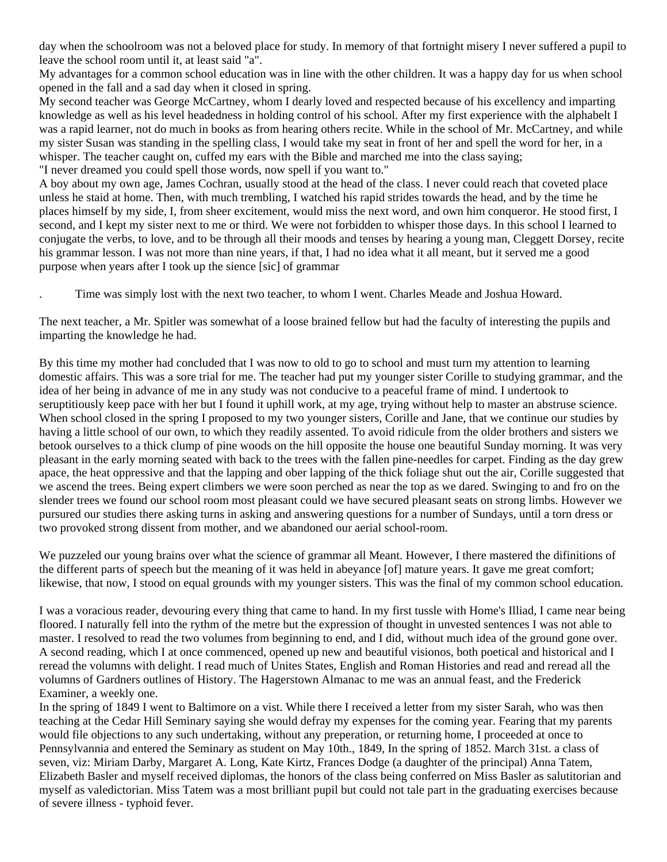day when the schoolroom was not a beloved place for study. In memory of that fortnight misery I never suffered a pupil to leave the school room until it, at least said "a".

My advantages for a common school education was in line with the other children. It was a happy day for us when school opened in the fall and a sad day when it closed in spring.

My second teacher was George McCartney, whom I dearly loved and respected because of his excellency and imparting knowledge as well as his level headedness in holding control of his school. After my first experience with the alphabelt I was a rapid learner, not do much in books as from hearing others recite. While in the school of Mr. McCartney, and while my sister Susan was standing in the spelling class, I would take my seat in front of her and spell the word for her, in a whisper. The teacher caught on, cuffed my ears with the Bible and marched me into the class saying; "I never dreamed you could spell those words, now spell if you want to."

A boy about my own age, James Cochran, usually stood at the head of the class. I never could reach that coveted place unless he staid at home. Then, with much trembling, I watched his rapid strides towards the head, and by the time he places himself by my side, I, from sheer excitement, would miss the next word, and own him conqueror. He stood first, I second, and I kept my sister next to me or third. We were not forbidden to whisper those days. In this school I learned to conjugate the verbs, to love, and to be through all their moods and tenses by hearing a young man, Cleggett Dorsey, recite his grammar lesson. I was not more than nine years, if that, I had no idea what it all meant, but it served me a good purpose when years after I took up the sience [sic] of grammar

. Time was simply lost with the next two teacher, to whom I went. Charles Meade and Joshua Howard.

The next teacher, a Mr. Spitler was somewhat of a loose brained fellow but had the faculty of interesting the pupils and imparting the knowledge he had.

By this time my mother had concluded that I was now to old to go to school and must turn my attention to learning domestic affairs. This was a sore trial for me. The teacher had put my younger sister Corille to studying grammar, and the idea of her being in advance of me in any study was not conducive to a peaceful frame of mind. I undertook to seruptitiously keep pace with her but I found it uphill work, at my age, trying without help to master an abstruse science. When school closed in the spring I proposed to my two younger sisters, Corille and Jane, that we continue our studies by having a little school of our own, to which they readily assented. To avoid ridicule from the older brothers and sisters we betook ourselves to a thick clump of pine woods on the hill opposite the house one beautiful Sunday morning. It was very pleasant in the early morning seated with back to the trees with the fallen pine-needles for carpet. Finding as the day grew apace, the heat oppressive and that the lapping and ober lapping of the thick foliage shut out the air, Corille suggested that we ascend the trees. Being expert climbers we were soon perched as near the top as we dared. Swinging to and fro on the slender trees we found our school room most pleasant could we have secured pleasant seats on strong limbs. However we pursured our studies there asking turns in asking and answering questions for a number of Sundays, until a torn dress or two provoked strong dissent from mother, and we abandoned our aerial school-room.

We puzzeled our young brains over what the science of grammar all Meant. However, I there mastered the difinitions of the different parts of speech but the meaning of it was held in abeyance [of] mature years. It gave me great comfort; likewise, that now, I stood on equal grounds with my younger sisters. This was the final of my common school education.

I was a voracious reader, devouring every thing that came to hand. In my first tussle with Home's Illiad, I came near being floored. I naturally fell into the rythm of the metre but the expression of thought in unvested sentences I was not able to master. I resolved to read the two volumes from beginning to end, and I did, without much idea of the ground gone over. A second reading, which I at once commenced, opened up new and beautiful visionos, both poetical and historical and I reread the volumns with delight. I read much of Unites States, English and Roman Histories and read and reread all the volumns of Gardners outlines of History. The Hagerstown Almanac to me was an annual feast, and the Frederick Examiner, a weekly one.

In the spring of 1849 I went to Baltimore on a vist. While there I received a letter from my sister Sarah, who was then teaching at the Cedar Hill Seminary saying she would defray my expenses for the coming year. Fearing that my parents would file objections to any such undertaking, without any preperation, or returning home, I proceeded at once to Pennsylvannia and entered the Seminary as student on May 10th., 1849, In the spring of 1852. March 31st. a class of seven, viz: Miriam Darby, Margaret A. Long, Kate Kirtz, Frances Dodge (a daughter of the principal) Anna Tatem, Elizabeth Basler and myself received diplomas, the honors of the class being conferred on Miss Basler as salutitorian and myself as valedictorian. Miss Tatem was a most brilliant pupil but could not tale part in the graduating exercises because of severe illness - typhoid fever.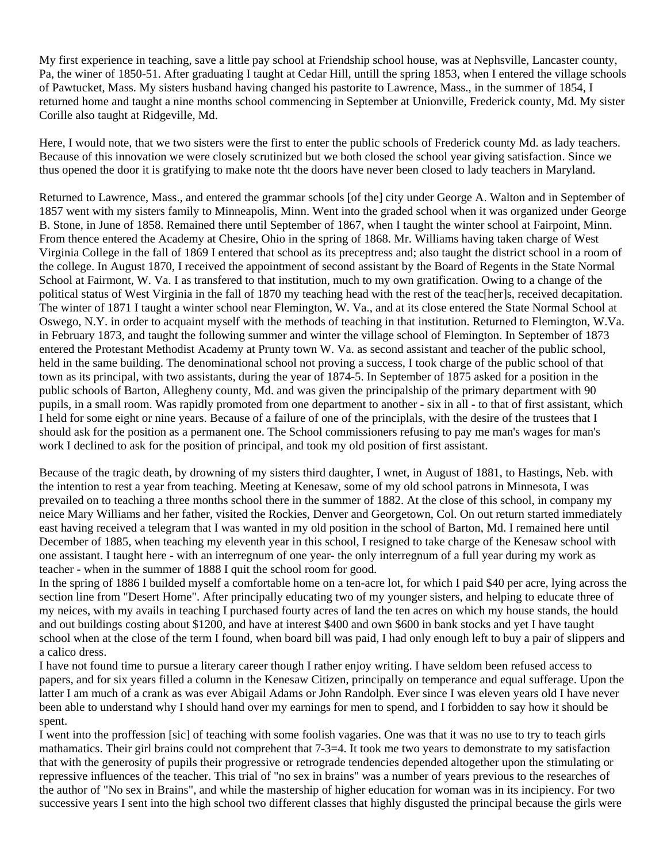My first experience in teaching, save a little pay school at Friendship school house, was at Nephsville, Lancaster county, Pa, the winer of 1850-51. After graduating I taught at Cedar Hill, untill the spring 1853, when I entered the village schools of Pawtucket, Mass. My sisters husband having changed his pastorite to Lawrence, Mass., in the summer of 1854, I returned home and taught a nine months school commencing in September at Unionville, Frederick county, Md. My sister Corille also taught at Ridgeville, Md.

Here, I would note, that we two sisters were the first to enter the public schools of Frederick county Md. as lady teachers. Because of this innovation we were closely scrutinized but we both closed the school year giving satisfaction. Since we thus opened the door it is gratifying to make note tht the doors have never been closed to lady teachers in Maryland.

Returned to Lawrence, Mass., and entered the grammar schools [of the] city under George A. Walton and in September of 1857 went with my sisters family to Minneapolis, Minn. Went into the graded school when it was organized under George B. Stone, in June of 1858. Remained there until September of 1867, when I taught the winter school at Fairpoint, Minn. From thence entered the Academy at Chesire, Ohio in the spring of 1868. Mr. Williams having taken charge of West Virginia College in the fall of 1869 I entered that school as its preceptress and; also taught the district school in a room of the college. In August 1870, I received the appointment of second assistant by the Board of Regents in the State Normal School at Fairmont, W. Va. I as transfered to that institution, much to my own gratification. Owing to a change of the political status of West Virginia in the fall of 1870 my teaching head with the rest of the teac[her]s, received decapitation. The winter of 1871 I taught a winter school near Flemington, W. Va., and at its close entered the State Normal School at Oswego, N.Y. in order to acquaint myself with the methods of teaching in that institution. Returned to Flemington, W.Va. in February 1873, and taught the following summer and winter the village school of Flemington. In September of 1873 entered the Protestant Methodist Academy at Prunty town W. Va. as second assistant and teacher of the public school, held in the same building. The denominational school not proving a success, I took charge of the public school of that town as its principal, with two assistants, during the year of 1874-5. In September of 1875 asked for a position in the public schools of Barton, Allegheny county, Md. and was given the principalship of the primary department with 90 pupils, in a small room. Was rapidly promoted from one department to another - six in all - to that of first assistant, which I held for some eight or nine years. Because of a failure of one of the principlals, with the desire of the trustees that I should ask for the position as a permanent one. The School commissioners refusing to pay me man's wages for man's work I declined to ask for the position of principal, and took my old position of first assistant.

Because of the tragic death, by drowning of my sisters third daughter, I wnet, in August of 1881, to Hastings, Neb. with the intention to rest a year from teaching. Meeting at Kenesaw, some of my old school patrons in Minnesota, I was prevailed on to teaching a three months school there in the summer of 1882. At the close of this school, in company my neice Mary Williams and her father, visited the Rockies, Denver and Georgetown, Col. On out return started immediately east having received a telegram that I was wanted in my old position in the school of Barton, Md. I remained here until December of 1885, when teaching my eleventh year in this school, I resigned to take charge of the Kenesaw school with one assistant. I taught here - with an interregnum of one year- the only interregnum of a full year during my work as teacher - when in the summer of 1888 I quit the school room for good.

In the spring of 1886 I builded myself a comfortable home on a ten-acre lot, for which I paid \$40 per acre, lying across the section line from "Desert Home". After principally educating two of my younger sisters, and helping to educate three of my neices, with my avails in teaching I purchased fourty acres of land the ten acres on which my house stands, the hould and out buildings costing about \$1200, and have at interest \$400 and own \$600 in bank stocks and yet I have taught school when at the close of the term I found, when board bill was paid, I had only enough left to buy a pair of slippers and a calico dress.

I have not found time to pursue a literary career though I rather enjoy writing. I have seldom been refused access to papers, and for six years filled a column in the Kenesaw Citizen, principally on temperance and equal sufferage. Upon the latter I am much of a crank as was ever Abigail Adams or John Randolph. Ever since I was eleven years old I have never been able to understand why I should hand over my earnings for men to spend, and I forbidden to say how it should be spent.

I went into the proffession [sic] of teaching with some foolish vagaries. One was that it was no use to try to teach girls mathamatics. Their girl brains could not comprehent that 7-3=4. It took me two years to demonstrate to my satisfaction that with the generosity of pupils their progressive or retrograde tendencies depended altogether upon the stimulating or repressive influences of the teacher. This trial of "no sex in brains" was a number of years previous to the researches of the author of "No sex in Brains", and while the mastership of higher education for woman was in its incipiency. For two successive years I sent into the high school two different classes that highly disgusted the principal because the girls were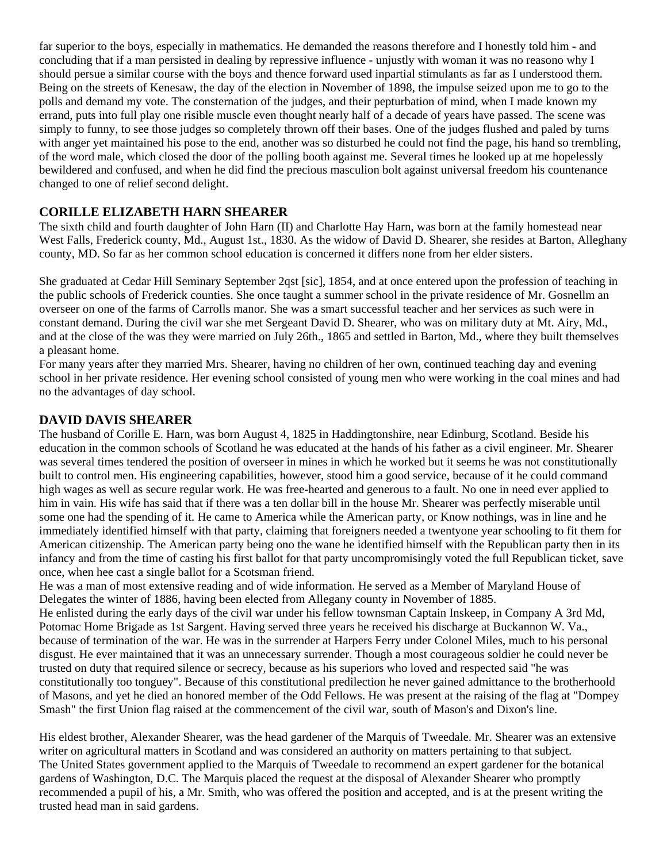far superior to the boys, especially in mathematics. He demanded the reasons therefore and I honestly told him - and concluding that if a man persisted in dealing by repressive influence - unjustly with woman it was no reasono why I should persue a similar course with the boys and thence forward used inpartial stimulants as far as I understood them. Being on the streets of Kenesaw, the day of the election in November of 1898, the impulse seized upon me to go to the polls and demand my vote. The consternation of the judges, and their pepturbation of mind, when I made known my errand, puts into full play one risible muscle even thought nearly half of a decade of years have passed. The scene was simply to funny, to see those judges so completely thrown off their bases. One of the judges flushed and paled by turns with anger yet maintained his pose to the end, another was so disturbed he could not find the page, his hand so trembling, of the word male, which closed the door of the polling booth against me. Several times he looked up at me hopelessly bewildered and confused, and when he did find the precious masculion bolt against universal freedom his countenance changed to one of relief second delight.

### **CORILLE ELIZABETH HARN SHEARER**

The sixth child and fourth daughter of John Harn (II) and Charlotte Hay Harn, was born at the family homestead near West Falls, Frederick county, Md., August 1st., 1830. As the widow of David D. Shearer, she resides at Barton, Alleghany county, MD. So far as her common school education is concerned it differs none from her elder sisters.

She graduated at Cedar Hill Seminary September 2qst [sic], 1854, and at once entered upon the profession of teaching in the public schools of Frederick counties. She once taught a summer school in the private residence of Mr. Gosnellm an overseer on one of the farms of Carrolls manor. She was a smart successful teacher and her services as such were in constant demand. During the civil war she met Sergeant David D. Shearer, who was on military duty at Mt. Airy, Md., and at the close of the was they were married on July 26th., 1865 and settled in Barton, Md., where they built themselves a pleasant home.

For many years after they married Mrs. Shearer, having no children of her own, continued teaching day and evening school in her private residence. Her evening school consisted of young men who were working in the coal mines and had no the advantages of day school.

### **DAVID DAVIS SHEARER**

The husband of Corille E. Harn, was born August 4, 1825 in Haddingtonshire, near Edinburg, Scotland. Beside his education in the common schools of Scotland he was educated at the hands of his father as a civil engineer. Mr. Shearer was several times tendered the position of overseer in mines in which he worked but it seems he was not constitutionally built to control men. His engineering capabilities, however, stood him a good service, because of it he could command high wages as well as secure regular work. He was free-hearted and generous to a fault. No one in need ever applied to him in vain. His wife has said that if there was a ten dollar bill in the house Mr. Shearer was perfectly miserable until some one had the spending of it. He came to America while the American party, or Know nothings, was in line and he immediately identified himself with that party, claiming that foreigners needed a twentyone year schooling to fit them for American citizenship. The American party being ono the wane he identified himself with the Republican party then in its infancy and from the time of casting his first ballot for that party uncompromisingly voted the full Republican ticket, save once, when hee cast a single ballot for a Scotsman friend.

He was a man of most extensive reading and of wide information. He served as a Member of Maryland House of Delegates the winter of 1886, having been elected from Allegany county in November of 1885.

He enlisted during the early days of the civil war under his fellow townsman Captain Inskeep, in Company A 3rd Md, Potomac Home Brigade as 1st Sargent. Having served three years he received his discharge at Buckannon W. Va., because of termination of the war. He was in the surrender at Harpers Ferry under Colonel Miles, much to his personal disgust. He ever maintained that it was an unnecessary surrender. Though a most courageous soldier he could never be trusted on duty that required silence or secrecy, because as his superiors who loved and respected said "he was constitutionally too tonguey". Because of this constitutional predilection he never gained admittance to the brotherhoold of Masons, and yet he died an honored member of the Odd Fellows. He was present at the raising of the flag at "Dompey Smash" the first Union flag raised at the commencement of the civil war, south of Mason's and Dixon's line.

His eldest brother, Alexander Shearer, was the head gardener of the Marquis of Tweedale. Mr. Shearer was an extensive writer on agricultural matters in Scotland and was considered an authority on matters pertaining to that subject. The United States government applied to the Marquis of Tweedale to recommend an expert gardener for the botanical gardens of Washington, D.C. The Marquis placed the request at the disposal of Alexander Shearer who promptly recommended a pupil of his, a Mr. Smith, who was offered the position and accepted, and is at the present writing the trusted head man in said gardens.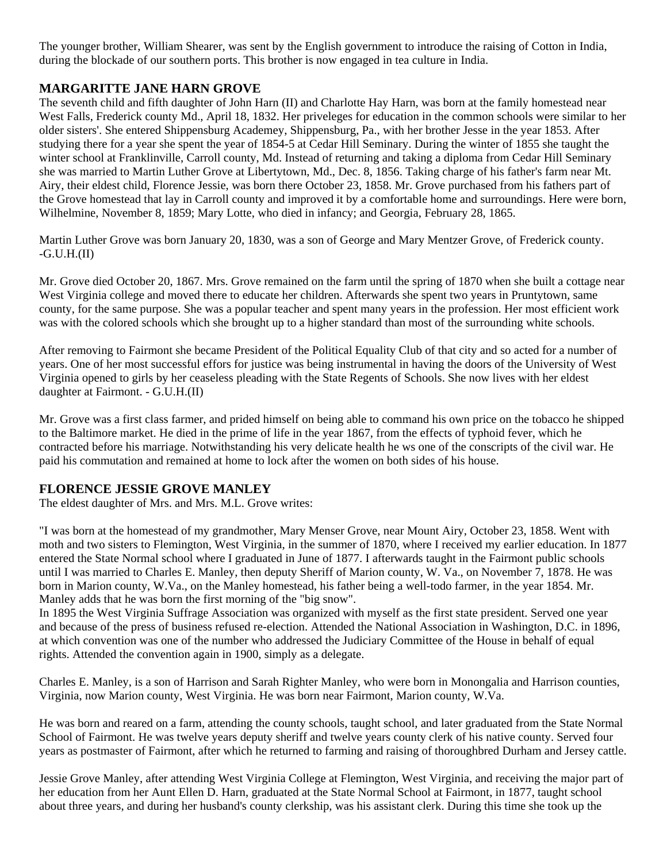The younger brother, William Shearer, was sent by the English government to introduce the raising of Cotton in India, during the blockade of our southern ports. This brother is now engaged in tea culture in India.

### **MARGARITTE JANE HARN GROVE**

The seventh child and fifth daughter of John Harn (II) and Charlotte Hay Harn, was born at the family homestead near West Falls, Frederick county Md., April 18, 1832. Her priveleges for education in the common schools were similar to her older sisters'. She entered Shippensburg Academey, Shippensburg, Pa., with her brother Jesse in the year 1853. After studying there for a year she spent the year of 1854-5 at Cedar Hill Seminary. During the winter of 1855 she taught the winter school at Franklinville, Carroll county, Md. Instead of returning and taking a diploma from Cedar Hill Seminary she was married to Martin Luther Grove at Libertytown, Md., Dec. 8, 1856. Taking charge of his father's farm near Mt. Airy, their eldest child, Florence Jessie, was born there October 23, 1858. Mr. Grove purchased from his fathers part of the Grove homestead that lay in Carroll county and improved it by a comfortable home and surroundings. Here were born, Wilhelmine, November 8, 1859; Mary Lotte, who died in infancy; and Georgia, February 28, 1865.

Martin Luther Grove was born January 20, 1830, was a son of George and Mary Mentzer Grove, of Frederick county.  $-G.U.H.(II)$ 

Mr. Grove died October 20, 1867. Mrs. Grove remained on the farm until the spring of 1870 when she built a cottage near West Virginia college and moved there to educate her children. Afterwards she spent two years in Pruntytown, same county, for the same purpose. She was a popular teacher and spent many years in the profession. Her most efficient work was with the colored schools which she brought up to a higher standard than most of the surrounding white schools.

After removing to Fairmont she became President of the Political Equality Club of that city and so acted for a number of years. One of her most successful effors for justice was being instrumental in having the doors of the University of West Virginia opened to girls by her ceaseless pleading with the State Regents of Schools. She now lives with her eldest daughter at Fairmont. - G.U.H.(II)

Mr. Grove was a first class farmer, and prided himself on being able to command his own price on the tobacco he shipped to the Baltimore market. He died in the prime of life in the year 1867, from the effects of typhoid fever, which he contracted before his marriage. Notwithstanding his very delicate health he ws one of the conscripts of the civil war. He paid his commutation and remained at home to lock after the women on both sides of his house.

### **FLORENCE JESSIE GROVE MANLEY**

The eldest daughter of Mrs. and Mrs. M.L. Grove writes:

"I was born at the homestead of my grandmother, Mary Menser Grove, near Mount Airy, October 23, 1858. Went with moth and two sisters to Flemington, West Virginia, in the summer of 1870, where I received my earlier education. In 1877 entered the State Normal school where I graduated in June of 1877. I afterwards taught in the Fairmont public schools until I was married to Charles E. Manley, then deputy Sheriff of Marion county, W. Va., on November 7, 1878. He was born in Marion county, W.Va., on the Manley homestead, his father being a well-todo farmer, in the year 1854. Mr. Manley adds that he was born the first morning of the "big snow".

In 1895 the West Virginia Suffrage Association was organized with myself as the first state president. Served one year and because of the press of business refused re-election. Attended the National Association in Washington, D.C. in 1896, at which convention was one of the number who addressed the Judiciary Committee of the House in behalf of equal rights. Attended the convention again in 1900, simply as a delegate.

Charles E. Manley, is a son of Harrison and Sarah Righter Manley, who were born in Monongalia and Harrison counties, Virginia, now Marion county, West Virginia. He was born near Fairmont, Marion county, W.Va.

He was born and reared on a farm, attending the county schools, taught school, and later graduated from the State Normal School of Fairmont. He was twelve years deputy sheriff and twelve years county clerk of his native county. Served four years as postmaster of Fairmont, after which he returned to farming and raising of thoroughbred Durham and Jersey cattle.

Jessie Grove Manley, after attending West Virginia College at Flemington, West Virginia, and receiving the major part of her education from her Aunt Ellen D. Harn, graduated at the State Normal School at Fairmont, in 1877, taught school about three years, and during her husband's county clerkship, was his assistant clerk. During this time she took up the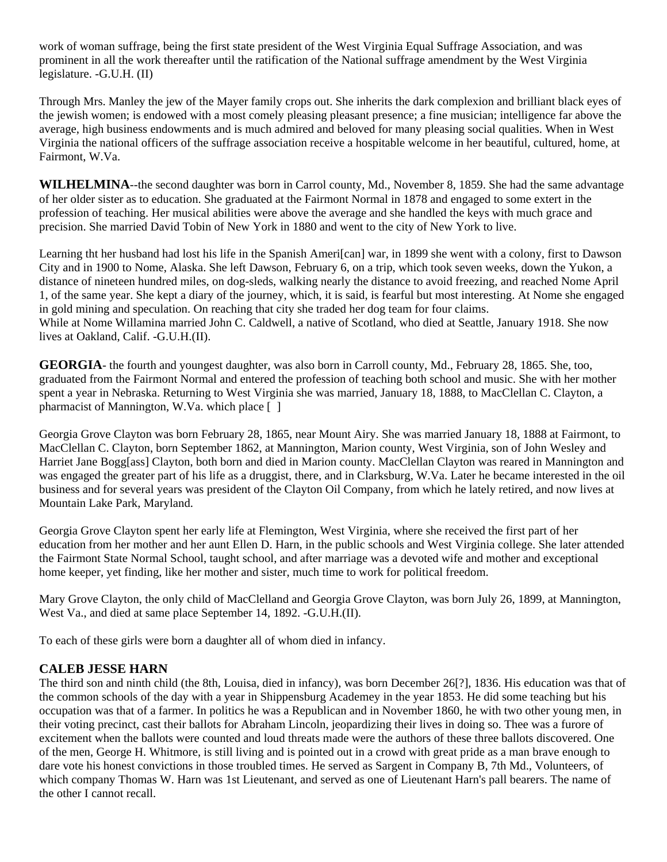work of woman suffrage, being the first state president of the West Virginia Equal Suffrage Association, and was prominent in all the work thereafter until the ratification of the National suffrage amendment by the West Virginia legislature. -G.U.H. (II)

Through Mrs. Manley the jew of the Mayer family crops out. She inherits the dark complexion and brilliant black eyes of the jewish women; is endowed with a most comely pleasing pleasant presence; a fine musician; intelligence far above the average, high business endowments and is much admired and beloved for many pleasing social qualities. When in West Virginia the national officers of the suffrage association receive a hospitable welcome in her beautiful, cultured, home, at Fairmont, W.Va.

**WILHELMINA**--the second daughter was born in Carrol county, Md., November 8, 1859. She had the same advantage of her older sister as to education. She graduated at the Fairmont Normal in 1878 and engaged to some extert in the profession of teaching. Her musical abilities were above the average and she handled the keys with much grace and precision. She married David Tobin of New York in 1880 and went to the city of New York to live.

Learning tht her husband had lost his life in the Spanish Ameri[can] war, in 1899 she went with a colony, first to Dawson City and in 1900 to Nome, Alaska. She left Dawson, February 6, on a trip, which took seven weeks, down the Yukon, a distance of nineteen hundred miles, on dog-sleds, walking nearly the distance to avoid freezing, and reached Nome April 1, of the same year. She kept a diary of the journey, which, it is said, is fearful but most interesting. At Nome she engaged in gold mining and speculation. On reaching that city she traded her dog team for four claims. While at Nome Willamina married John C. Caldwell, a native of Scotland, who died at Seattle, January 1918. She now lives at Oakland, Calif. -G.U.H.(II).

**GEORGIA**- the fourth and youngest daughter, was also born in Carroll county, Md., February 28, 1865. She, too, graduated from the Fairmont Normal and entered the profession of teaching both school and music. She with her mother spent a year in Nebraska. Returning to West Virginia she was married, January 18, 1888, to MacClellan C. Clayton, a pharmacist of Mannington, W.Va. which place [ ]

Georgia Grove Clayton was born February 28, 1865, near Mount Airy. She was married January 18, 1888 at Fairmont, to MacClellan C. Clayton, born September 1862, at Mannington, Marion county, West Virginia, son of John Wesley and Harriet Jane Bogg[ass] Clayton, both born and died in Marion county. MacClellan Clayton was reared in Mannington and was engaged the greater part of his life as a druggist, there, and in Clarksburg, W.Va. Later he became interested in the oil business and for several years was president of the Clayton Oil Company, from which he lately retired, and now lives at Mountain Lake Park, Maryland.

Georgia Grove Clayton spent her early life at Flemington, West Virginia, where she received the first part of her education from her mother and her aunt Ellen D. Harn, in the public schools and West Virginia college. She later attended the Fairmont State Normal School, taught school, and after marriage was a devoted wife and mother and exceptional home keeper, yet finding, like her mother and sister, much time to work for political freedom.

Mary Grove Clayton, the only child of MacClelland and Georgia Grove Clayton, was born July 26, 1899, at Mannington, West Va., and died at same place September 14, 1892. -G.U.H.(II).

To each of these girls were born a daughter all of whom died in infancy.

#### **CALEB JESSE HARN**

The third son and ninth child (the 8th, Louisa, died in infancy), was born December 26[?], 1836. His education was that of the common schools of the day with a year in Shippensburg Academey in the year 1853. He did some teaching but his occupation was that of a farmer. In politics he was a Republican and in November 1860, he with two other young men, in their voting precinct, cast their ballots for Abraham Lincoln, jeopardizing their lives in doing so. Thee was a furore of excitement when the ballots were counted and loud threats made were the authors of these three ballots discovered. One of the men, George H. Whitmore, is still living and is pointed out in a crowd with great pride as a man brave enough to dare vote his honest convictions in those troubled times. He served as Sargent in Company B, 7th Md., Volunteers, of which company Thomas W. Harn was 1st Lieutenant, and served as one of Lieutenant Harn's pall bearers. The name of the other I cannot recall.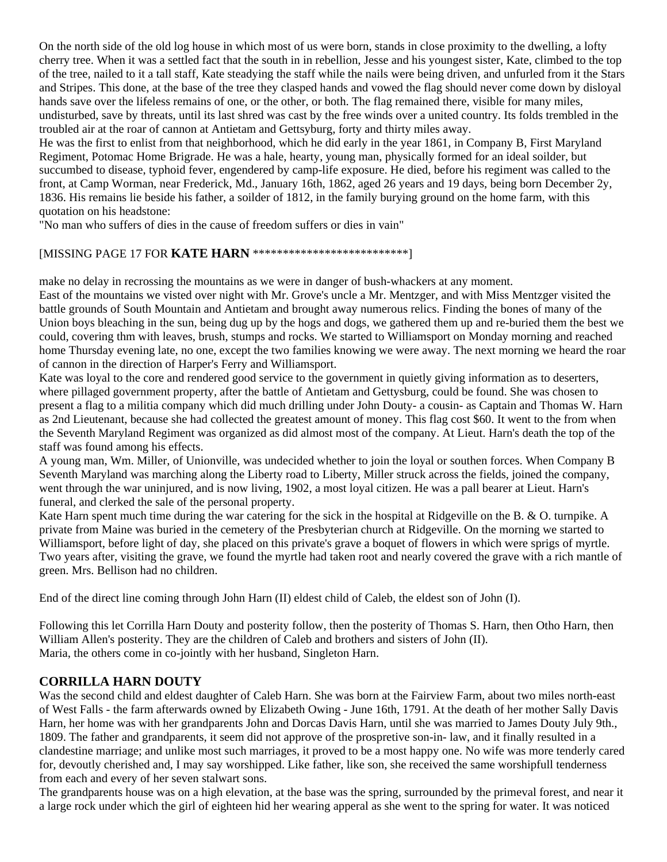On the north side of the old log house in which most of us were born, stands in close proximity to the dwelling, a lofty cherry tree. When it was a settled fact that the south in in rebellion, Jesse and his youngest sister, Kate, climbed to the top of the tree, nailed to it a tall staff, Kate steadying the staff while the nails were being driven, and unfurled from it the Stars and Stripes. This done, at the base of the tree they clasped hands and vowed the flag should never come down by disloyal hands save over the lifeless remains of one, or the other, or both. The flag remained there, visible for many miles, undisturbed, save by threats, until its last shred was cast by the free winds over a united country. Its folds trembled in the troubled air at the roar of cannon at Antietam and Gettsyburg, forty and thirty miles away.

He was the first to enlist from that neighborhood, which he did early in the year 1861, in Company B, First Maryland Regiment, Potomac Home Brigrade. He was a hale, hearty, young man, physically formed for an ideal soilder, but succumbed to disease, typhoid fever, engendered by camp-life exposure. He died, before his regiment was called to the front, at Camp Worman, near Frederick, Md., January 16th, 1862, aged 26 years and 19 days, being born December 2y, 1836. His remains lie beside his father, a soilder of 1812, in the family burying ground on the home farm, with this quotation on his headstone:

"No man who suffers of dies in the cause of freedom suffers or dies in vain"

#### [MISSING PAGE 17 FOR **KATE HARN** \*\*\*\*\*\*\*\*\*\*\*\*\*\*\*\*\*\*\*\*\*\*\*\*\*\*]

make no delay in recrossing the mountains as we were in danger of bush-whackers at any moment.

East of the mountains we visted over night with Mr. Grove's uncle a Mr. Mentzger, and with Miss Mentzger visited the battle grounds of South Mountain and Antietam and brought away numerous relics. Finding the bones of many of the Union boys bleaching in the sun, being dug up by the hogs and dogs, we gathered them up and re-buried them the best we could, covering thm with leaves, brush, stumps and rocks. We started to Williamsport on Monday morning and reached home Thursday evening late, no one, except the two families knowing we were away. The next morning we heard the roar of cannon in the direction of Harper's Ferry and Williamsport.

Kate was loyal to the core and rendered good service to the government in quietly giving information as to deserters, where pillaged government property, after the battle of Antietam and Gettysburg, could be found. She was chosen to present a flag to a militia company which did much drilling under John Douty- a cousin- as Captain and Thomas W. Harn as 2nd Lieutenant, because she had collected the greatest amount of money. This flag cost \$60. It went to the from when the Seventh Maryland Regiment was organized as did almost most of the company. At Lieut. Harn's death the top of the staff was found among his effects.

A young man, Wm. Miller, of Unionville, was undecided whether to join the loyal or southen forces. When Company B Seventh Maryland was marching along the Liberty road to Liberty, Miller struck across the fields, joined the company, went through the war uninjured, and is now living, 1902, a most loyal citizen. He was a pall bearer at Lieut. Harn's funeral, and clerked the sale of the personal property.

Kate Harn spent much time during the war catering for the sick in the hospital at Ridgeville on the B. & O. turnpike. A private from Maine was buried in the cemetery of the Presbyterian church at Ridgeville. On the morning we started to Williamsport, before light of day, she placed on this private's grave a boquet of flowers in which were sprigs of myrtle. Two years after, visiting the grave, we found the myrtle had taken root and nearly covered the grave with a rich mantle of green. Mrs. Bellison had no children.

End of the direct line coming through John Harn (II) eldest child of Caleb, the eldest son of John (I).

Following this let Corrilla Harn Douty and posterity follow, then the posterity of Thomas S. Harn, then Otho Harn, then William Allen's posterity. They are the children of Caleb and brothers and sisters of John (II). Maria, the others come in co-jointly with her husband, Singleton Harn.

#### **CORRILLA HARN DOUTY**

Was the second child and eldest daughter of Caleb Harn. She was born at the Fairview Farm, about two miles north-east of West Falls - the farm afterwards owned by Elizabeth Owing - June 16th, 1791. At the death of her mother Sally Davis Harn, her home was with her grandparents John and Dorcas Davis Harn, until she was married to James Douty July 9th., 1809. The father and grandparents, it seem did not approve of the prospretive son-in- law, and it finally resulted in a clandestine marriage; and unlike most such marriages, it proved to be a most happy one. No wife was more tenderly cared for, devoutly cherished and, I may say worshipped. Like father, like son, she received the same worshipfull tenderness from each and every of her seven stalwart sons.

The grandparents house was on a high elevation, at the base was the spring, surrounded by the primeval forest, and near it a large rock under which the girl of eighteen hid her wearing apperal as she went to the spring for water. It was noticed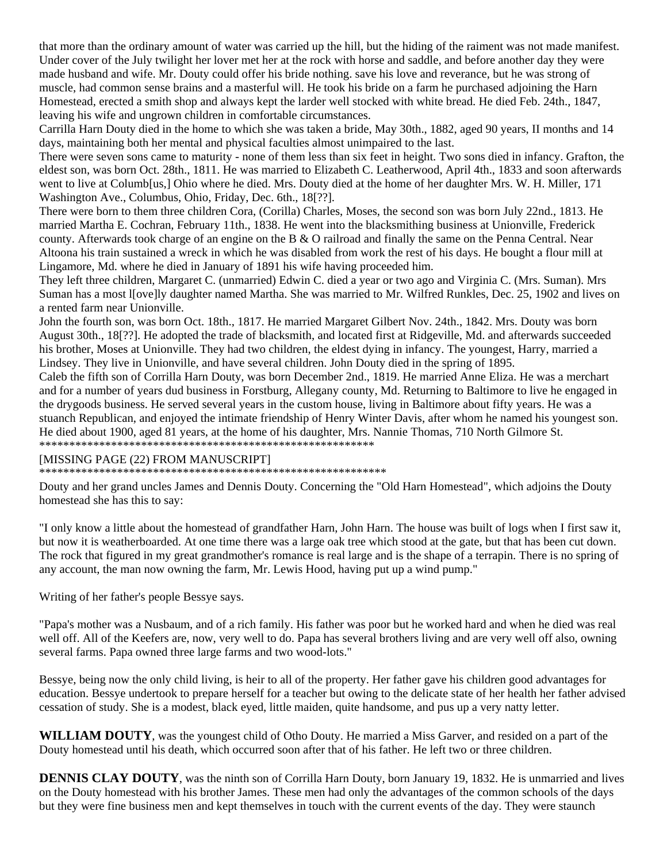that more than the ordinary amount of water was carried up the hill, but the hiding of the raiment was not made manifest. Under cover of the July twilight her lover met her at the rock with horse and saddle, and before another day they were made husband and wife. Mr. Douty could offer his bride nothing. save his love and reverance, but he was strong of muscle, had common sense brains and a masterful will. He took his bride on a farm he purchased adjoining the Harn Homestead, erected a smith shop and always kept the larder well stocked with white bread. He died Feb. 24th., 1847, leaving his wife and ungrown children in comfortable circumstances.

Carrilla Harn Douty died in the home to which she was taken a bride, May 30th., 1882, aged 90 years, II months and 14 days, maintaining both her mental and physical faculties almost unimpaired to the last.

There were seven sons came to maturity - none of them less than six feet in height. Two sons died in infancy. Grafton, the eldest son, was born Oct. 28th., 1811. He was married to Elizabeth C. Leatherwood, April 4th., 1833 and soon afterwards went to live at Columb[us,] Ohio where he died. Mrs. Douty died at the home of her daughter Mrs. W. H. Miller, 171 Washington Ave., Columbus, Ohio, Friday, Dec. 6th., 18[??].

There were born to them three children Cora, (Corilla) Charles, Moses, the second son was born July 22nd., 1813. He married Martha E. Cochran, February 11th., 1838. He went into the blacksmithing business at Unionville, Frederick county. Afterwards took charge of an engine on the B & O railroad and finally the same on the Penna Central. Near Altoona his train sustained a wreck in which he was disabled from work the rest of his days. He bought a flour mill at Lingamore, Md. where he died in January of 1891 his wife having proceeded him.

They left three children, Margaret C. (unmarried) Edwin C. died a year or two ago and Virginia C. (Mrs. Suman). Mrs Suman has a most l[ove]ly daughter named Martha. She was married to Mr. Wilfred Runkles, Dec. 25, 1902 and lives on a rented farm near Unionville.

John the fourth son, was born Oct. 18th., 1817. He married Margaret Gilbert Nov. 24th., 1842. Mrs. Douty was born August 30th., 18[??]. He adopted the trade of blacksmith, and located first at Ridgeville, Md. and afterwards succeeded his brother, Moses at Unionville. They had two children, the eldest dying in infancy. The youngest, Harry, married a Lindsey. They live in Unionville, and have several children. John Douty died in the spring of 1895.

Caleb the fifth son of Corrilla Harn Douty, was born December 2nd., 1819. He married Anne Eliza. He was a merchart and for a number of years dud business in Forstburg, Allegany county, Md. Returning to Baltimore to live he engaged in the drygoods business. He served several years in the custom house, living in Baltimore about fifty years. He was a stuanch Republican, and enjoyed the intimate friendship of Henry Winter Davis, after whom he named his youngest son. He died about 1900, aged 81 years, at the home of his daughter, Mrs. Nannie Thomas, 710 North Gilmore St. \*\*\*\*\*\*\*\*\*\*\*\*\*\*\*\*\*\*\*\*\*\*\*\*\*\*\*\*\*\*\*\*\*\*\*\*\*\*\*\*\*\*\*\*\*\*\*\*\*\*\*\*\*\*\*\*

#### [MISSING PAGE (22) FROM MANUSCRIPT]

\*\*\*\*\*\*\*\*\*\*\*\*\*\*\*\*\*\*\*\*\*\*\*\*\*\*\*\*\*\*\*\*\*\*\*\*\*\*\*\*\*\*\*\*\*\*\*\*\*\*\*\*\*\*\*\*\*\*

Douty and her grand uncles James and Dennis Douty. Concerning the "Old Harn Homestead", which adjoins the Douty homestead she has this to say:

"I only know a little about the homestead of grandfather Harn, John Harn. The house was built of logs when I first saw it, but now it is weatherboarded. At one time there was a large oak tree which stood at the gate, but that has been cut down. The rock that figured in my great grandmother's romance is real large and is the shape of a terrapin. There is no spring of any account, the man now owning the farm, Mr. Lewis Hood, having put up a wind pump."

Writing of her father's people Bessye says.

"Papa's mother was a Nusbaum, and of a rich family. His father was poor but he worked hard and when he died was real well off. All of the Keefers are, now, very well to do. Papa has several brothers living and are very well off also, owning several farms. Papa owned three large farms and two wood-lots."

Bessye, being now the only child living, is heir to all of the property. Her father gave his children good advantages for education. Bessye undertook to prepare herself for a teacher but owing to the delicate state of her health her father advised cessation of study. She is a modest, black eyed, little maiden, quite handsome, and pus up a very natty letter.

**WILLIAM DOUTY**, was the youngest child of Otho Douty. He married a Miss Garver, and resided on a part of the Douty homestead until his death, which occurred soon after that of his father. He left two or three children.

**DENNIS CLAY DOUTY**, was the ninth son of Corrilla Harn Douty, born January 19, 1832. He is unmarried and lives on the Douty homestead with his brother James. These men had only the advantages of the common schools of the days but they were fine business men and kept themselves in touch with the current events of the day. They were staunch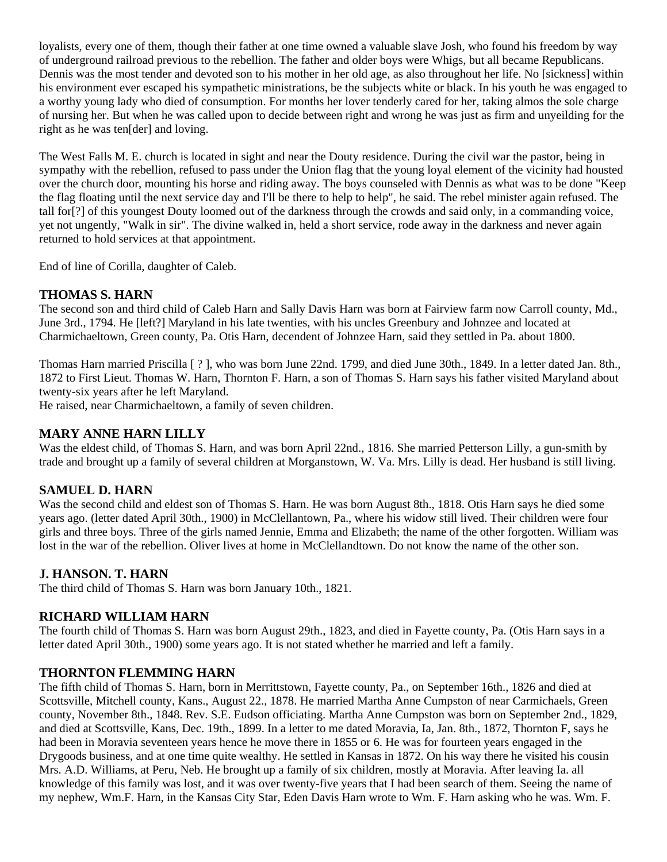loyalists, every one of them, though their father at one time owned a valuable slave Josh, who found his freedom by way of underground railroad previous to the rebellion. The father and older boys were Whigs, but all became Republicans. Dennis was the most tender and devoted son to his mother in her old age, as also throughout her life. No [sickness] within his environment ever escaped his sympathetic ministrations, be the subjects white or black. In his youth he was engaged to a worthy young lady who died of consumption. For months her lover tenderly cared for her, taking almos the sole charge of nursing her. But when he was called upon to decide between right and wrong he was just as firm and unyeilding for the right as he was ten[der] and loving.

The West Falls M. E. church is located in sight and near the Douty residence. During the civil war the pastor, being in sympathy with the rebellion, refused to pass under the Union flag that the young loyal element of the vicinity had housted over the church door, mounting his horse and riding away. The boys counseled with Dennis as what was to be done "Keep the flag floating until the next service day and I'll be there to help to help", he said. The rebel minister again refused. The tall for[?] of this youngest Douty loomed out of the darkness through the crowds and said only, in a commanding voice, yet not ungently, "Walk in sir". The divine walked in, held a short service, rode away in the darkness and never again returned to hold services at that appointment.

End of line of Corilla, daughter of Caleb.

### **THOMAS S. HARN**

The second son and third child of Caleb Harn and Sally Davis Harn was born at Fairview farm now Carroll county, Md., June 3rd., 1794. He [left?] Maryland in his late twenties, with his uncles Greenbury and Johnzee and located at Charmichaeltown, Green county, Pa. Otis Harn, decendent of Johnzee Harn, said they settled in Pa. about 1800.

Thomas Harn married Priscilla [ ? ], who was born June 22nd. 1799, and died June 30th., 1849. In a letter dated Jan. 8th., 1872 to First Lieut. Thomas W. Harn, Thornton F. Harn, a son of Thomas S. Harn says his father visited Maryland about twenty-six years after he left Maryland.

He raised, near Charmichaeltown, a family of seven children.

#### **MARY ANNE HARN LILLY**

Was the eldest child, of Thomas S. Harn, and was born April 22nd., 1816. She married Petterson Lilly, a gun-smith by trade and brought up a family of several children at Morganstown, W. Va. Mrs. Lilly is dead. Her husband is still living.

#### **SAMUEL D. HARN**

Was the second child and eldest son of Thomas S. Harn. He was born August 8th., 1818. Otis Harn says he died some years ago. (letter dated April 30th., 1900) in McClellantown, Pa., where his widow still lived. Their children were four girls and three boys. Three of the girls named Jennie, Emma and Elizabeth; the name of the other forgotten. William was lost in the war of the rebellion. Oliver lives at home in McClellandtown. Do not know the name of the other son.

#### **J. HANSON. T. HARN**

The third child of Thomas S. Harn was born January 10th., 1821.

#### **RICHARD WILLIAM HARN**

The fourth child of Thomas S. Harn was born August 29th., 1823, and died in Fayette county, Pa. (Otis Harn says in a letter dated April 30th., 1900) some years ago. It is not stated whether he married and left a family.

### **THORNTON FLEMMING HARN**

The fifth child of Thomas S. Harn, born in Merrittstown, Fayette county, Pa., on September 16th., 1826 and died at Scottsville, Mitchell county, Kans., August 22., 1878. He married Martha Anne Cumpston of near Carmichaels, Green county, November 8th., 1848. Rev. S.E. Eudson officiating. Martha Anne Cumpston was born on September 2nd., 1829, and died at Scottsville, Kans, Dec. 19th., 1899. In a letter to me dated Moravia, Ia, Jan. 8th., 1872, Thornton F, says he had been in Moravia seventeen years hence he move there in 1855 or 6. He was for fourteen years engaged in the Drygoods business, and at one time quite wealthy. He settled in Kansas in 1872. On his way there he visited his cousin Mrs. A.D. Williams, at Peru, Neb. He brought up a family of six children, mostly at Moravia. After leaving Ia. all knowledge of this family was lost, and it was over twenty-five years that I had been search of them. Seeing the name of my nephew, Wm.F. Harn, in the Kansas City Star, Eden Davis Harn wrote to Wm. F. Harn asking who he was. Wm. F.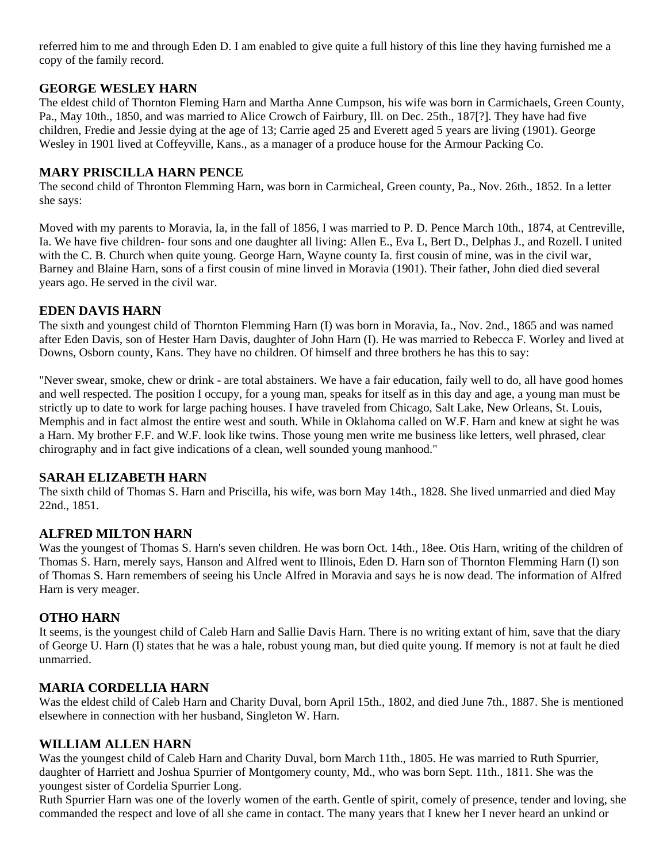referred him to me and through Eden D. I am enabled to give quite a full history of this line they having furnished me a copy of the family record.

#### **GEORGE WESLEY HARN**

The eldest child of Thornton Fleming Harn and Martha Anne Cumpson, his wife was born in Carmichaels, Green County, Pa., May 10th., 1850, and was married to Alice Crowch of Fairbury, Ill. on Dec. 25th., 187[?]. They have had five children, Fredie and Jessie dying at the age of 13; Carrie aged 25 and Everett aged 5 years are living (1901). George Wesley in 1901 lived at Coffeyville, Kans., as a manager of a produce house for the Armour Packing Co.

### **MARY PRISCILLA HARN PENCE**

The second child of Thronton Flemming Harn, was born in Carmicheal, Green county, Pa., Nov. 26th., 1852. In a letter she says:

Moved with my parents to Moravia, Ia, in the fall of 1856, I was married to P. D. Pence March 10th., 1874, at Centreville, Ia. We have five children- four sons and one daughter all living: Allen E., Eva L, Bert D., Delphas J., and Rozell. I united with the C. B. Church when quite young. George Harn, Wayne county Ia. first cousin of mine, was in the civil war, Barney and Blaine Harn, sons of a first cousin of mine linved in Moravia (1901). Their father, John died died several years ago. He served in the civil war.

#### **EDEN DAVIS HARN**

The sixth and youngest child of Thornton Flemming Harn (I) was born in Moravia, Ia., Nov. 2nd., 1865 and was named after Eden Davis, son of Hester Harn Davis, daughter of John Harn (I). He was married to Rebecca F. Worley and lived at Downs, Osborn county, Kans. They have no children. Of himself and three brothers he has this to say:

"Never swear, smoke, chew or drink - are total abstainers. We have a fair education, faily well to do, all have good homes and well respected. The position I occupy, for a young man, speaks for itself as in this day and age, a young man must be strictly up to date to work for large paching houses. I have traveled from Chicago, Salt Lake, New Orleans, St. Louis, Memphis and in fact almost the entire west and south. While in Oklahoma called on W.F. Harn and knew at sight he was a Harn. My brother F.F. and W.F. look like twins. Those young men write me business like letters, well phrased, clear chirography and in fact give indications of a clean, well sounded young manhood."

#### **SARAH ELIZABETH HARN**

The sixth child of Thomas S. Harn and Priscilla, his wife, was born May 14th., 1828. She lived unmarried and died May 22nd., 1851.

#### **ALFRED MILTON HARN**

Was the youngest of Thomas S. Harn's seven children. He was born Oct. 14th., 18ee. Otis Harn, writing of the children of Thomas S. Harn, merely says, Hanson and Alfred went to Illinois, Eden D. Harn son of Thornton Flemming Harn (I) son of Thomas S. Harn remembers of seeing his Uncle Alfred in Moravia and says he is now dead. The information of Alfred Harn is very meager.

#### **OTHO HARN**

It seems, is the youngest child of Caleb Harn and Sallie Davis Harn. There is no writing extant of him, save that the diary of George U. Harn (I) states that he was a hale, robust young man, but died quite young. If memory is not at fault he died unmarried.

#### **MARIA CORDELLIA HARN**

Was the eldest child of Caleb Harn and Charity Duval, born April 15th., 1802, and died June 7th., 1887. She is mentioned elsewhere in connection with her husband, Singleton W. Harn.

#### **WILLIAM ALLEN HARN**

Was the youngest child of Caleb Harn and Charity Duval, born March 11th., 1805. He was married to Ruth Spurrier, daughter of Harriett and Joshua Spurrier of Montgomery county, Md., who was born Sept. 11th., 1811. She was the youngest sister of Cordelia Spurrier Long.

Ruth Spurrier Harn was one of the loverly women of the earth. Gentle of spirit, comely of presence, tender and loving, she commanded the respect and love of all she came in contact. The many years that I knew her I never heard an unkind or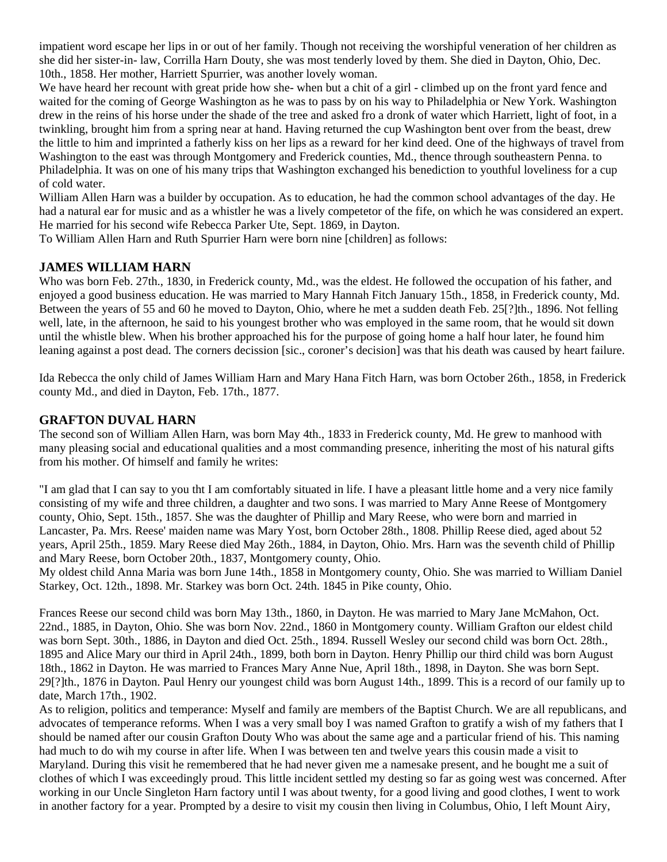impatient word escape her lips in or out of her family. Though not receiving the worshipful veneration of her children as she did her sister-in- law, Corrilla Harn Douty, she was most tenderly loved by them. She died in Dayton, Ohio, Dec. 10th., 1858. Her mother, Harriett Spurrier, was another lovely woman.

We have heard her recount with great pride how she- when but a chit of a girl - climbed up on the front yard fence and waited for the coming of George Washington as he was to pass by on his way to Philadelphia or New York. Washington drew in the reins of his horse under the shade of the tree and asked fro a dronk of water which Harriett, light of foot, in a twinkling, brought him from a spring near at hand. Having returned the cup Washington bent over from the beast, drew the little to him and imprinted a fatherly kiss on her lips as a reward for her kind deed. One of the highways of travel from Washington to the east was through Montgomery and Frederick counties, Md., thence through southeastern Penna. to Philadelphia. It was on one of his many trips that Washington exchanged his benediction to youthful loveliness for a cup of cold water.

William Allen Harn was a builder by occupation. As to education, he had the common school advantages of the day. He had a natural ear for music and as a whistler he was a lively competetor of the fife, on which he was considered an expert. He married for his second wife Rebecca Parker Ute, Sept. 1869, in Dayton.

To William Allen Harn and Ruth Spurrier Harn were born nine [children] as follows:

### **JAMES WILLIAM HARN**

Who was born Feb. 27th., 1830, in Frederick county, Md., was the eldest. He followed the occupation of his father, and enjoyed a good business education. He was married to Mary Hannah Fitch January 15th., 1858, in Frederick county, Md. Between the years of 55 and 60 he moved to Dayton, Ohio, where he met a sudden death Feb. 25[?]th., 1896. Not felling well, late, in the afternoon, he said to his youngest brother who was employed in the same room, that he would sit down until the whistle blew. When his brother approached his for the purpose of going home a half hour later, he found him leaning against a post dead. The corners decission [sic., coroner's decision] was that his death was caused by heart failure.

Ida Rebecca the only child of James William Harn and Mary Hana Fitch Harn, was born October 26th., 1858, in Frederick county Md., and died in Dayton, Feb. 17th., 1877.

### **GRAFTON DUVAL HARN**

The second son of William Allen Harn, was born May 4th., 1833 in Frederick county, Md. He grew to manhood with many pleasing social and educational qualities and a most commanding presence, inheriting the most of his natural gifts from his mother. Of himself and family he writes:

"I am glad that I can say to you tht I am comfortably situated in life. I have a pleasant little home and a very nice family consisting of my wife and three children, a daughter and two sons. I was married to Mary Anne Reese of Montgomery county, Ohio, Sept. 15th., 1857. She was the daughter of Phillip and Mary Reese, who were born and married in Lancaster, Pa. Mrs. Reese' maiden name was Mary Yost, born October 28th., 1808. Phillip Reese died, aged about 52 years, April 25th., 1859. Mary Reese died May 26th., 1884, in Dayton, Ohio. Mrs. Harn was the seventh child of Phillip and Mary Reese, born October 20th., 1837, Montgomery county, Ohio.

My oldest child Anna Maria was born June 14th., 1858 in Montgomery county, Ohio. She was married to William Daniel Starkey, Oct. 12th., 1898. Mr. Starkey was born Oct. 24th. 1845 in Pike county, Ohio.

Frances Reese our second child was born May 13th., 1860, in Dayton. He was married to Mary Jane McMahon, Oct. 22nd., 1885, in Dayton, Ohio. She was born Nov. 22nd., 1860 in Montgomery county. William Grafton our eldest child was born Sept. 30th., 1886, in Dayton and died Oct. 25th., 1894. Russell Wesley our second child was born Oct. 28th., 1895 and Alice Mary our third in April 24th., 1899, both born in Dayton. Henry Phillip our third child was born August 18th., 1862 in Dayton. He was married to Frances Mary Anne Nue, April 18th., 1898, in Dayton. She was born Sept. 29[?]th., 1876 in Dayton. Paul Henry our youngest child was born August 14th., 1899. This is a record of our family up to date, March 17th., 1902.

As to religion, politics and temperance: Myself and family are members of the Baptist Church. We are all republicans, and advocates of temperance reforms. When I was a very small boy I was named Grafton to gratify a wish of my fathers that I should be named after our cousin Grafton Douty Who was about the same age and a particular friend of his. This naming had much to do wih my course in after life. When I was between ten and twelve years this cousin made a visit to Maryland. During this visit he remembered that he had never given me a namesake present, and he bought me a suit of clothes of which I was exceedingly proud. This little incident settled my desting so far as going west was concerned. After working in our Uncle Singleton Harn factory until I was about twenty, for a good living and good clothes, I went to work in another factory for a year. Prompted by a desire to visit my cousin then living in Columbus, Ohio, I left Mount Airy,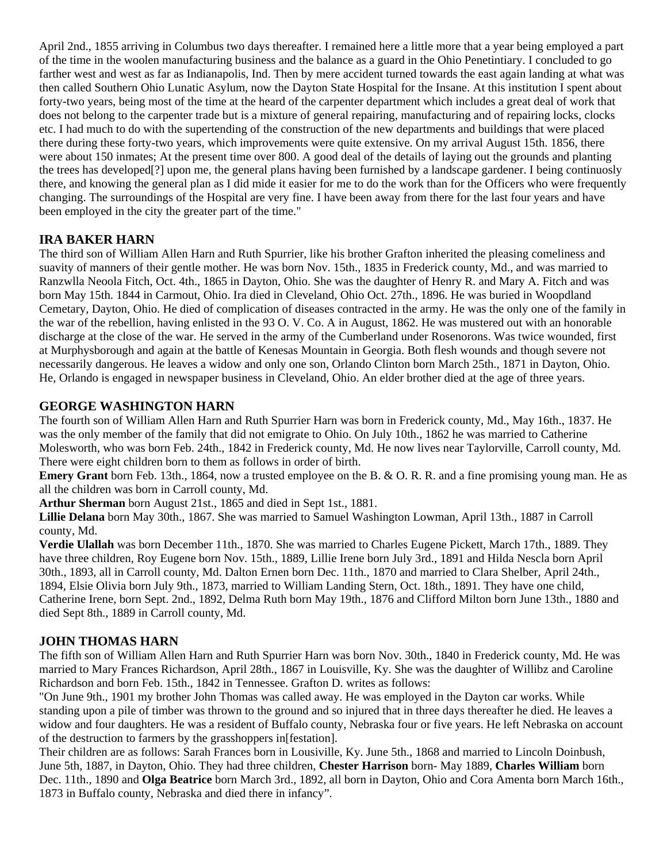April 2nd., 1855 arriving in Columbus two days thereafter. I remained here a little more that a year being employed a part of the time in the woolen manufacturing business and the balance as a guard in the Ohio Penetintiary. I concluded to go farther west and west as far as Indianapolis, Ind. Then by mere accident turned towards the east again landing at what was then called Southern Ohio Lunatic Asylum, now the Dayton State Hospital for the Insane. At this institution I spent about forty-two years, being most of the time at the heard of the carpenter department which includes a great deal of work that does not belong to the carpenter trade but is a mixture of general repairing, manufacturing and of repairing locks, clocks etc. I had much to do with the supertending of the construction of the new departments and buildings that were placed there during these forty-two years, which improvements were quite extensive. On my arrival August 15th. 1856, there were about 150 inmates; At the present time over 800. A good deal of the details of laying out the grounds and planting the trees has developed[?] upon me, the general plans having been furnished by a landscape gardener. I being continuosly there, and knowing the general plan as I did mide it easier for me to do the work than for the Officers who were frequently changing. The surroundings of the Hospital are very fine. I have been away from there for the last four years and have been employed in the city the greater part of the time."

### **IRA BAKER HARN**

The third son of William Allen Harn and Ruth Spurrier, like his brother Grafton inherited the pleasing comeliness and suavity of manners of their gentle mother. He was born Nov. 15th., 1835 in Frederick county, Md., and was married to Ranzwlla Neoola Fitch, Oct. 4th., 1865 in Dayton, Ohio. She was the daughter of Henry R. and Mary A. Fitch and was born May 15th. 1844 in Carmout, Ohio. Ira died in Cleveland, Ohio Oct. 27th., 1896. He was buried in Woopdland Cemetary, Dayton, Ohio. He died of complication of diseases contracted in the army. He was the only one of the family in the war of the rebellion, having enlisted in the 93 O. V. Co. A in August, 1862. He was mustered out with an honorable discharge at the close of the war. He served in the army of the Cumberland under Rosenorons. Was twice wounded, first at Murphysborough and again at the battle of Kenesas Mountain in Georgia. Both flesh wounds and though severe not necessarily dangerous. He leaves a widow and only one son, Orlando Clinton born March 25th., 1871 in Dayton, Ohio. He, Orlando is engaged in newspaper business in Cleveland, Ohio. An elder brother died at the age of three years.

### **GEORGE WASHINGTON HARN**

The fourth son of William Allen Harn and Ruth Spurrier Harn was born in Frederick county, Md., May 16th., 1837. He was the only member of the family that did not emigrate to Ohio. On July 10th., 1862 he was married to Catherine Molesworth, who was born Feb. 24th., 1842 in Frederick county, Md. He now lives near Taylorville, Carroll county, Md. There were eight children born to them as follows in order of birth.

**Emery Grant** born Feb. 13th., 1864, now a trusted employee on the B. & O. R. R. and a fine promising young man. He as all the children was born in Carroll county, Md.

**Arthur Sherman** born August 21st., 1865 and died in Sept 1st., 1881.

**Lillie Delana** born May 30th., 1867. She was married to Samuel Washington Lowman, April 13th., 1887 in Carroll county, Md.

**Verdie Ulallah** was born December 11th., 1870. She was married to Charles Eugene Pickett, March 17th., 1889. They have three children, Roy Eugene born Nov. 15th., 1889, Lillie Irene born July 3rd., 1891 and Hilda Nescla born April 30th., 1893, all in Carroll county, Md. Dalton Ernen born Dec. 11th., 1870 and married to Clara Shelber, April 24th., 1894, Elsie Olivia born July 9th., 1873, married to William Landing Stern, Oct. 18th., 1891. They have one child, Catherine Irene, born Sept. 2nd., 1892, Delma Ruth born May 19th., 1876 and Clifford Milton born June 13th., 1880 and died Sept 8th., 1889 in Carroll county, Md.

#### **JOHN THOMAS HARN**

The fifth son of William Allen Harn and Ruth Spurrier Harn was born Nov. 30th., 1840 in Frederick county, Md. He was married to Mary Frances Richardson, April 28th., 1867 in Louisville, Ky. She was the daughter of Willibz and Caroline Richardson and born Feb. 15th., 1842 in Tennessee. Grafton D. writes as follows:

"On June 9th., 1901 my brother John Thomas was called away. He was employed in the Dayton car works. While standing upon a pile of timber was thrown to the ground and so injured that in three days thereafter he died. He leaves a widow and four daughters. He was a resident of Buffalo county, Nebraska four or five years. He left Nebraska on account of the destruction to farmers by the grasshoppers in[festation].

Their children are as follows: Sarah Frances born in Lousiville, Ky. June 5th., 1868 and married to Lincoln Doinbush, June 5th, 1887, in Dayton, Ohio. They had three children, **Chester Harrison** born- May 1889, **Charles William** born Dec. 11th., 1890 and **Olga Beatrice** born March 3rd., 1892, all born in Dayton, Ohio and Cora Amenta born March 16th., 1873 in Buffalo county, Nebraska and died there in infancy".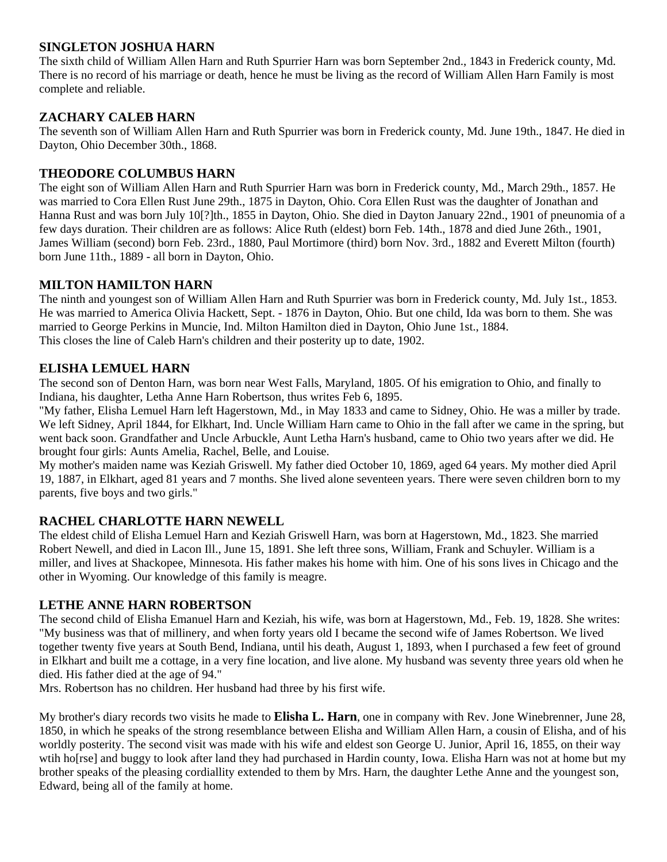### **SINGLETON JOSHUA HARN**

The sixth child of William Allen Harn and Ruth Spurrier Harn was born September 2nd., 1843 in Frederick county, Md. There is no record of his marriage or death, hence he must be living as the record of William Allen Harn Family is most complete and reliable.

### **ZACHARY CALEB HARN**

The seventh son of William Allen Harn and Ruth Spurrier was born in Frederick county, Md. June 19th., 1847. He died in Dayton, Ohio December 30th., 1868.

#### **THEODORE COLUMBUS HARN**

The eight son of William Allen Harn and Ruth Spurrier Harn was born in Frederick county, Md., March 29th., 1857. He was married to Cora Ellen Rust June 29th., 1875 in Dayton, Ohio. Cora Ellen Rust was the daughter of Jonathan and Hanna Rust and was born July 10[?]th., 1855 in Dayton, Ohio. She died in Dayton January 22nd., 1901 of pneunomia of a few days duration. Their children are as follows: Alice Ruth (eldest) born Feb. 14th., 1878 and died June 26th., 1901, James William (second) born Feb. 23rd., 1880, Paul Mortimore (third) born Nov. 3rd., 1882 and Everett Milton (fourth) born June 11th., 1889 - all born in Dayton, Ohio.

### **MILTON HAMILTON HARN**

The ninth and youngest son of William Allen Harn and Ruth Spurrier was born in Frederick county, Md. July 1st., 1853. He was married to America Olivia Hackett, Sept. - 1876 in Dayton, Ohio. But one child, Ida was born to them. She was married to George Perkins in Muncie, Ind. Milton Hamilton died in Dayton, Ohio June 1st., 1884. This closes the line of Caleb Harn's children and their posterity up to date, 1902.

### **ELISHA LEMUEL HARN**

The second son of Denton Harn, was born near West Falls, Maryland, 1805. Of his emigration to Ohio, and finally to Indiana, his daughter, Letha Anne Harn Robertson, thus writes Feb 6, 1895.

"My father, Elisha Lemuel Harn left Hagerstown, Md., in May 1833 and came to Sidney, Ohio. He was a miller by trade. We left Sidney, April 1844, for Elkhart, Ind. Uncle William Harn came to Ohio in the fall after we came in the spring, but went back soon. Grandfather and Uncle Arbuckle, Aunt Letha Harn's husband, came to Ohio two years after we did. He brought four girls: Aunts Amelia, Rachel, Belle, and Louise.

My mother's maiden name was Keziah Griswell. My father died October 10, 1869, aged 64 years. My mother died April 19, 1887, in Elkhart, aged 81 years and 7 months. She lived alone seventeen years. There were seven children born to my parents, five boys and two girls."

### **RACHEL CHARLOTTE HARN NEWELL**

The eldest child of Elisha Lemuel Harn and Keziah Griswell Harn, was born at Hagerstown, Md., 1823. She married Robert Newell, and died in Lacon Ill., June 15, 1891. She left three sons, William, Frank and Schuyler. William is a miller, and lives at Shackopee, Minnesota. His father makes his home with him. One of his sons lives in Chicago and the other in Wyoming. Our knowledge of this family is meagre.

#### **LETHE ANNE HARN ROBERTSON**

The second child of Elisha Emanuel Harn and Keziah, his wife, was born at Hagerstown, Md., Feb. 19, 1828. She writes: "My business was that of millinery, and when forty years old I became the second wife of James Robertson. We lived together twenty five years at South Bend, Indiana, until his death, August 1, 1893, when I purchased a few feet of ground in Elkhart and built me a cottage, in a very fine location, and live alone. My husband was seventy three years old when he died. His father died at the age of 94."

Mrs. Robertson has no children. Her husband had three by his first wife.

My brother's diary records two visits he made to **Elisha L. Harn**, one in company with Rev. Jone Winebrenner, June 28, 1850, in which he speaks of the strong resemblance between Elisha and William Allen Harn, a cousin of Elisha, and of his worldly posterity. The second visit was made with his wife and eldest son George U. Junior, April 16, 1855, on their way wtih ho[rse] and buggy to look after land they had purchased in Hardin county, Iowa. Elisha Harn was not at home but my brother speaks of the pleasing cordiallity extended to them by Mrs. Harn, the daughter Lethe Anne and the youngest son, Edward, being all of the family at home.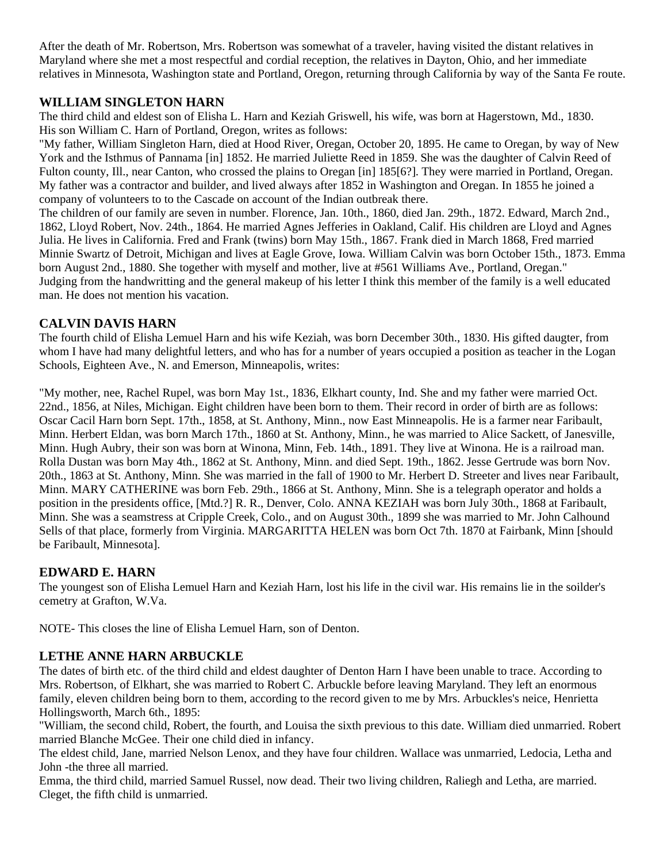After the death of Mr. Robertson, Mrs. Robertson was somewhat of a traveler, having visited the distant relatives in Maryland where she met a most respectful and cordial reception, the relatives in Dayton, Ohio, and her immediate relatives in Minnesota, Washington state and Portland, Oregon, returning through California by way of the Santa Fe route.

### **WILLIAM SINGLETON HARN**

The third child and eldest son of Elisha L. Harn and Keziah Griswell, his wife, was born at Hagerstown, Md., 1830. His son William C. Harn of Portland, Oregon, writes as follows:

"My father, William Singleton Harn, died at Hood River, Oregan, October 20, 1895. He came to Oregan, by way of New York and the Isthmus of Pannama [in] 1852. He married Juliette Reed in 1859. She was the daughter of Calvin Reed of Fulton county, Ill., near Canton, who crossed the plains to Oregan [in] 185[6?]. They were married in Portland, Oregan. My father was a contractor and builder, and lived always after 1852 in Washington and Oregan. In 1855 he joined a company of volunteers to to the Cascade on account of the Indian outbreak there.

The children of our family are seven in number. Florence, Jan. 10th., 1860, died Jan. 29th., 1872. Edward, March 2nd., 1862, Lloyd Robert, Nov. 24th., 1864. He married Agnes Jefferies in Oakland, Calif. His children are Lloyd and Agnes Julia. He lives in California. Fred and Frank (twins) born May 15th., 1867. Frank died in March 1868, Fred married Minnie Swartz of Detroit, Michigan and lives at Eagle Grove, Iowa. William Calvin was born October 15th., 1873. Emma born August 2nd., 1880. She together with myself and mother, live at #561 Williams Ave., Portland, Oregan." Judging from the handwritting and the general makeup of his letter I think this member of the family is a well educated man. He does not mention his vacation.

## **CALVIN DAVIS HARN**

The fourth child of Elisha Lemuel Harn and his wife Keziah, was born December 30th., 1830. His gifted daugter, from whom I have had many delightful letters, and who has for a number of years occupied a position as teacher in the Logan Schools, Eighteen Ave., N. and Emerson, Minneapolis, writes:

"My mother, nee, Rachel Rupel, was born May 1st., 1836, Elkhart county, Ind. She and my father were married Oct. 22nd., 1856, at Niles, Michigan. Eight children have been born to them. Their record in order of birth are as follows: Oscar Cacil Harn born Sept. 17th., 1858, at St. Anthony, Minn., now East Minneapolis. He is a farmer near Faribault, Minn. Herbert Eldan, was born March 17th., 1860 at St. Anthony, Minn., he was married to Alice Sackett, of Janesville, Minn. Hugh Aubry, their son was born at Winona, Minn, Feb. 14th., 1891. They live at Winona. He is a railroad man. Rolla Dustan was born May 4th., 1862 at St. Anthony, Minn. and died Sept. 19th., 1862. Jesse Gertrude was born Nov. 20th., 1863 at St. Anthony, Minn. She was married in the fall of 1900 to Mr. Herbert D. Streeter and lives near Faribault, Minn. MARY CATHERINE was born Feb. 29th., 1866 at St. Anthony, Minn. She is a telegraph operator and holds a position in the presidents office, [Mtd.?] R. R., Denver, Colo. ANNA KEZIAH was born July 30th., 1868 at Faribault, Minn. She was a seamstress at Cripple Creek, Colo., and on August 30th., 1899 she was married to Mr. John Calhound Sells of that place, formerly from Virginia. MARGARITTA HELEN was born Oct 7th. 1870 at Fairbank, Minn [should be Faribault, Minnesota].

### **EDWARD E. HARN**

The youngest son of Elisha Lemuel Harn and Keziah Harn, lost his life in the civil war. His remains lie in the soilder's cemetry at Grafton, W.Va.

NOTE- This closes the line of Elisha Lemuel Harn, son of Denton.

## **LETHE ANNE HARN ARBUCKLE**

The dates of birth etc. of the third child and eldest daughter of Denton Harn I have been unable to trace. According to Mrs. Robertson, of Elkhart, she was married to Robert C. Arbuckle before leaving Maryland. They left an enormous family, eleven children being born to them, according to the record given to me by Mrs. Arbuckles's neice, Henrietta Hollingsworth, March 6th., 1895:

"William, the second child, Robert, the fourth, and Louisa the sixth previous to this date. William died unmarried. Robert married Blanche McGee. Their one child died in infancy.

The eldest child, Jane, married Nelson Lenox, and they have four children. Wallace was unmarried, Ledocia, Letha and John -the three all married.

Emma, the third child, married Samuel Russel, now dead. Their two living children, Raliegh and Letha, are married. Cleget, the fifth child is unmarried.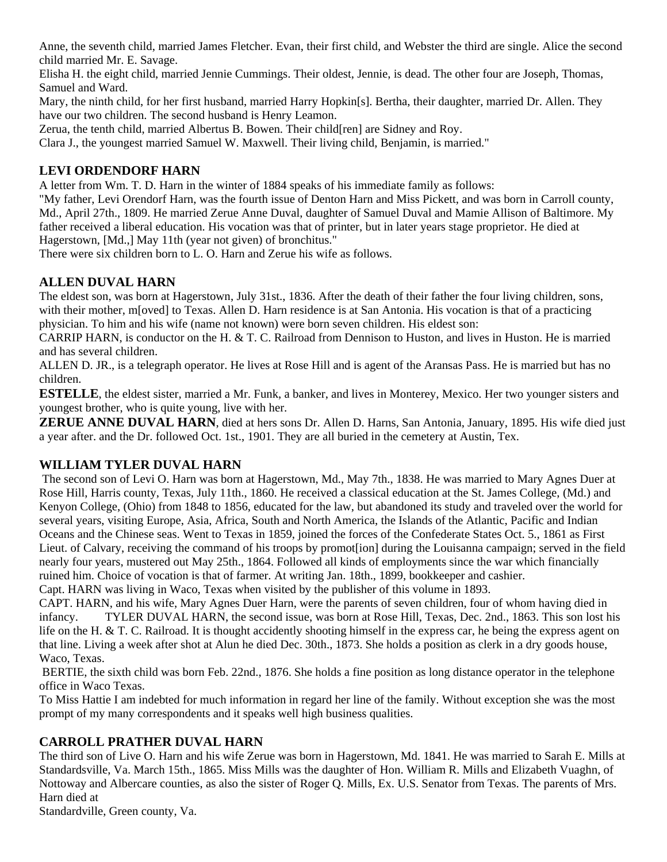Anne, the seventh child, married James Fletcher. Evan, their first child, and Webster the third are single. Alice the second child married Mr. E. Savage.

Elisha H. the eight child, married Jennie Cummings. Their oldest, Jennie, is dead. The other four are Joseph, Thomas, Samuel and Ward.

Mary, the ninth child, for her first husband, married Harry Hopkin[s]. Bertha, their daughter, married Dr. Allen. They have our two children. The second husband is Henry Leamon.

Zerua, the tenth child, married Albertus B. Bowen. Their child[ren] are Sidney and Roy.

Clara J., the youngest married Samuel W. Maxwell. Their living child, Benjamin, is married."

## **LEVI ORDENDORF HARN**

A letter from Wm. T. D. Harn in the winter of 1884 speaks of his immediate family as follows:

"My father, Levi Orendorf Harn, was the fourth issue of Denton Harn and Miss Pickett, and was born in Carroll county, Md., April 27th., 1809. He married Zerue Anne Duval, daughter of Samuel Duval and Mamie Allison of Baltimore. My father received a liberal education. His vocation was that of printer, but in later years stage proprietor. He died at Hagerstown, [Md.,] May 11th (year not given) of bronchitus."

There were six children born to L. O. Harn and Zerue his wife as follows.

## **ALLEN DUVAL HARN**

The eldest son, was born at Hagerstown, July 31st., 1836. After the death of their father the four living children, sons, with their mother, m[oved] to Texas. Allen D. Harn residence is at San Antonia. His vocation is that of a practicing physician. To him and his wife (name not known) were born seven children. His eldest son:

CARRIP HARN, is conductor on the H. & T. C. Railroad from Dennison to Huston, and lives in Huston. He is married and has several children.

ALLEN D. JR., is a telegraph operator. He lives at Rose Hill and is agent of the Aransas Pass. He is married but has no children.

**ESTELLE**, the eldest sister, married a Mr. Funk, a banker, and lives in Monterey, Mexico. Her two younger sisters and youngest brother, who is quite young, live with her.

**ZERUE ANNE DUVAL HARN**, died at hers sons Dr. Allen D. Harns, San Antonia, January, 1895. His wife died just a year after. and the Dr. followed Oct. 1st., 1901. They are all buried in the cemetery at Austin, Tex.

### **WILLIAM TYLER DUVAL HARN**

 The second son of Levi O. Harn was born at Hagerstown, Md., May 7th., 1838. He was married to Mary Agnes Duer at Rose Hill, Harris county, Texas, July 11th., 1860. He received a classical education at the St. James College, (Md.) and Kenyon College, (Ohio) from 1848 to 1856, educated for the law, but abandoned its study and traveled over the world for several years, visiting Europe, Asia, Africa, South and North America, the Islands of the Atlantic, Pacific and Indian Oceans and the Chinese seas. Went to Texas in 1859, joined the forces of the Confederate States Oct. 5., 1861 as First Lieut. of Calvary, receiving the command of his troops by promot[ion] during the Louisanna campaign; served in the field nearly four years, mustered out May 25th., 1864. Followed all kinds of employments since the war which financially ruined him. Choice of vocation is that of farmer. At writing Jan. 18th., 1899, bookkeeper and cashier.

Capt. HARN was living in Waco, Texas when visited by the publisher of this volume in 1893.

CAPT. HARN, and his wife, Mary Agnes Duer Harn, were the parents of seven children, four of whom having died in infancy. TYLER DUVAL HARN, the second issue, was born at Rose Hill, Texas, Dec. 2nd., 1863. This son lost his life on the H. & T. C. Railroad. It is thought accidently shooting himself in the express car, he being the express agent on that line. Living a week after shot at Alun he died Dec. 30th., 1873. She holds a position as clerk in a dry goods house, Waco, Texas.

 BERTIE, the sixth child was born Feb. 22nd., 1876. She holds a fine position as long distance operator in the telephone office in Waco Texas.

To Miss Hattie I am indebted for much information in regard her line of the family. Without exception she was the most prompt of my many correspondents and it speaks well high business qualities.

### **CARROLL PRATHER DUVAL HARN**

The third son of Live O. Harn and his wife Zerue was born in Hagerstown, Md. 1841. He was married to Sarah E. Mills at Standardsville, Va. March 15th., 1865. Miss Mills was the daughter of Hon. William R. Mills and Elizabeth Vuaghn, of Nottoway and Albercare counties, as also the sister of Roger Q. Mills, Ex. U.S. Senator from Texas. The parents of Mrs. Harn died at

Standardville, Green county, Va.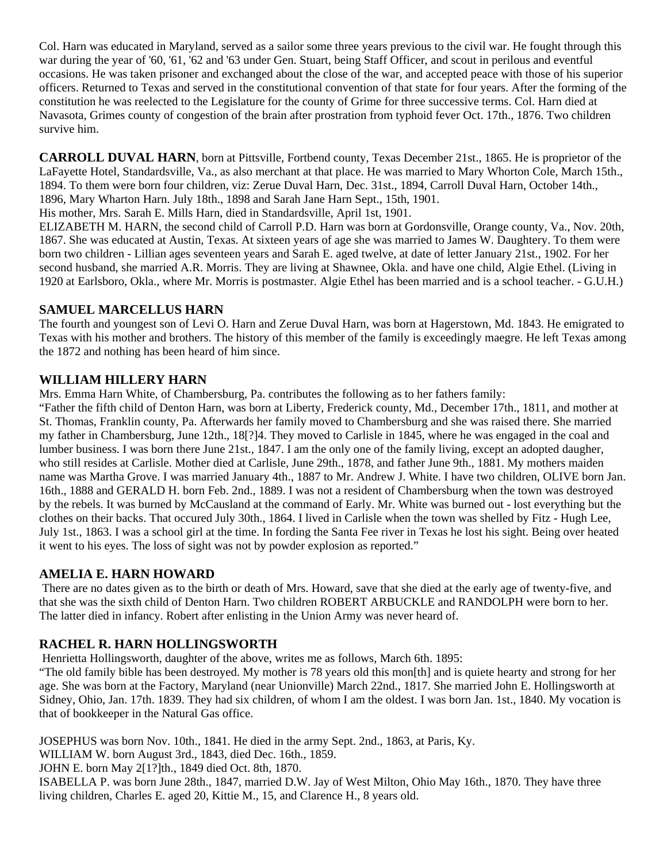Col. Harn was educated in Maryland, served as a sailor some three years previous to the civil war. He fought through this war during the year of '60, '61, '62 and '63 under Gen. Stuart, being Staff Officer, and scout in perilous and eventful occasions. He was taken prisoner and exchanged about the close of the war, and accepted peace with those of his superior officers. Returned to Texas and served in the constitutional convention of that state for four years. After the forming of the constitution he was reelected to the Legislature for the county of Grime for three successive terms. Col. Harn died at Navasota, Grimes county of congestion of the brain after prostration from typhoid fever Oct. 17th., 1876. Two children survive him.

**CARROLL DUVAL HARN**, born at Pittsville, Fortbend county, Texas December 21st., 1865. He is proprietor of the LaFayette Hotel, Standardsville, Va., as also merchant at that place. He was married to Mary Whorton Cole, March 15th., 1894. To them were born four children, viz: Zerue Duval Harn, Dec. 31st., 1894, Carroll Duval Harn, October 14th., 1896, Mary Wharton Harn. July 18th., 1898 and Sarah Jane Harn Sept., 15th, 1901.

His mother, Mrs. Sarah E. Mills Harn, died in Standardsville, April 1st, 1901.

ELIZABETH M. HARN, the second child of Carroll P.D. Harn was born at Gordonsville, Orange county, Va., Nov. 20th, 1867. She was educated at Austin, Texas. At sixteen years of age she was married to James W. Daughtery. To them were born two children - Lillian ages seventeen years and Sarah E. aged twelve, at date of letter January 21st., 1902. For her second husband, she married A.R. Morris. They are living at Shawnee, Okla. and have one child, Algie Ethel. (Living in 1920 at Earlsboro, Okla., where Mr. Morris is postmaster. Algie Ethel has been married and is a school teacher. - G.U.H.)

#### **SAMUEL MARCELLUS HARN**

The fourth and youngest son of Levi O. Harn and Zerue Duval Harn, was born at Hagerstown, Md. 1843. He emigrated to Texas with his mother and brothers. The history of this member of the family is exceedingly maegre. He left Texas among the 1872 and nothing has been heard of him since.

#### **WILLIAM HILLERY HARN**

Mrs. Emma Harn White, of Chambersburg, Pa. contributes the following as to her fathers family:

"Father the fifth child of Denton Harn, was born at Liberty, Frederick county, Md., December 17th., 1811, and mother at St. Thomas, Franklin county, Pa. Afterwards her family moved to Chambersburg and she was raised there. She married my father in Chambersburg, June 12th., 18[?]4. They moved to Carlisle in 1845, where he was engaged in the coal and lumber business. I was born there June 21st., 1847. I am the only one of the family living, except an adopted daugher, who still resides at Carlisle. Mother died at Carlisle, June 29th., 1878, and father June 9th., 1881. My mothers maiden name was Martha Grove. I was married January 4th., 1887 to Mr. Andrew J. White. I have two children, OLIVE born Jan. 16th., 1888 and GERALD H. born Feb. 2nd., 1889. I was not a resident of Chambersburg when the town was destroyed by the rebels. It was burned by McCausland at the command of Early. Mr. White was burned out - lost everything but the clothes on their backs. That occured July 30th., 1864. I lived in Carlisle when the town was shelled by Fitz - Hugh Lee, July 1st., 1863. I was a school girl at the time. In fording the Santa Fee river in Texas he lost his sight. Being over heated it went to his eyes. The loss of sight was not by powder explosion as reported."

#### **AMELIA E. HARN HOWARD**

 There are no dates given as to the birth or death of Mrs. Howard, save that she died at the early age of twenty-five, and that she was the sixth child of Denton Harn. Two children ROBERT ARBUCKLE and RANDOLPH were born to her. The latter died in infancy. Robert after enlisting in the Union Army was never heard of.

### **RACHEL R. HARN HOLLINGSWORTH**

Henrietta Hollingsworth, daughter of the above, writes me as follows, March 6th. 1895:

"The old family bible has been destroyed. My mother is 78 years old this mon[th] and is quiete hearty and strong for her age. She was born at the Factory, Maryland (near Unionville) March 22nd., 1817. She married John E. Hollingsworth at Sidney, Ohio, Jan. 17th. 1839. They had six children, of whom I am the oldest. I was born Jan. 1st., 1840. My vocation is that of bookkeeper in the Natural Gas office.

JOSEPHUS was born Nov. 10th., 1841. He died in the army Sept. 2nd., 1863, at Paris, Ky.

WILLIAM W. born August 3rd., 1843, died Dec. 16th., 1859.

JOHN E. born May 2[1?]th., 1849 died Oct. 8th, 1870.

ISABELLA P. was born June 28th., 1847, married D.W. Jay of West Milton, Ohio May 16th., 1870. They have three living children, Charles E. aged 20, Kittie M., 15, and Clarence H., 8 years old.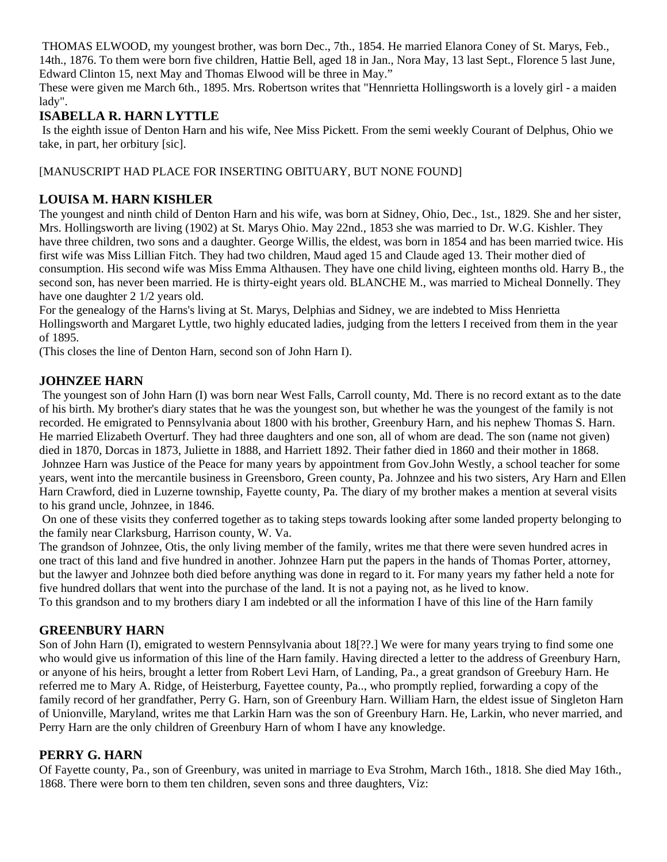THOMAS ELWOOD, my youngest brother, was born Dec., 7th., 1854. He married Elanora Coney of St. Marys, Feb., 14th., 1876. To them were born five children, Hattie Bell, aged 18 in Jan., Nora May, 13 last Sept., Florence 5 last June, Edward Clinton 15, next May and Thomas Elwood will be three in May."

These were given me March 6th., 1895. Mrs. Robertson writes that "Hennrietta Hollingsworth is a lovely girl - a maiden lady".

### **ISABELLA R. HARN LYTTLE**

 Is the eighth issue of Denton Harn and his wife, Nee Miss Pickett. From the semi weekly Courant of Delphus, Ohio we take, in part, her orbitury [sic].

### [MANUSCRIPT HAD PLACE FOR INSERTING OBITUARY, BUT NONE FOUND]

### **LOUISA M. HARN KISHLER**

The youngest and ninth child of Denton Harn and his wife, was born at Sidney, Ohio, Dec., 1st., 1829. She and her sister, Mrs. Hollingsworth are living (1902) at St. Marys Ohio. May 22nd., 1853 she was married to Dr. W.G. Kishler. They have three children, two sons and a daughter. George Willis, the eldest, was born in 1854 and has been married twice. His first wife was Miss Lillian Fitch. They had two children, Maud aged 15 and Claude aged 13. Their mother died of consumption. His second wife was Miss Emma Althausen. They have one child living, eighteen months old. Harry B., the second son, has never been married. He is thirty-eight years old. BLANCHE M., was married to Micheal Donnelly. They have one daughter 2 1/2 years old.

For the genealogy of the Harns's living at St. Marys, Delphias and Sidney, we are indebted to Miss Henrietta Hollingsworth and Margaret Lyttle, two highly educated ladies, judging from the letters I received from them in the year of 1895.

(This closes the line of Denton Harn, second son of John Harn I).

### **JOHNZEE HARN**

 The youngest son of John Harn (I) was born near West Falls, Carroll county, Md. There is no record extant as to the date of his birth. My brother's diary states that he was the youngest son, but whether he was the youngest of the family is not recorded. He emigrated to Pennsylvania about 1800 with his brother, Greenbury Harn, and his nephew Thomas S. Harn. He married Elizabeth Overturf. They had three daughters and one son, all of whom are dead. The son (name not given) died in 1870, Dorcas in 1873, Juliette in 1888, and Harriett 1892. Their father died in 1860 and their mother in 1868. Johnzee Harn was Justice of the Peace for many years by appointment from Gov.John Westly, a school teacher for some years, went into the mercantile business in Greensboro, Green county, Pa. Johnzee and his two sisters, Ary Harn and Ellen Harn Crawford, died in Luzerne township, Fayette county, Pa. The diary of my brother makes a mention at several visits to his grand uncle, Johnzee, in 1846.

 On one of these visits they conferred together as to taking steps towards looking after some landed property belonging to the family near Clarksburg, Harrison county, W. Va.

The grandson of Johnzee, Otis, the only living member of the family, writes me that there were seven hundred acres in one tract of this land and five hundred in another. Johnzee Harn put the papers in the hands of Thomas Porter, attorney, but the lawyer and Johnzee both died before anything was done in regard to it. For many years my father held a note for five hundred dollars that went into the purchase of the land. It is not a paying not, as he lived to know.

To this grandson and to my brothers diary I am indebted or all the information I have of this line of the Harn family

### **GREENBURY HARN**

Son of John Harn (I), emigrated to western Pennsylvania about 18[??.] We were for many years trying to find some one who would give us information of this line of the Harn family. Having directed a letter to the address of Greenbury Harn, or anyone of his heirs, brought a letter from Robert Levi Harn, of Landing, Pa., a great grandson of Greebury Harn. He referred me to Mary A. Ridge, of Heisterburg, Fayettee county, Pa.., who promptly replied, forwarding a copy of the family record of her grandfather, Perry G. Harn, son of Greenbury Harn. William Harn, the eldest issue of Singleton Harn of Unionville, Maryland, writes me that Larkin Harn was the son of Greenbury Harn. He, Larkin, who never married, and Perry Harn are the only children of Greenbury Harn of whom I have any knowledge.

### **PERRY G. HARN**

Of Fayette county, Pa., son of Greenbury, was united in marriage to Eva Strohm, March 16th., 1818. She died May 16th., 1868. There were born to them ten children, seven sons and three daughters, Viz: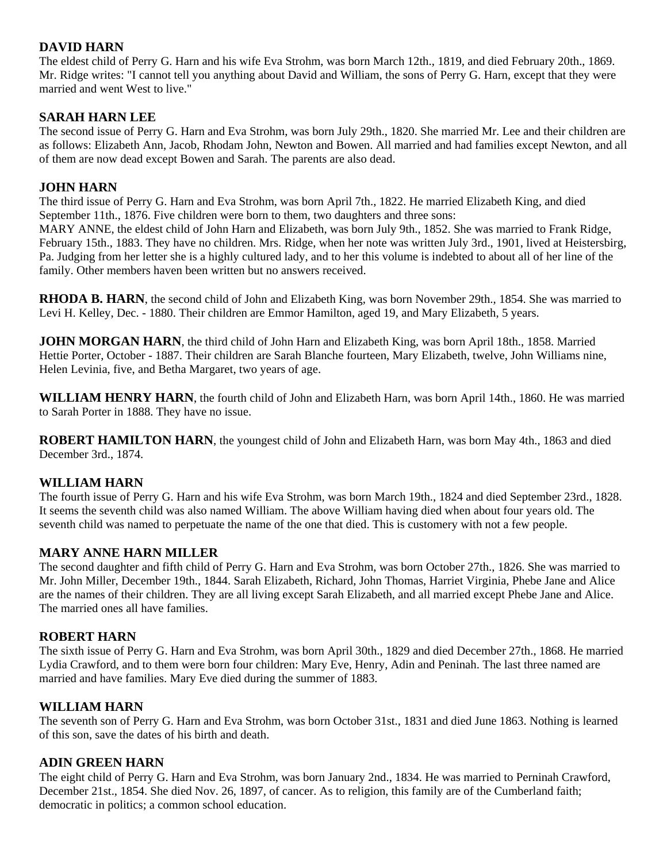### **DAVID HARN**

The eldest child of Perry G. Harn and his wife Eva Strohm, was born March 12th., 1819, and died February 20th., 1869. Mr. Ridge writes: "I cannot tell you anything about David and William, the sons of Perry G. Harn, except that they were married and went West to live."

### **SARAH HARN LEE**

The second issue of Perry G. Harn and Eva Strohm, was born July 29th., 1820. She married Mr. Lee and their children are as follows: Elizabeth Ann, Jacob, Rhodam John, Newton and Bowen. All married and had families except Newton, and all of them are now dead except Bowen and Sarah. The parents are also dead.

### **JOHN HARN**

The third issue of Perry G. Harn and Eva Strohm, was born April 7th., 1822. He married Elizabeth King, and died September 11th., 1876. Five children were born to them, two daughters and three sons:

MARY ANNE, the eldest child of John Harn and Elizabeth, was born July 9th., 1852. She was married to Frank Ridge, February 15th., 1883. They have no children. Mrs. Ridge, when her note was written July 3rd., 1901, lived at Heistersbirg, Pa. Judging from her letter she is a highly cultured lady, and to her this volume is indebted to about all of her line of the family. Other members haven been written but no answers received.

**RHODA B. HARN**, the second child of John and Elizabeth King, was born November 29th., 1854. She was married to Levi H. Kelley, Dec. - 1880. Their children are Emmor Hamilton, aged 19, and Mary Elizabeth, 5 years.

**JOHN MORGAN HARN**, the third child of John Harn and Elizabeth King, was born April 18th., 1858. Married Hettie Porter, October - 1887. Their children are Sarah Blanche fourteen, Mary Elizabeth, twelve, John Williams nine, Helen Levinia, five, and Betha Margaret, two years of age.

**WILLIAM HENRY HARN**, the fourth child of John and Elizabeth Harn, was born April 14th., 1860. He was married to Sarah Porter in 1888. They have no issue.

**ROBERT HAMILTON HARN**, the youngest child of John and Elizabeth Harn, was born May 4th., 1863 and died December 3rd., 1874.

### **WILLIAM HARN**

The fourth issue of Perry G. Harn and his wife Eva Strohm, was born March 19th., 1824 and died September 23rd., 1828. It seems the seventh child was also named William. The above William having died when about four years old. The seventh child was named to perpetuate the name of the one that died. This is customery with not a few people.

### **MARY ANNE HARN MILLER**

The second daughter and fifth child of Perry G. Harn and Eva Strohm, was born October 27th., 1826. She was married to Mr. John Miller, December 19th., 1844. Sarah Elizabeth, Richard, John Thomas, Harriet Virginia, Phebe Jane and Alice are the names of their children. They are all living except Sarah Elizabeth, and all married except Phebe Jane and Alice. The married ones all have families.

#### **ROBERT HARN**

The sixth issue of Perry G. Harn and Eva Strohm, was born April 30th., 1829 and died December 27th., 1868. He married Lydia Crawford, and to them were born four children: Mary Eve, Henry, Adin and Peninah. The last three named are married and have families. Mary Eve died during the summer of 1883.

### **WILLIAM HARN**

The seventh son of Perry G. Harn and Eva Strohm, was born October 31st., 1831 and died June 1863. Nothing is learned of this son, save the dates of his birth and death.

### **ADIN GREEN HARN**

The eight child of Perry G. Harn and Eva Strohm, was born January 2nd., 1834. He was married to Perninah Crawford, December 21st., 1854. She died Nov. 26, 1897, of cancer. As to religion, this family are of the Cumberland faith; democratic in politics; a common school education.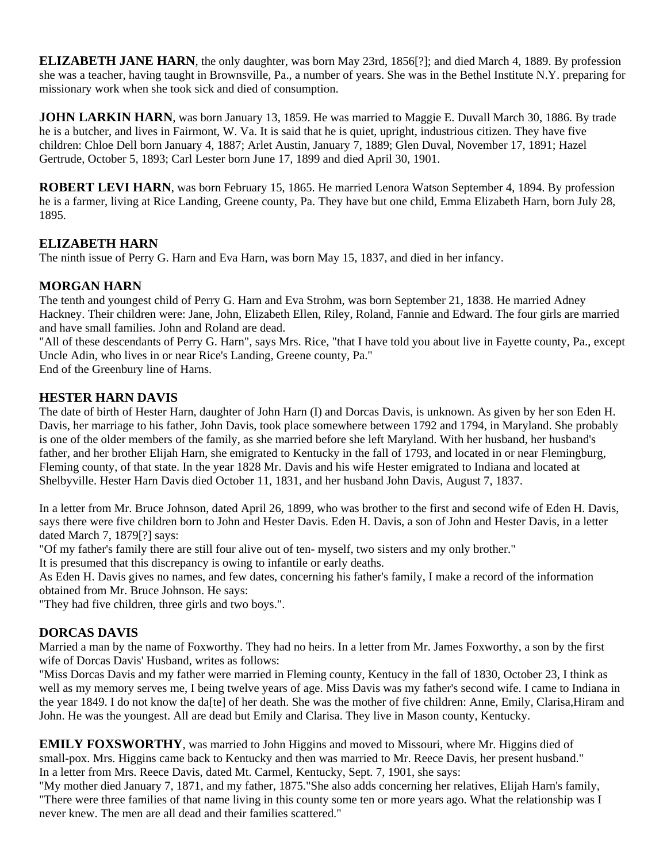**ELIZABETH JANE HARN**, the only daughter, was born May 23rd, 1856[?]; and died March 4, 1889. By profession she was a teacher, having taught in Brownsville, Pa., a number of years. She was in the Bethel Institute N.Y. preparing for missionary work when she took sick and died of consumption.

**JOHN LARKIN HARN**, was born January 13, 1859. He was married to Maggie E. Duvall March 30, 1886. By trade he is a butcher, and lives in Fairmont, W. Va. It is said that he is quiet, upright, industrious citizen. They have five children: Chloe Dell born January 4, 1887; Arlet Austin, January 7, 1889; Glen Duval, November 17, 1891; Hazel Gertrude, October 5, 1893; Carl Lester born June 17, 1899 and died April 30, 1901.

**ROBERT LEVI HARN**, was born February 15, 1865. He married Lenora Watson September 4, 1894. By profession he is a farmer, living at Rice Landing, Greene county, Pa. They have but one child, Emma Elizabeth Harn, born July 28, 1895.

### **ELIZABETH HARN**

The ninth issue of Perry G. Harn and Eva Harn, was born May 15, 1837, and died in her infancy.

#### **MORGAN HARN**

The tenth and youngest child of Perry G. Harn and Eva Strohm, was born September 21, 1838. He married Adney Hackney. Their children were: Jane, John, Elizabeth Ellen, Riley, Roland, Fannie and Edward. The four girls are married and have small families. John and Roland are dead.

"All of these descendants of Perry G. Harn", says Mrs. Rice, "that I have told you about live in Fayette county, Pa., except Uncle Adin, who lives in or near Rice's Landing, Greene county, Pa."

End of the Greenbury line of Harns.

#### **HESTER HARN DAVIS**

The date of birth of Hester Harn, daughter of John Harn (I) and Dorcas Davis, is unknown. As given by her son Eden H. Davis, her marriage to his father, John Davis, took place somewhere between 1792 and 1794, in Maryland. She probably is one of the older members of the family, as she married before she left Maryland. With her husband, her husband's father, and her brother Elijah Harn, she emigrated to Kentucky in the fall of 1793, and located in or near Flemingburg, Fleming county, of that state. In the year 1828 Mr. Davis and his wife Hester emigrated to Indiana and located at Shelbyville. Hester Harn Davis died October 11, 1831, and her husband John Davis, August 7, 1837.

In a letter from Mr. Bruce Johnson, dated April 26, 1899, who was brother to the first and second wife of Eden H. Davis, says there were five children born to John and Hester Davis. Eden H. Davis, a son of John and Hester Davis, in a letter dated March 7, 1879[?] says:

"Of my father's family there are still four alive out of ten- myself, two sisters and my only brother."

It is presumed that this discrepancy is owing to infantile or early deaths.

As Eden H. Davis gives no names, and few dates, concerning his father's family, I make a record of the information obtained from Mr. Bruce Johnson. He says:

"They had five children, three girls and two boys.".

#### **DORCAS DAVIS**

Married a man by the name of Foxworthy. They had no heirs. In a letter from Mr. James Foxworthy, a son by the first wife of Dorcas Davis' Husband, writes as follows:

"Miss Dorcas Davis and my father were married in Fleming county, Kentucy in the fall of 1830, October 23, I think as well as my memory serves me, I being twelve years of age. Miss Davis was my father's second wife. I came to Indiana in the year 1849. I do not know the da[te] of her death. She was the mother of five children: Anne, Emily, Clarisa,Hiram and John. He was the youngest. All are dead but Emily and Clarisa. They live in Mason county, Kentucky.

**EMILY FOXSWORTHY**, was married to John Higgins and moved to Missouri, where Mr. Higgins died of small-pox. Mrs. Higgins came back to Kentucky and then was married to Mr. Reece Davis, her present husband." In a letter from Mrs. Reece Davis, dated Mt. Carmel, Kentucky, Sept. 7, 1901, she says:

"My mother died January 7, 1871, and my father, 1875."She also adds concerning her relatives, Elijah Harn's family, "There were three families of that name living in this county some ten or more years ago. What the relationship was I never knew. The men are all dead and their families scattered."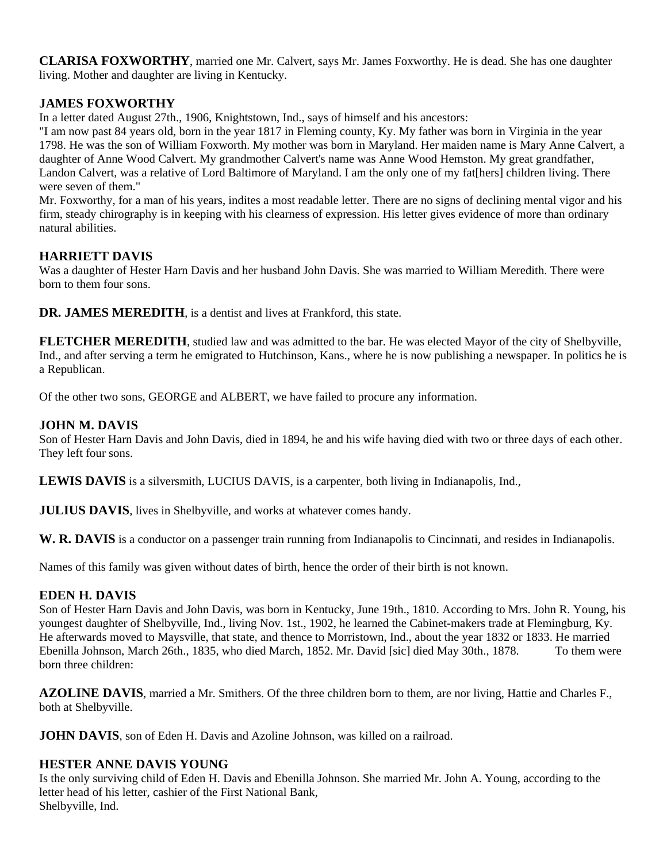**CLARISA FOXWORTHY**, married one Mr. Calvert, says Mr. James Foxworthy. He is dead. She has one daughter living. Mother and daughter are living in Kentucky.

### **JAMES FOXWORTHY**

In a letter dated August 27th., 1906, Knightstown, Ind., says of himself and his ancestors:

"I am now past 84 years old, born in the year 1817 in Fleming county, Ky. My father was born in Virginia in the year 1798. He was the son of William Foxworth. My mother was born in Maryland. Her maiden name is Mary Anne Calvert, a daughter of Anne Wood Calvert. My grandmother Calvert's name was Anne Wood Hemston. My great grandfather, Landon Calvert, was a relative of Lord Baltimore of Maryland. I am the only one of my fat[hers] children living. There were seven of them."

Mr. Foxworthy, for a man of his years, indites a most readable letter. There are no signs of declining mental vigor and his firm, steady chirography is in keeping with his clearness of expression. His letter gives evidence of more than ordinary natural abilities.

### **HARRIETT DAVIS**

Was a daughter of Hester Harn Davis and her husband John Davis. She was married to William Meredith. There were born to them four sons.

**DR. JAMES MEREDITH**, is a dentist and lives at Frankford, this state.

**FLETCHER MEREDITH**, studied law and was admitted to the bar. He was elected Mayor of the city of Shelbyville, Ind., and after serving a term he emigrated to Hutchinson, Kans., where he is now publishing a newspaper. In politics he is a Republican.

Of the other two sons, GEORGE and ALBERT, we have failed to procure any information.

### **JOHN M. DAVIS**

Son of Hester Harn Davis and John Davis, died in 1894, he and his wife having died with two or three days of each other. They left four sons.

**LEWIS DAVIS** is a silversmith, LUCIUS DAVIS, is a carpenter, both living in Indianapolis, Ind.,

**JULIUS DAVIS**, lives in Shelbyville, and works at whatever comes handy.

W. R. DAVIS is a conductor on a passenger train running from Indianapolis to Cincinnati, and resides in Indianapolis.

Names of this family was given without dates of birth, hence the order of their birth is not known.

#### **EDEN H. DAVIS**

Son of Hester Harn Davis and John Davis, was born in Kentucky, June 19th., 1810. According to Mrs. John R. Young, his youngest daughter of Shelbyville, Ind., living Nov. 1st., 1902, he learned the Cabinet-makers trade at Flemingburg, Ky. He afterwards moved to Maysville, that state, and thence to Morristown, Ind., about the year 1832 or 1833. He married Ebenilla Johnson, March 26th., 1835, who died March, 1852. Mr. David [sic] died May 30th., 1878. To them were born three children:

**AZOLINE DAVIS**, married a Mr. Smithers. Of the three children born to them, are nor living, Hattie and Charles F., both at Shelbyville.

**JOHN DAVIS**, son of Eden H. Davis and Azoline Johnson, was killed on a railroad.

### **HESTER ANNE DAVIS YOUNG**

Is the only surviving child of Eden H. Davis and Ebenilla Johnson. She married Mr. John A. Young, according to the letter head of his letter, cashier of the First National Bank, Shelbyville, Ind.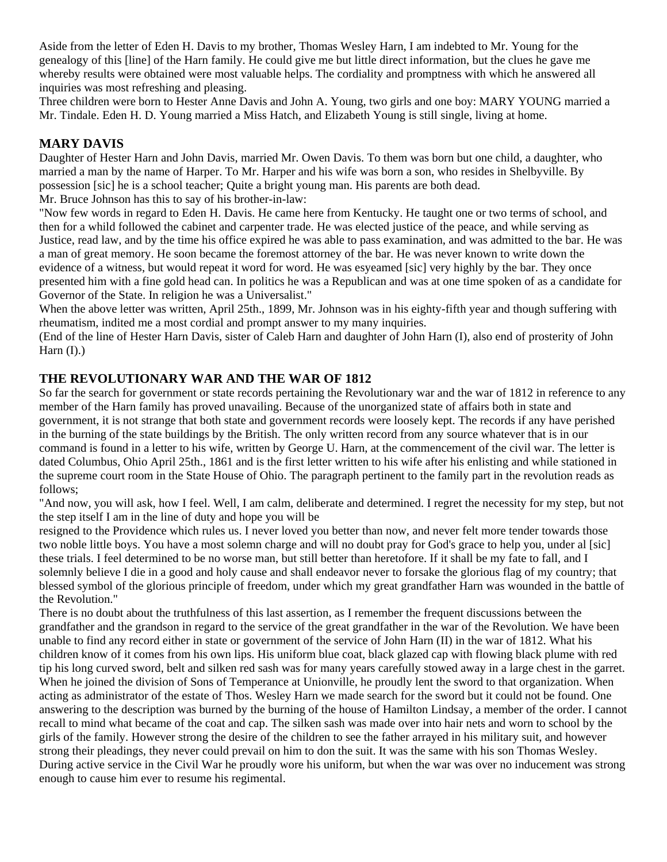Aside from the letter of Eden H. Davis to my brother, Thomas Wesley Harn, I am indebted to Mr. Young for the genealogy of this [line] of the Harn family. He could give me but little direct information, but the clues he gave me whereby results were obtained were most valuable helps. The cordiality and promptness with which he answered all inquiries was most refreshing and pleasing.

Three children were born to Hester Anne Davis and John A. Young, two girls and one boy: MARY YOUNG married a Mr. Tindale. Eden H. D. Young married a Miss Hatch, and Elizabeth Young is still single, living at home.

#### **MARY DAVIS**

Daughter of Hester Harn and John Davis, married Mr. Owen Davis. To them was born but one child, a daughter, who married a man by the name of Harper. To Mr. Harper and his wife was born a son, who resides in Shelbyville. By possession [sic] he is a school teacher; Quite a bright young man. His parents are both dead. Mr. Bruce Johnson has this to say of his brother-in-law:

"Now few words in regard to Eden H. Davis. He came here from Kentucky. He taught one or two terms of school, and then for a whild followed the cabinet and carpenter trade. He was elected justice of the peace, and while serving as Justice, read law, and by the time his office expired he was able to pass examination, and was admitted to the bar. He was a man of great memory. He soon became the foremost attorney of the bar. He was never known to write down the evidence of a witness, but would repeat it word for word. He was esyeamed [sic] very highly by the bar. They once presented him with a fine gold head can. In politics he was a Republican and was at one time spoken of as a candidate for Governor of the State. In religion he was a Universalist."

When the above letter was written, April 25th., 1899, Mr. Johnson was in his eighty-fifth year and though suffering with rheumatism, indited me a most cordial and prompt answer to my many inquiries.

(End of the line of Hester Harn Davis, sister of Caleb Harn and daughter of John Harn (I), also end of prosterity of John Harn  $(I)$ .)

### **THE REVOLUTIONARY WAR AND THE WAR OF 1812**

So far the search for government or state records pertaining the Revolutionary war and the war of 1812 in reference to any member of the Harn family has proved unavailing. Because of the unorganized state of affairs both in state and government, it is not strange that both state and government records were loosely kept. The records if any have perished in the burning of the state buildings by the British. The only written record from any source whatever that is in our command is found in a letter to his wife, written by George U. Harn, at the commencement of the civil war. The letter is dated Columbus, Ohio April 25th., 1861 and is the first letter written to his wife after his enlisting and while stationed in the supreme court room in the State House of Ohio. The paragraph pertinent to the family part in the revolution reads as follows;

"And now, you will ask, how I feel. Well, I am calm, deliberate and determined. I regret the necessity for my step, but not the step itself I am in the line of duty and hope you will be

resigned to the Providence which rules us. I never loved you better than now, and never felt more tender towards those two noble little boys. You have a most solemn charge and will no doubt pray for God's grace to help you, under al [sic] these trials. I feel determined to be no worse man, but still better than heretofore. If it shall be my fate to fall, and I solemnly believe I die in a good and holy cause and shall endeavor never to forsake the glorious flag of my country; that blessed symbol of the glorious principle of freedom, under which my great grandfather Harn was wounded in the battle of the Revolution."

There is no doubt about the truthfulness of this last assertion, as I remember the frequent discussions between the grandfather and the grandson in regard to the service of the great grandfather in the war of the Revolution. We have been unable to find any record either in state or government of the service of John Harn (II) in the war of 1812. What his children know of it comes from his own lips. His uniform blue coat, black glazed cap with flowing black plume with red tip his long curved sword, belt and silken red sash was for many years carefully stowed away in a large chest in the garret. When he joined the division of Sons of Temperance at Unionville, he proudly lent the sword to that organization. When acting as administrator of the estate of Thos. Wesley Harn we made search for the sword but it could not be found. One answering to the description was burned by the burning of the house of Hamilton Lindsay, a member of the order. I cannot recall to mind what became of the coat and cap. The silken sash was made over into hair nets and worn to school by the girls of the family. However strong the desire of the children to see the father arrayed in his military suit, and however strong their pleadings, they never could prevail on him to don the suit. It was the same with his son Thomas Wesley. During active service in the Civil War he proudly wore his uniform, but when the war was over no inducement was strong enough to cause him ever to resume his regimental.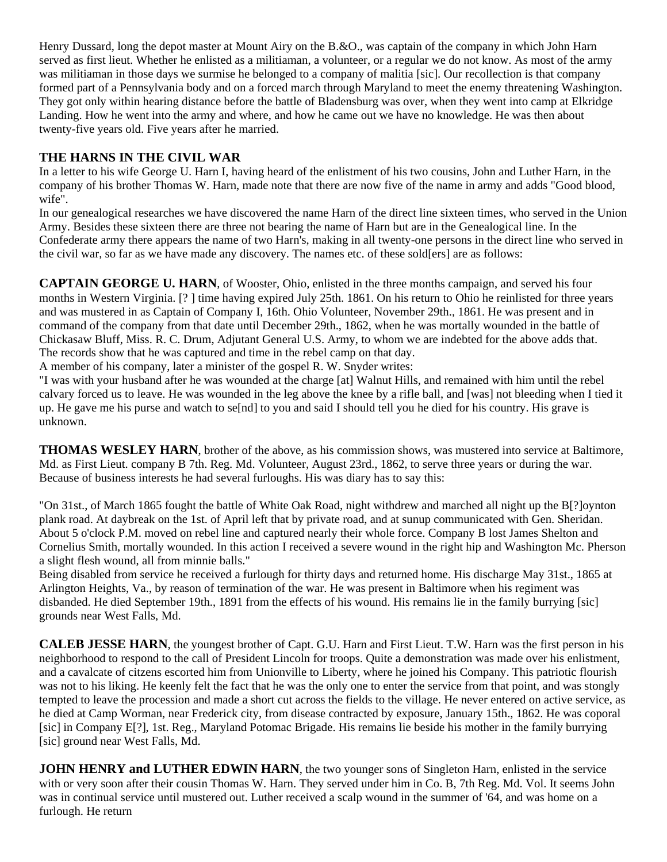Henry Dussard, long the depot master at Mount Airy on the B.&O., was captain of the company in which John Harn served as first lieut. Whether he enlisted as a militiaman, a volunteer, or a regular we do not know. As most of the army was militiaman in those days we surmise he belonged to a company of malitia [sic]. Our recollection is that company formed part of a Pennsylvania body and on a forced march through Maryland to meet the enemy threatening Washington. They got only within hearing distance before the battle of Bladensburg was over, when they went into camp at Elkridge Landing. How he went into the army and where, and how he came out we have no knowledge. He was then about twenty-five years old. Five years after he married.

### **THE HARNS IN THE CIVIL WAR**

In a letter to his wife George U. Harn I, having heard of the enlistment of his two cousins, John and Luther Harn, in the company of his brother Thomas W. Harn, made note that there are now five of the name in army and adds "Good blood, wife".

In our genealogical researches we have discovered the name Harn of the direct line sixteen times, who served in the Union Army. Besides these sixteen there are three not bearing the name of Harn but are in the Genealogical line. In the Confederate army there appears the name of two Harn's, making in all twenty-one persons in the direct line who served in the civil war, so far as we have made any discovery. The names etc. of these sold[ers] are as follows:

**CAPTAIN GEORGE U. HARN**, of Wooster, Ohio, enlisted in the three months campaign, and served his four months in Western Virginia. [? ] time having expired July 25th. 1861. On his return to Ohio he reinlisted for three years and was mustered in as Captain of Company I, 16th. Ohio Volunteer, November 29th., 1861. He was present and in command of the company from that date until December 29th., 1862, when he was mortally wounded in the battle of Chickasaw Bluff, Miss. R. C. Drum, Adjutant General U.S. Army, to whom we are indebted for the above adds that. The records show that he was captured and time in the rebel camp on that day.

A member of his company, later a minister of the gospel R. W. Snyder writes:

"I was with your husband after he was wounded at the charge [at] Walnut Hills, and remained with him until the rebel calvary forced us to leave. He was wounded in the leg above the knee by a rifle ball, and [was] not bleeding when I tied it up. He gave me his purse and watch to se[nd] to you and said I should tell you he died for his country. His grave is unknown.

**THOMAS WESLEY HARN**, brother of the above, as his commission shows, was mustered into service at Baltimore, Md. as First Lieut. company B 7th. Reg. Md. Volunteer, August 23rd., 1862, to serve three years or during the war. Because of business interests he had several furloughs. His was diary has to say this:

"On 31st., of March 1865 fought the battle of White Oak Road, night withdrew and marched all night up the B[?]oynton plank road. At daybreak on the 1st. of April left that by private road, and at sunup communicated with Gen. Sheridan. About 5 o'clock P.M. moved on rebel line and captured nearly their whole force. Company B lost James Shelton and Cornelius Smith, mortally wounded. In this action I received a severe wound in the right hip and Washington Mc. Pherson a slight flesh wound, all from minnie balls."

Being disabled from service he received a furlough for thirty days and returned home. His discharge May 31st., 1865 at Arlington Heights, Va., by reason of termination of the war. He was present in Baltimore when his regiment was disbanded. He died September 19th., 1891 from the effects of his wound. His remains lie in the family burrying [sic] grounds near West Falls, Md.

**CALEB JESSE HARN**, the youngest brother of Capt. G.U. Harn and First Lieut. T.W. Harn was the first person in his neighborhood to respond to the call of President Lincoln for troops. Quite a demonstration was made over his enlistment, and a cavalcate of citzens escorted him from Unionville to Liberty, where he joined his Company. This patriotic flourish was not to his liking. He keenly felt the fact that he was the only one to enter the service from that point, and was stongly tempted to leave the procession and made a short cut across the fields to the village. He never entered on active service, as he died at Camp Worman, near Frederick city, from disease contracted by exposure, January 15th., 1862. He was coporal [sic] in Company E[?], 1st. Reg., Maryland Potomac Brigade. His remains lie beside his mother in the family burrying [sic] ground near West Falls, Md.

**JOHN HENRY and LUTHER EDWIN HARN**, the two younger sons of Singleton Harn, enlisted in the service with or very soon after their cousin Thomas W. Harn. They served under him in Co. B, 7th Reg. Md. Vol. It seems John was in continual service until mustered out. Luther received a scalp wound in the summer of '64, and was home on a furlough. He return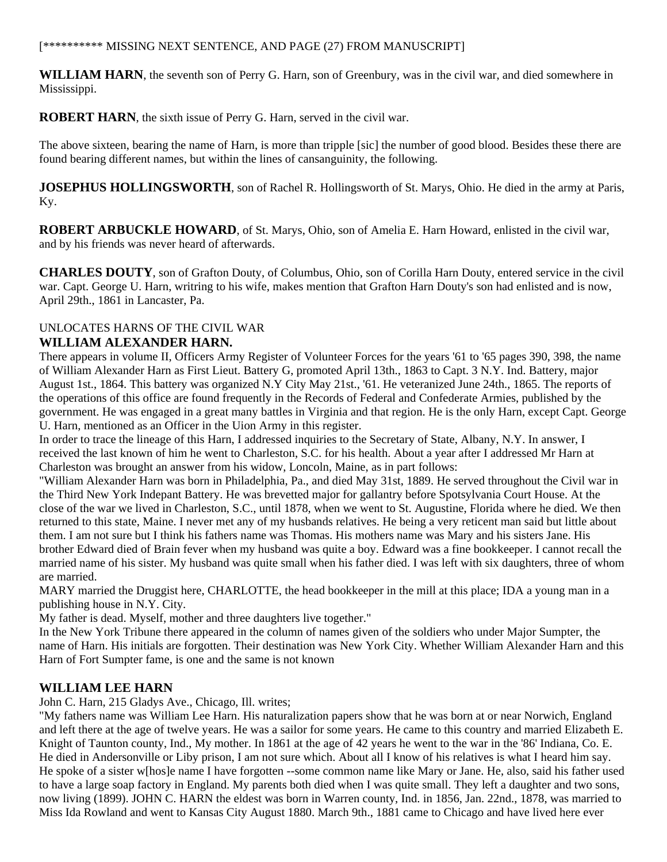#### [\*\*\*\*\*\*\*\*\*\* MISSING NEXT SENTENCE, AND PAGE (27) FROM MANUSCRIPT]

**WILLIAM HARN**, the seventh son of Perry G. Harn, son of Greenbury, was in the civil war, and died somewhere in Mississippi.

**ROBERT HARN**, the sixth issue of Perry G. Harn, served in the civil war.

The above sixteen, bearing the name of Harn, is more than tripple [sic] the number of good blood. Besides these there are found bearing different names, but within the lines of cansanguinity, the following.

**JOSEPHUS HOLLINGSWORTH**, son of Rachel R. Hollingsworth of St. Marys, Ohio. He died in the army at Paris, Ky.

**ROBERT ARBUCKLE HOWARD**, of St. Marys, Ohio, son of Amelia E. Harn Howard, enlisted in the civil war, and by his friends was never heard of afterwards.

**CHARLES DOUTY**, son of Grafton Douty, of Columbus, Ohio, son of Corilla Harn Douty, entered service in the civil war. Capt. George U. Harn, writring to his wife, makes mention that Grafton Harn Douty's son had enlisted and is now, April 29th., 1861 in Lancaster, Pa.

### UNLOCATES HARNS OF THE CIVIL WAR **WILLIAM ALEXANDER HARN.**

There appears in volume II, Officers Army Register of Volunteer Forces for the years '61 to '65 pages 390, 398, the name of William Alexander Harn as First Lieut. Battery G, promoted April 13th., 1863 to Capt. 3 N.Y. Ind. Battery, major August 1st., 1864. This battery was organized N.Y City May 21st., '61. He veteranized June 24th., 1865. The reports of the operations of this office are found frequently in the Records of Federal and Confederate Armies, published by the government. He was engaged in a great many battles in Virginia and that region. He is the only Harn, except Capt. George U. Harn, mentioned as an Officer in the Uion Army in this register.

In order to trace the lineage of this Harn, I addressed inquiries to the Secretary of State, Albany, N.Y. In answer, I received the last known of him he went to Charleston, S.C. for his health. About a year after I addressed Mr Harn at Charleston was brought an answer from his widow, Loncoln, Maine, as in part follows:

"William Alexander Harn was born in Philadelphia, Pa., and died May 31st, 1889. He served throughout the Civil war in the Third New York Indepant Battery. He was brevetted major for gallantry before Spotsylvania Court House. At the close of the war we lived in Charleston, S.C., until 1878, when we went to St. Augustine, Florida where he died. We then returned to this state, Maine. I never met any of my husbands relatives. He being a very reticent man said but little about them. I am not sure but I think his fathers name was Thomas. His mothers name was Mary and his sisters Jane. His brother Edward died of Brain fever when my husband was quite a boy. Edward was a fine bookkeeper. I cannot recall the married name of his sister. My husband was quite small when his father died. I was left with six daughters, three of whom are married.

MARY married the Druggist here, CHARLOTTE, the head bookkeeper in the mill at this place; IDA a young man in a publishing house in N.Y. City.

My father is dead. Myself, mother and three daughters live together."

In the New York Tribune there appeared in the column of names given of the soldiers who under Major Sumpter, the name of Harn. His initials are forgotten. Their destination was New York City. Whether William Alexander Harn and this Harn of Fort Sumpter fame, is one and the same is not known

### **WILLIAM LEE HARN**

John C. Harn, 215 Gladys Ave., Chicago, Ill. writes;

"My fathers name was William Lee Harn. His naturalization papers show that he was born at or near Norwich, England and left there at the age of twelve years. He was a sailor for some years. He came to this country and married Elizabeth E. Knight of Taunton county, Ind., My mother. In 1861 at the age of 42 years he went to the war in the '86' Indiana, Co. E. He died in Andersonville or Liby prison, I am not sure which. About all I know of his relatives is what I heard him say. He spoke of a sister w[hos]e name I have forgotten --some common name like Mary or Jane. He, also, said his father used to have a large soap factory in England. My parents both died when I was quite small. They left a daughter and two sons, now living (1899). JOHN C. HARN the eldest was born in Warren county, Ind. in 1856, Jan. 22nd., 1878, was married to Miss Ida Rowland and went to Kansas City August 1880. March 9th., 1881 came to Chicago and have lived here ever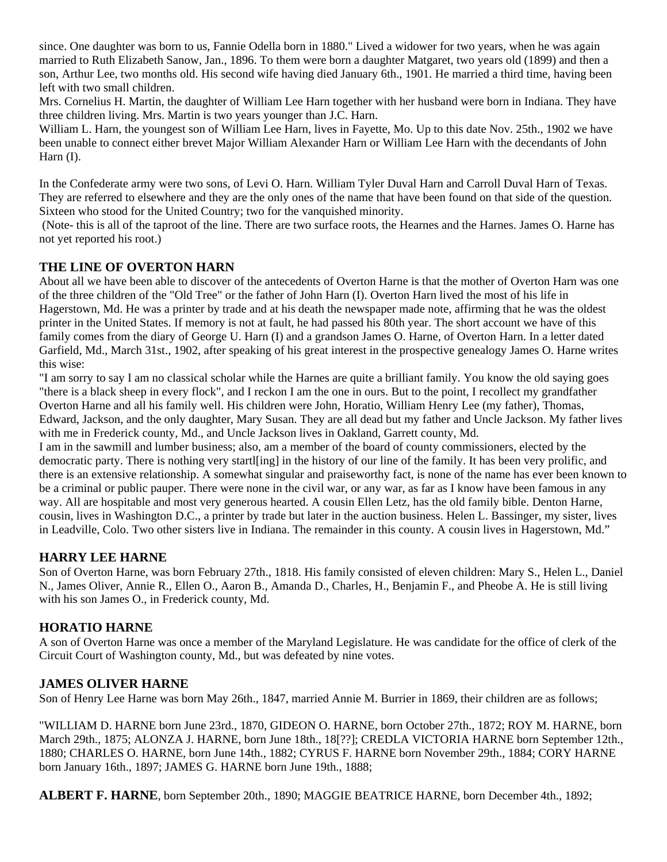since. One daughter was born to us, Fannie Odella born in 1880." Lived a widower for two years, when he was again married to Ruth Elizabeth Sanow, Jan., 1896. To them were born a daughter Matgaret, two years old (1899) and then a son, Arthur Lee, two months old. His second wife having died January 6th., 1901. He married a third time, having been left with two small children.

Mrs. Cornelius H. Martin, the daughter of William Lee Harn together with her husband were born in Indiana. They have three children living. Mrs. Martin is two years younger than J.C. Harn.

William L. Harn, the youngest son of William Lee Harn, lives in Fayette, Mo. Up to this date Nov. 25th., 1902 we have been unable to connect either brevet Major William Alexander Harn or William Lee Harn with the decendants of John Harn (I).

In the Confederate army were two sons, of Levi O. Harn. William Tyler Duval Harn and Carroll Duval Harn of Texas. They are referred to elsewhere and they are the only ones of the name that have been found on that side of the question. Sixteen who stood for the United Country; two for the vanquished minority.

 (Note- this is all of the taproot of the line. There are two surface roots, the Hearnes and the Harnes. James O. Harne has not yet reported his root.)

## **THE LINE OF OVERTON HARN**

About all we have been able to discover of the antecedents of Overton Harne is that the mother of Overton Harn was one of the three children of the "Old Tree" or the father of John Harn (I). Overton Harn lived the most of his life in Hagerstown, Md. He was a printer by trade and at his death the newspaper made note, affirming that he was the oldest printer in the United States. If memory is not at fault, he had passed his 80th year. The short account we have of this family comes from the diary of George U. Harn (I) and a grandson James O. Harne, of Overton Harn. In a letter dated Garfield, Md., March 31st., 1902, after speaking of his great interest in the prospective genealogy James O. Harne writes this wise:

"I am sorry to say I am no classical scholar while the Harnes are quite a brilliant family. You know the old saying goes "there is a black sheep in every flock", and I reckon I am the one in ours. But to the point, I recollect my grandfather Overton Harne and all his family well. His children were John, Horatio, William Henry Lee (my father), Thomas, Edward, Jackson, and the only daughter, Mary Susan. They are all dead but my father and Uncle Jackson. My father lives with me in Frederick county, Md., and Uncle Jackson lives in Oakland, Garrett county, Md.

I am in the sawmill and lumber business; also, am a member of the board of county commissioners, elected by the democratic party. There is nothing very startl[ing] in the history of our line of the family. It has been very prolific, and there is an extensive relationship. A somewhat singular and praiseworthy fact, is none of the name has ever been known to be a criminal or public pauper. There were none in the civil war, or any war, as far as I know have been famous in any way. All are hospitable and most very generous hearted. A cousin Ellen Letz, has the old family bible. Denton Harne, cousin, lives in Washington D.C., a printer by trade but later in the auction business. Helen L. Bassinger, my sister, lives in Leadville, Colo. Two other sisters live in Indiana. The remainder in this county. A cousin lives in Hagerstown, Md."

### **HARRY LEE HARNE**

Son of Overton Harne, was born February 27th., 1818. His family consisted of eleven children: Mary S., Helen L., Daniel N., James Oliver, Annie R., Ellen O., Aaron B., Amanda D., Charles, H., Benjamin F., and Pheobe A. He is still living with his son James O., in Frederick county, Md.

### **HORATIO HARNE**

A son of Overton Harne was once a member of the Maryland Legislature. He was candidate for the office of clerk of the Circuit Court of Washington county, Md., but was defeated by nine votes.

### **JAMES OLIVER HARNE**

Son of Henry Lee Harne was born May 26th., 1847, married Annie M. Burrier in 1869, their children are as follows;

"WILLIAM D. HARNE born June 23rd., 1870, GIDEON O. HARNE, born October 27th., 1872; ROY M. HARNE, born March 29th., 1875; ALONZA J. HARNE, born June 18th., 18[??]; CREDLA VICTORIA HARNE born September 12th., 1880; CHARLES O. HARNE, born June 14th., 1882; CYRUS F. HARNE born November 29th., 1884; CORY HARNE born January 16th., 1897; JAMES G. HARNE born June 19th., 1888;

**ALBERT F. HARNE**, born September 20th., 1890; MAGGIE BEATRICE HARNE, born December 4th., 1892;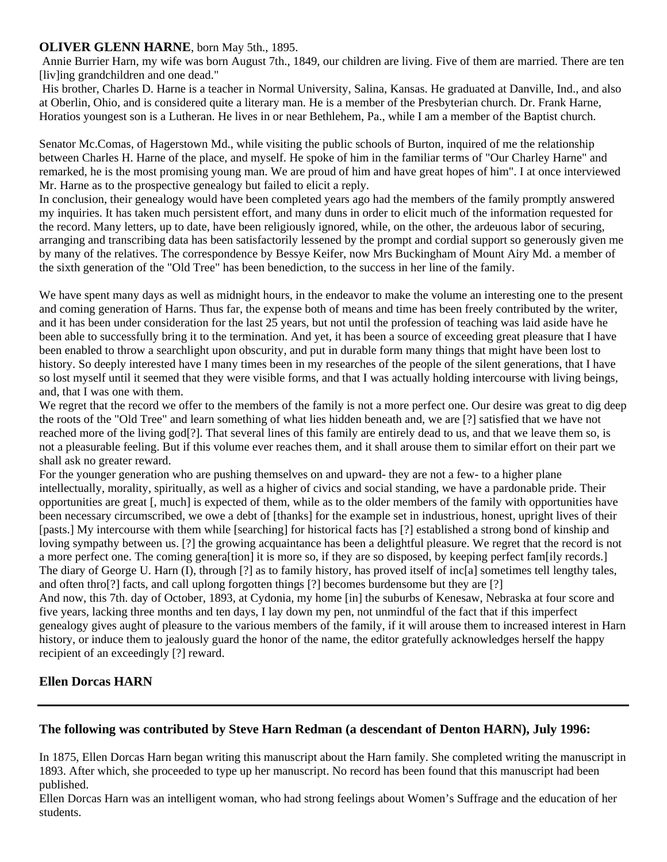#### **OLIVER GLENN HARNE**, born May 5th., 1895.

 Annie Burrier Harn, my wife was born August 7th., 1849, our children are living. Five of them are married. There are ten [liv]ing grandchildren and one dead."

 His brother, Charles D. Harne is a teacher in Normal University, Salina, Kansas. He graduated at Danville, Ind., and also at Oberlin, Ohio, and is considered quite a literary man. He is a member of the Presbyterian church. Dr. Frank Harne, Horatios youngest son is a Lutheran. He lives in or near Bethlehem, Pa., while I am a member of the Baptist church.

Senator Mc.Comas, of Hagerstown Md., while visiting the public schools of Burton, inquired of me the relationship between Charles H. Harne of the place, and myself. He spoke of him in the familiar terms of "Our Charley Harne" and remarked, he is the most promising young man. We are proud of him and have great hopes of him". I at once interviewed Mr. Harne as to the prospective genealogy but failed to elicit a reply.

In conclusion, their genealogy would have been completed years ago had the members of the family promptly answered my inquiries. It has taken much persistent effort, and many duns in order to elicit much of the information requested for the record. Many letters, up to date, have been religiously ignored, while, on the other, the ardeuous labor of securing, arranging and transcribing data has been satisfactorily lessened by the prompt and cordial support so generously given me by many of the relatives. The correspondence by Bessye Keifer, now Mrs Buckingham of Mount Airy Md. a member of the sixth generation of the "Old Tree" has been benediction, to the success in her line of the family.

We have spent many days as well as midnight hours, in the endeavor to make the volume an interesting one to the present and coming generation of Harns. Thus far, the expense both of means and time has been freely contributed by the writer, and it has been under consideration for the last 25 years, but not until the profession of teaching was laid aside have he been able to successfully bring it to the termination. And yet, it has been a source of exceeding great pleasure that I have been enabled to throw a searchlight upon obscurity, and put in durable form many things that might have been lost to history. So deeply interested have I many times been in my researches of the people of the silent generations, that I have so lost myself until it seemed that they were visible forms, and that I was actually holding intercourse with living beings, and, that I was one with them.

We regret that the record we offer to the members of the family is not a more perfect one. Our desire was great to dig deep the roots of the "Old Tree" and learn something of what lies hidden beneath and, we are [?] satisfied that we have not reached more of the living god[?]. That several lines of this family are entirely dead to us, and that we leave them so, is not a pleasurable feeling. But if this volume ever reaches them, and it shall arouse them to similar effort on their part we shall ask no greater reward.

For the younger generation who are pushing themselves on and upward- they are not a few- to a higher plane intellectually, morality, spiritually, as well as a higher of civics and social standing, we have a pardonable pride. Their opportunities are great [, much] is expected of them, while as to the older members of the family with opportunities have been necessary circumscribed, we owe a debt of [thanks] for the example set in industrious, honest, upright lives of their [pasts.] My intercourse with them while [searching] for historical facts has [?] established a strong bond of kinship and loving sympathy between us. [?] the growing acquaintance has been a delightful pleasure. We regret that the record is not a more perfect one. The coming genera[tion] it is more so, if they are so disposed, by keeping perfect fam[ily records.] The diary of George U. Harn (I), through [?] as to family history, has proved itself of inc[a] sometimes tell lengthy tales, and often thro[?] facts, and call uplong forgotten things [?] becomes burdensome but they are [?] And now, this 7th. day of October, 1893, at Cydonia, my home [in] the suburbs of Kenesaw, Nebraska at four score and five years, lacking three months and ten days, I lay down my pen, not unmindful of the fact that if this imperfect genealogy gives aught of pleasure to the various members of the family, if it will arouse them to increased interest in Harn history, or induce them to jealously guard the honor of the name, the editor gratefully acknowledges herself the happy

recipient of an exceedingly [?] reward.

#### **Ellen Dorcas HARN**

### **The following was contributed by Steve Harn Redman (a descendant of Denton HARN), July 1996:**

In 1875, Ellen Dorcas Harn began writing this manuscript about the Harn family. She completed writing the manuscript in 1893. After which, she proceeded to type up her manuscript. No record has been found that this manuscript had been published.

Ellen Dorcas Harn was an intelligent woman, who had strong feelings about Women's Suffrage and the education of her students.